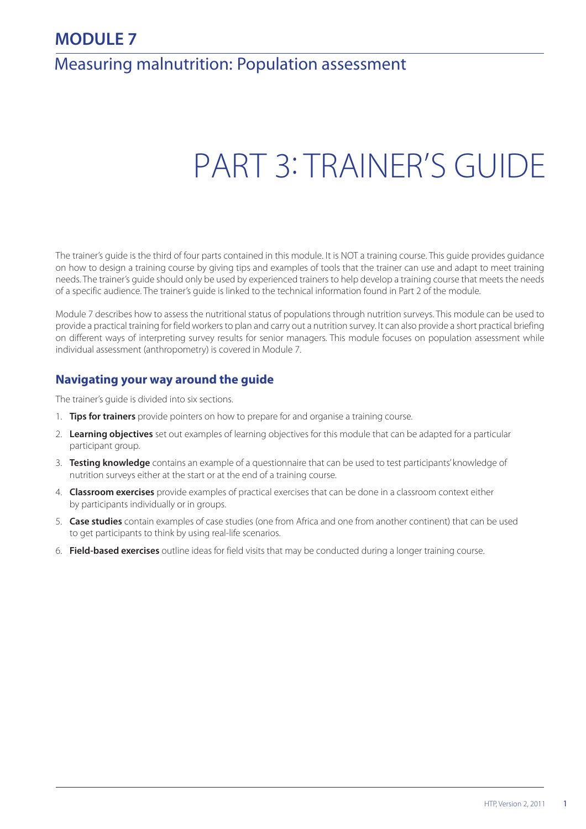## **MODULE 7**

## Measuring malnutrition: Population assessment

# PART 3: TRAINER'S GUIDE

The trainer's guide is the third of four parts contained in this module. It is NOT a training course. This guide provides guidance on how to design a training course by giving tips and examples of tools that the trainer can use and adapt to meet training needs. The trainer's guide should only be used by experienced trainers to help develop a training course that meets the needs of a specific audience. The trainer's guide is linked to the technical information found in Part 2 of the module.

Module 7 describes how to assess the nutritional status of populations through nutrition surveys. This module can be used to provide a practical training for field workers to plan and carry out a nutrition survey. It can also provide a short practical briefing on different ways of interpreting survey results for senior managers. This module focuses on population assessment while individual assessment (anthropometry) is covered in Module 7.

## **Navigating your way around the guide**

The trainer's guide is divided into six sections.

- 1. **Tips for trainers** provide pointers on how to prepare for and organise a training course.
- 2. **Learning objectives** set out examples of learning objectives for this module that can be adapted for a particular participant group.
- 3. **Testing knowledge** contains an example of a questionnaire that can be used to test participants' knowledge of nutrition surveys either at the start or at the end of a training course.
- 4. **Classroom exercises** provide examples of practical exercises that can be done in a classroom context either by participants individually or in groups.
- 5. **Case studies** contain examples of case studies (one from Africa and one from another continent) that can be used to get participants to think by using real-life scenarios.
- 6. **Field-based exercises** outline ideas for field visits that may be conducted during a longer training course.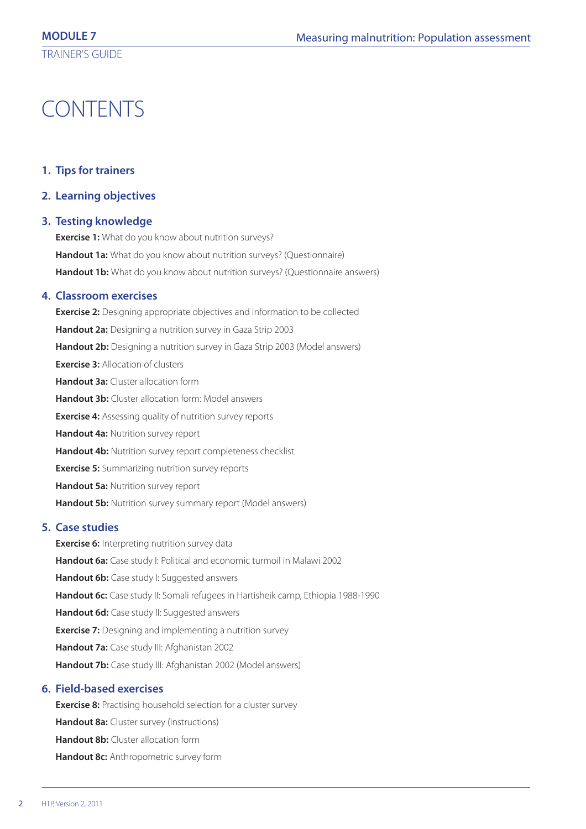## CONTENTS

## **1. Tips for trainers**

**2. Learning objectives**

## **3. Testing knowledge**

**Exercise 1:** What do you know about nutrition surveys? **Handout 1a:** What do you know about nutrition surveys? (Questionnaire) Handout 1b: What do you know about nutrition surveys? (Questionnaire answers)

## **4. Classroom exercises**

**Exercise 2:** Designing appropriate objectives and information to be collected **Handout 2a:** Designing a nutrition survey in Gaza Strip 2003 **Handout 2b:** Designing a nutrition survey in Gaza Strip 2003 (Model answers) **Exercise 3:** Allocation of clusters **Handout 3a:** Cluster allocation form **Handout 3b:** Cluster allocation form: Model answers **Exercise 4:** Assessing quality of nutrition survey reports **Handout 4a:** Nutrition survey report **Handout 4b:** Nutrition survey report completeness checklist **Exercise 5:** Summarizing nutrition survey reports **Handout 5a:** Nutrition survey report **Handout 5b:** Nutrition survey summary report (Model answers)

## **5. Case studies**

**Exercise 6:** Interpreting nutrition survey data **Handout 6a:** Case study I: Political and economic turmoil in Malawi 2002 Handout 6b: Case study I: Suggested answers Handout 6c: Case study II: Somali refugees in Hartisheik camp, Ethiopia 1988-1990 Handout 6d: Case study II: Suggested answers **Exercise 7:** Designing and implementing a nutrition survey **Handout 7a:** Case study III: Afghanistan 2002 **Handout 7b:** Case study III: Afghanistan 2002 (Model answers)

## **6. Field-based exercises**

**Exercise 8:** Practising household selection for a cluster survey **Handout 8a:** Cluster survey (Instructions) **Handout 8b:** Cluster allocation form **Handout 8c:** Anthropometric survey form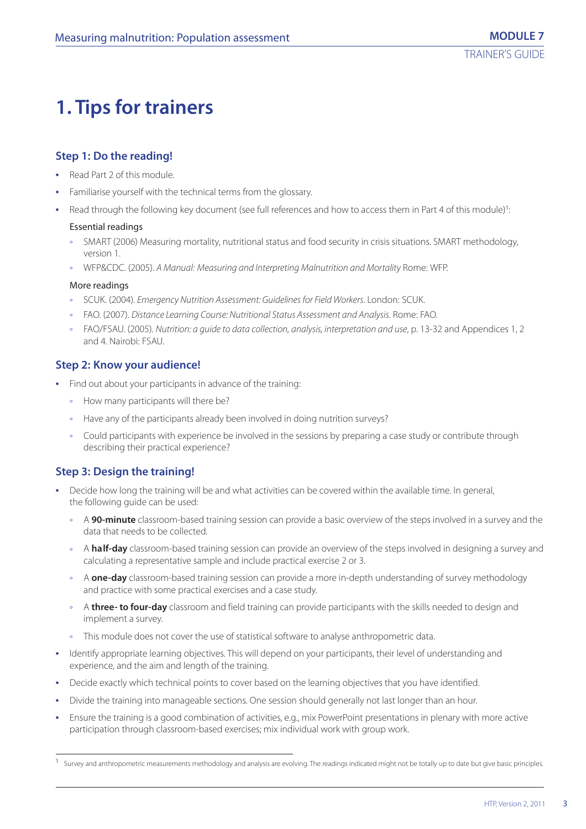## **1. Tips for trainers**

## **Step 1: Do the reading!**

- **•** Read Part 2 of this module.
- **•** Familiarise yourself with the technical terms from the glossary.
- Read through the following key document (see full references and how to access them in Part 4 of this module)<sup>1</sup>: :

## Essential readings

- SMART (2006) Measuring mortality, nutritional status and food security in crisis situations. SMART methodology, version 1.
- ° WFP&CDC. (2005). A Manual: Measuring and Interpreting Malnutrition and Mortality Rome: WFP.

## More readings

- ° SCUK. (2004). Emergency Nutrition Assessment: Guidelines for Field Workers. London: SCUK.
- ° FAO. (2007). Distance Learning Course: Nutritional Status Assessment and Analysis. Rome: FAO.
- ° FAO/FSAU. (2005). Nutrition: a guide to data collection, analysis, interpretation and use, p. 13-32 and Appendices 1, 2 and 4. Nairobi: FSAU.

## **Step 2: Know your audience!**

- **•** Find out about your participants in advance of the training:
	- ° How many participants will there be?
	- ° Have any of the participants already been involved in doing nutrition surveys?
	- ° Could participants with experience be involved in the sessions by preparing a case study or contribute through describing their practical experience?

## **Step 3: Design the training!**

- **•** Decide how long the training will be and what activities can be covered within the available time. In general, the following guide can be used:
	- ° A **90-minute** classroom-based training session can provide a basic overview of the steps involved in a survey and the data that needs to be collected.
	- ° A **half-day** classroom-based training session can provide an overview of the steps involved in designing a survey and calculating a representative sample and include practical exercise 2 or 3.
	- ° A **one-day** classroom-based training session can provide a more in-depth understanding of survey methodology and practice with some practical exercises and a case study.
	- ° A **three- to four-day** classroom and field training can provide participants with the skills needed to design and implement a survey.
	- ° This module does not cover the use of statistical software to analyse anthropometric data.
- **•** Identify appropriate learning objectives. This will depend on your participants, their level of understanding and experience, and the aim and length of the training.
- **•** Decide exactly which technical points to cover based on the learning objectives that you have identified.
- **•** Divide the training into manageable sections. One session should generally not last longer than an hour.
- **•** Ensure the training is a good combination of activities, e.g., mix PowerPoint presentations in plenary with more active participation through classroom-based exercises; mix individual work with group work.

Survey and anthropometric measurements methodology and analysis are evolving. The readings indicated might not be totally up to date but give basic principles.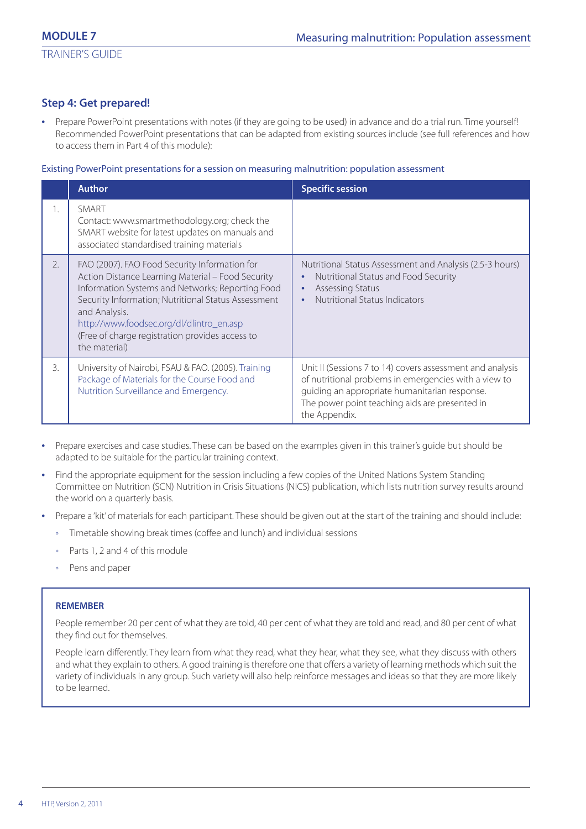## **Step 4: Get prepared!**

**•** Prepare PowerPoint presentations with notes (if they are going to be used) in advance and do a trial run. Time yourself! Recommended PowerPoint presentations that can be adapted from existing sources include (see full references and how to access them in Part 4 of this module):

#### Existing PowerPoint presentations for a session on measuring malnutrition: population assessment

|    | <b>Author</b>                                                                                                                                                                                                                                                                                                                                  | <b>Specific session</b>                                                                                                                                                                                                                |
|----|------------------------------------------------------------------------------------------------------------------------------------------------------------------------------------------------------------------------------------------------------------------------------------------------------------------------------------------------|----------------------------------------------------------------------------------------------------------------------------------------------------------------------------------------------------------------------------------------|
| 1. | SMART<br>Contact: www.smartmethodology.org; check the<br>SMART website for latest updates on manuals and<br>associated standardised training materials                                                                                                                                                                                         |                                                                                                                                                                                                                                        |
| 2. | FAO (2007). FAO Food Security Information for<br>Action Distance Learning Material - Food Security<br>Information Systems and Networks; Reporting Food<br>Security Information; Nutritional Status Assessment<br>and Analysis.<br>http://www.foodsec.org/dl/dlintro_en.asp<br>(Free of charge registration provides access to<br>the material) | Nutritional Status Assessment and Analysis (2.5-3 hours)<br>Nutritional Status and Food Security<br>$\bullet$<br>Assessing Status<br>$\bullet$<br>Nutritional Status Indicators                                                        |
| 3. | University of Nairobi, FSAU & FAO. (2005). Training<br>Package of Materials for the Course Food and<br>Nutrition Surveillance and Emergency.                                                                                                                                                                                                   | Unit II (Sessions 7 to 14) covers assessment and analysis<br>of nutritional problems in emergencies with a view to<br>guiding an appropriate humanitarian response.<br>The power point teaching aids are presented in<br>the Appendix. |

- **•** Prepare exercises and case studies. These can be based on the examples given in this trainer's guide but should be adapted to be suitable for the particular training context.
- **•** Find the appropriate equipment for the session including a few copies of the United Nations System Standing Committee on Nutrition (SCN) Nutrition in Crisis Situations (NICS) publication, which lists nutrition survey results around the world on a quarterly basis.
- **•** Prepare a 'kit' of materials for each participant. These should be given out at the start of the training and should include:
	- ° Timetable showing break times (coffee and lunch) and individual sessions
	- ° Parts 1, 2 and 4 of this module
	- ° Pens and paper

#### **REMEMBER**

People remember 20 per cent of what they are told, 40 per cent of what they are told and read, and 80 per cent of what they find out for themselves.

People learn differently. They learn from what they read, what they hear, what they see, what they discuss with others and what they explain to others. A good training is therefore one that offers a variety of learning methods which suit the variety of individuals in any group. Such variety will also help reinforce messages and ideas so that they are more likely to be learned.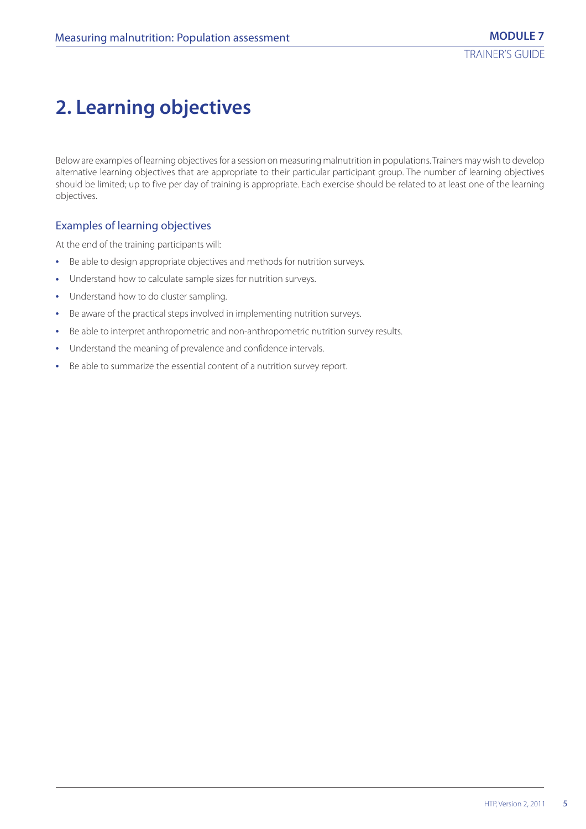## **2. Learning objectives**

Below are examples of learning objectives for a session on measuring malnutrition in populations. Trainers may wish to develop alternative learning objectives that are appropriate to their particular participant group. The number of learning objectives should be limited; up to five per day of training is appropriate. Each exercise should be related to at least one of the learning objectives.

## Examples of learning objectives

At the end of the training participants will:

- **•** Be able to design appropriate objectives and methods for nutrition surveys.
- **•** Understand how to calculate sample sizes for nutrition surveys.
- **•** Understand how to do cluster sampling.
- **•** Be aware of the practical steps involved in implementing nutrition surveys.
- **•** Be able to interpret anthropometric and non-anthropometric nutrition survey results.
- **•** Understand the meaning of prevalence and confidence intervals.
- **•** Be able to summarize the essential content of a nutrition survey report.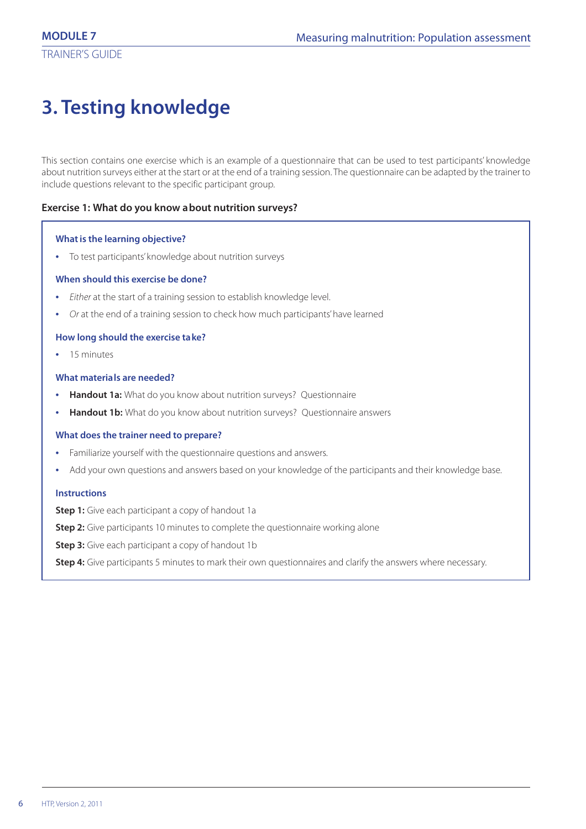## **3. Testing knowledge**

This section contains one exercise which is an example of a questionnaire that can be used to test participants' knowledge about nutrition surveys either at the start or at the end of a training session. The questionnaire can be adapted by the trainer to include questions relevant to the specific participant group.

## **Exercise 1: What do you know about nutrition surveys?**

## **What is the learning objective?**

**•** To test participants' knowledge about nutrition surveys

## **When should this exercise be done?**

- **•** Either at the start of a training session to establish knowledge level.
- **•** Or at the end of a training session to check how much participants' have learned

## **How long should the exercise take?**

**•** 15 minutes

#### **What materials are needed?**

- **•• Handout 1a:** What do you know about nutrition surveys? Ouestionnaire
- **Handout 1b:** What do you know about nutrition surveys? Questionnaire answers

#### **What does the trainer need to prepare?**

- **•** Familiarize yourself with the questionnaire questions and answers.
- **•** Add your own questions and answers based on your knowledge of the participants and their knowledge base.

## **Instructions**

**Step 1:** Give each participant a copy of handout 1a

**Step 2:** Give participants 10 minutes to complete the questionnaire working alone

**Step 3:** Give each participant a copy of handout 1b

**Step 4:** Give participants 5 minutes to mark their own questionnaires and clarify the answers where necessary.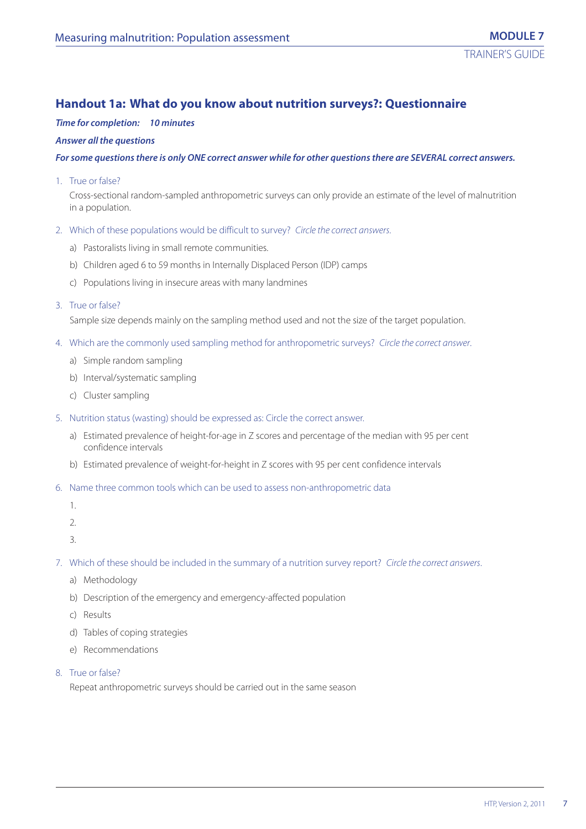## **Handout 1a: What do you know about nutrition surveys?: Questionnaire**

## *Time for completion: 10 minutes*

#### *Answer all the questions*

#### *For some questions there is only ONE correct answer while for other questions there are SEVERAL correct answers.*

1. True or false?

Cross-sectional random-sampled anthropometric surveys can only provide an estimate of the level of malnutrition in a population.

- 2. Which of these populations would be difficult to survey? Circle the correct answers.
	- a) Pastoralists living in small remote communities.
	- b) Children aged 6 to 59 months in Internally Displaced Person (IDP) camps
	- c) Populations living in insecure areas with many landmines
- 3. True or false?

Sample size depends mainly on the sampling method used and not the size of the target population.

- 4. Which are the commonly used sampling method for anthropometric surveys? Circle the correct answer.
	- a) Simple random sampling
	- b) Interval/systematic sampling
	- c) Cluster sampling
- 5. Nutrition status (wasting) should be expressed as: Circle the correct answer.
	- a) Estimated prevalence of height-for-age in Z scores and percentage of the median with 95 per cent confidence intervals
	- b) Estimated prevalence of weight-for-height in Z scores with 95 per cent confidence intervals
- 6. Name three common tools which can be used to assess non-anthropometric data
	- 1.
	- 2.
	- 3.

7. Which of these should be included in the summary of a nutrition survey report? Circle the correct answers.

- a) Methodology
- b) Description of the emergency and emergency-affected population
- c) Results
- d) Tables of coping strategies
- e) Recommendations
- 8. True or false?

Repeat anthropometric surveys should be carried out in the same season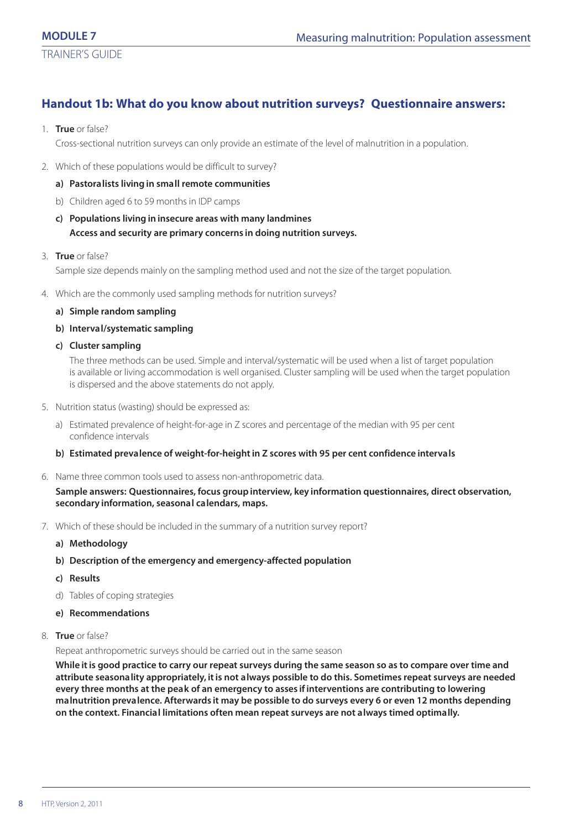## **Handout 1b: What do you know about nutrition surveys? Questionnaire answers:**

1. **True** or false?

Cross-sectional nutrition surveys can only provide an estimate of the level of malnutrition in a population.

- 2. Which of these populations would be difficult to survey?
	- **a) Pastoralists living in small remote communities**
	- b) Children aged 6 to 59 months in IDP camps
	- **c) Populations living in insecure areas with many landmines Access and security are primary concerns in doing nutrition surveys.**
- 3. **True** or false? Sample size depends mainly on the sampling method used and not the size of the target population.
- 4. Which are the commonly used sampling methods for nutrition surveys?
	- **a) Simple random sampling**
	- **b) Interval/systematic sampling**
	- **c) Cluster sampling**

The three methods can be used. Simple and interval/systematic will be used when a list of target population is available or living accommodation is well organised. Cluster sampling will be used when the target population is dispersed and the above statements do not apply.

- 5. Nutrition status (wasting) should be expressed as:
	- a) Estimated prevalence of height-for-age in Z scores and percentage of the median with 95 per cent confidence intervals
	- **b) Estimated prevalence of weight-for-height in Z scores with 95 per cent confidence intervals**
- 6. Name three common tools used to assess non-anthropometric data.

**Sample answers: Questionnaires, focus group interview, key information questionnaires, direct observation, secondary information, seasonal calendars, maps.**

- 7. Which of these should be included in the summary of a nutrition survey report?
	- **a) Methodology**
	- **b) Description of the emergency and emergency-affected population**
	- **c) Results**
	- d) Tables of coping strategies
	- **e) Recommendations**
- 8. **True** or false?

Repeat anthropometric surveys should be carried out in the same season

**While it is good practice to carry our repeat surveys during the same season so as to compare over time and attribute seasonality appropriately, it is not always possible to do this. Sometimes repeat surveys are needed every three months at the peak of an emergency to asses if interventions are contributing to lowering malnutrition prevalence. Afterwards it may be possible to do surveys every 6 or even 12 months depending on the context. Financial limitations often mean repeat surveys are not always timed optimally.**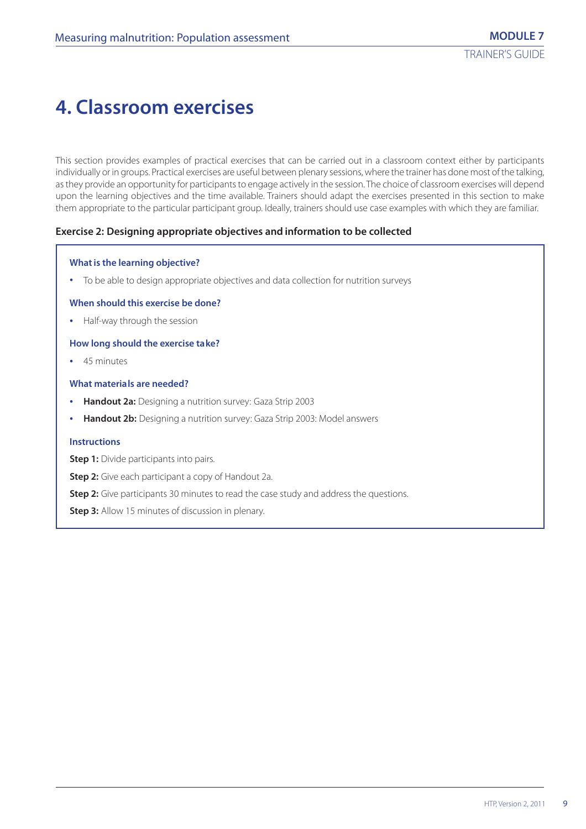## **4. Classroom exercises**

This section provides examples of practical exercises that can be carried out in a classroom context either by participants individually or in groups. Practical exercises are useful between plenary sessions, where the trainer has done most of the talking, as they provide an opportunity for participants to engage actively in the session. The choice of classroom exercises will depend upon the learning objectives and the time available. Trainers should adapt the exercises presented in this section to make them appropriate to the particular participant group. Ideally, trainers should use case examples with which they are familiar.

## **Exercise 2: Designing appropriate objectives and information to be collected**

#### **What is the learning objective?**

**•** To be able to design appropriate objectives and data collection for nutrition surveys

#### **When should this exercise be done?**

**•** Half-way through the session

#### **How long should the exercise take?**

**•** 45 minutes

#### **What materials are needed?**

- **• Handout 2a:** Designing a nutrition survey: Gaza Strip 2003
- **• Handout 2b:** Designing a nutrition survey: Gaza Strip 2003: Model answers

#### **Instructions**

**Step 1:** Divide participants into pairs.

**Step 2:** Give each participant a copy of Handout 2a.

**Step 2:** Give participants 30 minutes to read the case study and address the questions.

**Step 3:** Allow 15 minutes of discussion in plenary.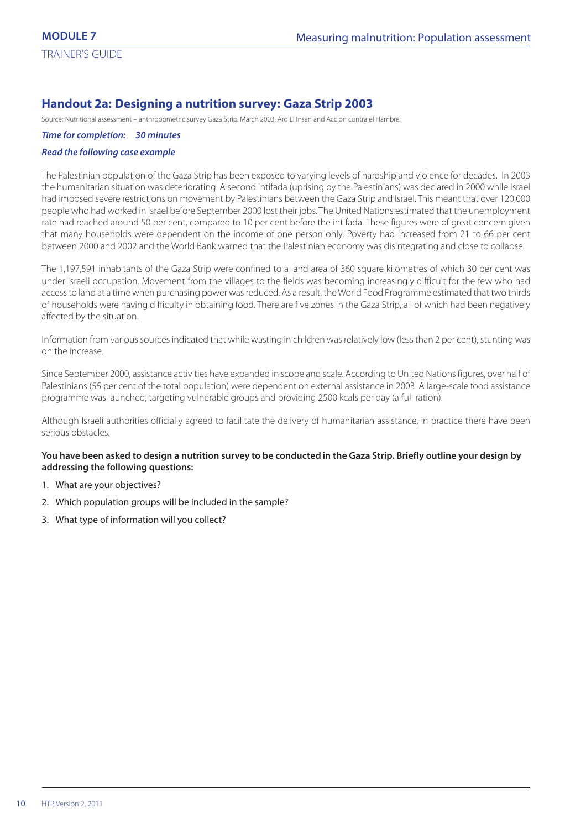## **Handout 2a: Designing a nutrition survey: Gaza Strip 2003**

Source: Nutritional assessment – anthropometric survey Gaza Strip. March 2003. Ard El Insan and Accion contra el Hambre.

*Time for completion: 30 minutes*

#### *Read the following case example*

The Palestinian population of the Gaza Strip has been exposed to varying levels of hardship and violence for decades. In 2003 the humanitarian situation was deteriorating. A second intifada (uprising by the Palestinians) was declared in 2000 while Israel had imposed severe restrictions on movement by Palestinians between the Gaza Strip and Israel. This meant that over 120,000 people who had worked in Israel before September 2000 lost their jobs. The United Nations estimated that the unemployment rate had reached around 50 per cent, compared to 10 per cent before the intifada. These figures were of great concern given that many households were dependent on the income of one person only. Poverty had increased from 21 to 66 per cent between 2000 and 2002 and the World Bank warned that the Palestinian economy was disintegrating and close to collapse.

The 1,197,591 inhabitants of the Gaza Strip were confined to a land area of 360 square kilometres of which 30 per cent was under Israeli occupation. Movement from the villages to the fields was becoming increasingly difficult for the few who had access to land at a time when purchasing power was reduced. As a result, the World Food Programme estimated that two thirds of households were having difficulty in obtaining food. There are five zones in the Gaza Strip, all of which had been negatively affected by the situation.

Information from various sources indicated that while wasting in children was relatively low (less than 2 per cent), stunting was on the increase.

Since September 2000, assistance activities have expanded in scope and scale. According to United Nations figures, over half of Palestinians (55 per cent of the total population) were dependent on external assistance in 2003. A large-scale food assistance programme was launched, targeting vulnerable groups and providing 2500 kcals per day (a full ration).

Although Israeli authorities officially agreed to facilitate the delivery of humanitarian assistance, in practice there have been serious obstacles.

## **You have been asked to design a nutrition survey to be conducted in the Gaza Strip. Briefly outline your design by addressing the following questions:**

- 1. What are your objectives?
- 2. Which population groups will be included in the sample?
- 3. What type of information will you collect?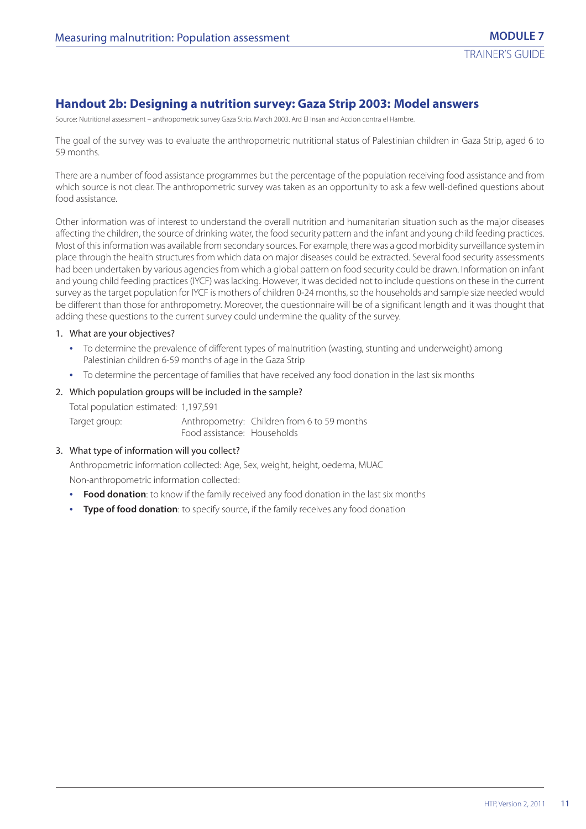## **Handout 2b: Designing a nutrition survey: Gaza Strip 2003: Model answers**

Source: Nutritional assessment – anthropometric survey Gaza Strip. March 2003. Ard El Insan and Accion contra el Hambre.

The goal of the survey was to evaluate the anthropometric nutritional status of Palestinian children in Gaza Strip, aged 6 to 59 months.

There are a number of food assistance programmes but the percentage of the population receiving food assistance and from which source is not clear. The anthropometric survey was taken as an opportunity to ask a few well-defined questions about food assistance.

Other information was of interest to understand the overall nutrition and humanitarian situation such as the major diseases affecting the children, the source of drinking water, the food security pattern and the infant and young child feeding practices. Most of this information was available from secondary sources. For example, there was a good morbidity surveillance system in place through the health structures from which data on major diseases could be extracted. Several food security assessments had been undertaken by various agencies from which a global pattern on food security could be drawn. Information on infant and young child feeding practices (IYCF) was lacking. However, it was decided not to include questions on these in the current survey as the target population for IYCF is mothers of children 0-24 months, so the households and sample size needed would be different than those for anthropometry. Moreover, the questionnaire will be of a significant length and it was thought that adding these questions to the current survey could undermine the quality of the survey.

#### 1. What are your objectives?

- **•** To determine the prevalence of different types of malnutrition (wasting, stunting and underweight) among Palestinian children 6-59 months of age in the Gaza Strip
- **•** To determine the percentage of families that have received any food donation in the last six months

#### 2. Which population groups will be included in the sample?

Total population estimated: 1,197,591 Target group: Anthropometry: Children from 6 to 59 months Food assistance: Households

### 3. What type of information will you collect?

Anthropometric information collected: Age, Sex, weight, height, oedema, MUAC Non-anthropometric information collected:

- **• Food donation**: to know if the family received any food donation in the last six months
- **• Type of food donation**: to specify source, if the family receives any food donation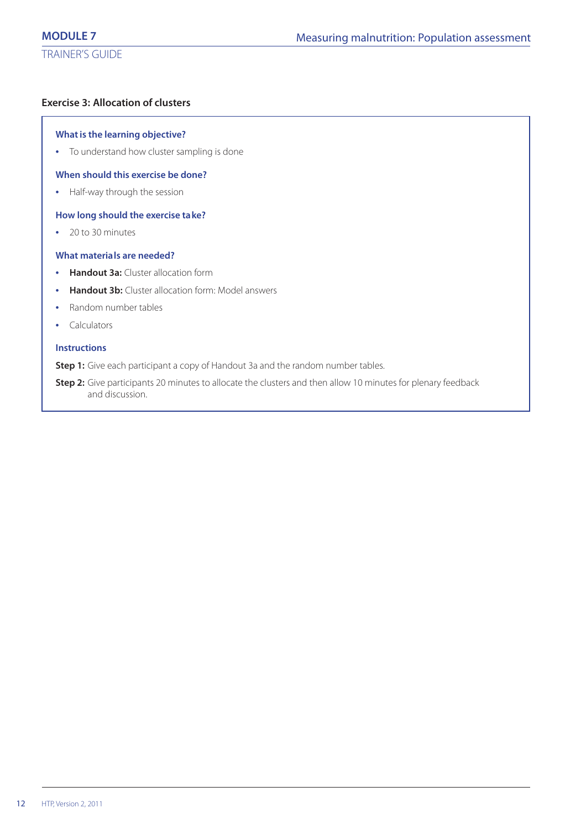## **Exercise 3: Allocation of clusters**

## **What is the learning objective?**

**•** To understand how cluster sampling is done

## **When should this exercise be done?**

**•** Half-way through the session

## **How long should the exercise take?**

**•** 20 to 30 minutes

## **What materials are needed?**

- **• Handout 3a:** Cluster allocation form
- **• Handout 3b:** Cluster allocation form: Model answers
- **•** Random number tables
- **•** Calculators

## **Instructions**

**Step 1:** Give each participant a copy of Handout 3a and the random number tables.

**Step 2:** Give participants 20 minutes to allocate the clusters and then allow 10 minutes for plenary feedback and discussion.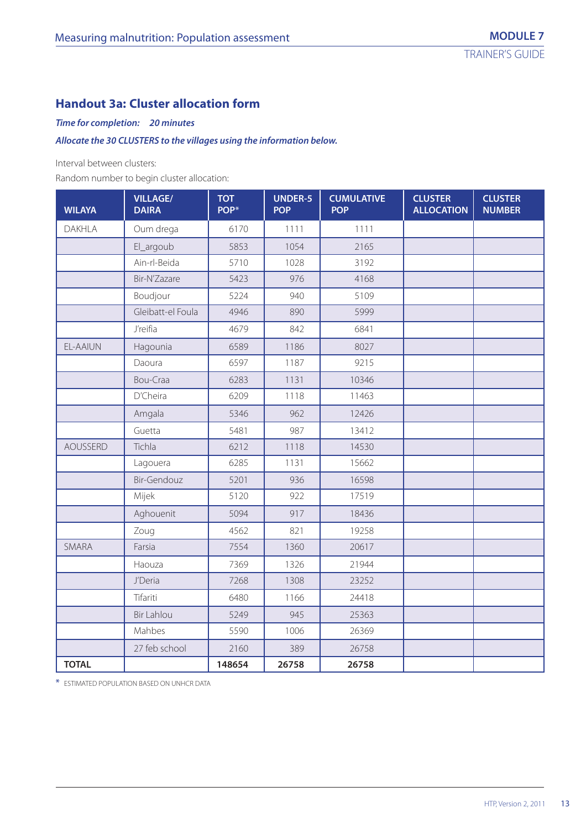## **Handout 3a: Cluster allocation form**

## *Time for completion: 20 minutes*

## *Allocate the 30 CLUSTERS to the villages using the information below.*

Interval between clusters:

Random number to begin cluster allocation:

| <b>WILAYA</b>   | <b>VILLAGE/</b><br><b>DAIRA</b> | <b>TOT</b><br>POP* | <b>UNDER-5</b><br><b>POP</b> | <b>CUMULATIVE</b><br><b>POP</b> | <b>CLUSTER</b><br><b>ALLOCATION</b> | <b>CLUSTER</b><br><b>NUMBER</b> |
|-----------------|---------------------------------|--------------------|------------------------------|---------------------------------|-------------------------------------|---------------------------------|
| <b>DAKHLA</b>   | Oum drega                       | 6170               | 1111                         | 1111                            |                                     |                                 |
|                 | El_argoub                       | 5853               | 1054                         | 2165                            |                                     |                                 |
|                 | Ain-rl-Beida                    | 5710               | 1028                         | 3192                            |                                     |                                 |
|                 | Bir-N'Zazare                    | 5423               | 976                          | 4168                            |                                     |                                 |
|                 | Boudjour                        | 5224               | 940                          | 5109                            |                                     |                                 |
|                 | Gleibatt-el Foula               | 4946               | 890                          | 5999                            |                                     |                                 |
|                 | J'reifia                        | 4679               | 842                          | 6841                            |                                     |                                 |
| EL-AAIUN        | Hagounia                        | 6589               | 1186                         | 8027                            |                                     |                                 |
|                 | Daoura                          | 6597               | 1187                         | 9215                            |                                     |                                 |
|                 | Bou-Craa                        | 6283               | 1131                         | 10346                           |                                     |                                 |
|                 | D'Cheira                        | 6209               | 1118                         | 11463                           |                                     |                                 |
|                 | Amgala                          | 5346               | 962                          | 12426                           |                                     |                                 |
|                 | Guetta                          | 5481               | 987                          | 13412                           |                                     |                                 |
| <b>AOUSSERD</b> | Tichla                          | 6212               | 1118                         | 14530                           |                                     |                                 |
|                 | Lagouera                        | 6285               | 1131                         | 15662                           |                                     |                                 |
|                 | <b>Bir-Gendouz</b>              | 5201               | 936                          | 16598                           |                                     |                                 |
|                 | Mijek                           | 5120               | 922                          | 17519                           |                                     |                                 |
|                 | Aghouenit                       | 5094               | 917                          | 18436                           |                                     |                                 |
|                 | Zoug                            | 4562               | 821                          | 19258                           |                                     |                                 |
| <b>SMARA</b>    | Farsia                          | 7554               | 1360                         | 20617                           |                                     |                                 |
|                 | Haouza                          | 7369               | 1326                         | 21944                           |                                     |                                 |
|                 | J'Deria                         | 7268               | 1308                         | 23252                           |                                     |                                 |
|                 | Tifariti                        | 6480               | 1166                         | 24418                           |                                     |                                 |
|                 | <b>Bir Lahlou</b>               | 5249               | 945                          | 25363                           |                                     |                                 |
|                 | Mahbes                          | 5590               | 1006                         | 26369                           |                                     |                                 |
|                 | 27 feb school                   | 2160               | 389                          | 26758                           |                                     |                                 |
| <b>TOTAL</b>    |                                 | 148654             | 26758                        | 26758                           |                                     |                                 |

\* ESTIMATED POPULATION BASED ON UNHCR DATA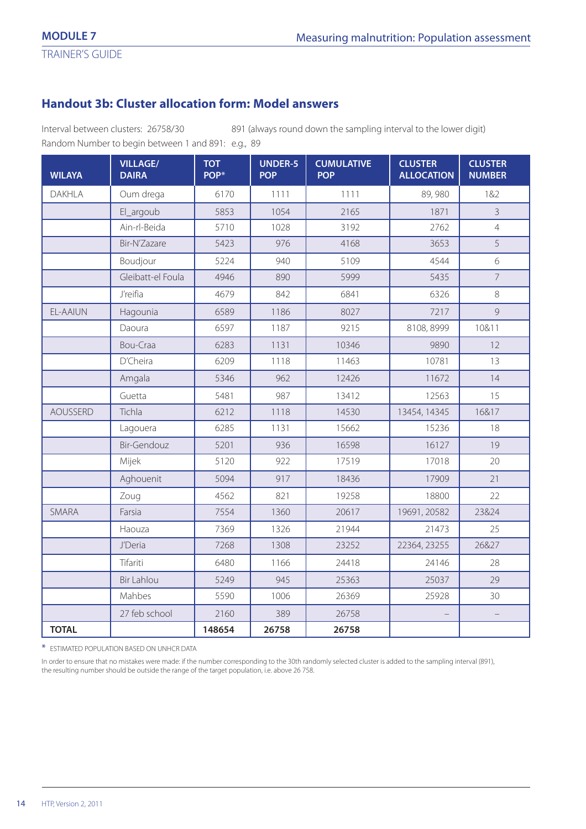TRAINER'S GUIDE

## **Handout 3b: Cluster allocation form: Model answers**

Interval between clusters: 26758/30 891 (always round down the sampling interval to the lower digit) Random Number to begin between 1 and 891: e.g., 89

| <b>WILAYA</b>   | <b>VILLAGE/</b><br><b>DAIRA</b> | <b>TOT</b><br>POP* | <b>UNDER-5</b><br><b>POP</b> | <b>CUMULATIVE</b><br><b>POP</b> | <b>CLUSTER</b><br><b>ALLOCATION</b> | <b>CLUSTER</b><br><b>NUMBER</b> |
|-----------------|---------------------------------|--------------------|------------------------------|---------------------------------|-------------------------------------|---------------------------------|
| DAKHLA          | Oum drega                       | 6170               | 1111                         | 1111                            | 89,980                              | 1&2                             |
|                 | El_argoub                       | 5853               | 1054                         | 2165                            | 1871                                | $\overline{3}$                  |
|                 | Ain-rl-Beida                    | 5710               | 1028                         | 3192                            | 2762                                | $\overline{4}$                  |
|                 | Bir-N'Zazare                    | 5423               | 976                          | 4168                            | 3653                                | 5                               |
|                 | Boudjour                        | 5224               | 940                          | 5109                            | 4544                                | 6                               |
|                 | Gleibatt-el Foula               | 4946               | 890                          | 5999                            | 5435                                | $\overline{7}$                  |
|                 | J'reifia                        | 4679               | 842                          | 6841                            | 6326                                | 8                               |
| <b>FL-AAIUN</b> | Hagounia                        | 6589               | 1186                         | 8027                            | 7217                                | 9                               |
|                 | Daoura                          | 6597               | 1187                         | 9215                            | 8108, 8999                          | 10&11                           |
|                 | Bou-Craa                        | 6283               | 1131                         | 10346                           | 9890                                | 12                              |
|                 | D'Cheira                        | 6209               | 1118                         | 11463                           | 10781                               | 13                              |
|                 | Amgala                          | 5346               | 962                          | 12426                           | 11672                               | 14                              |
|                 | Guetta                          | 5481               | 987                          | 13412                           | 12563                               | 15                              |
| <b>AOUSSERD</b> | Tichla                          | 6212               | 1118                         | 14530                           | 13454, 14345                        | 16&17                           |
|                 | Lagouera                        | 6285               | 1131                         | 15662                           | 15236                               | 18                              |
|                 | <b>Bir-Gendouz</b>              | 5201               | 936                          | 16598                           | 16127                               | 19                              |
|                 | Mijek                           | 5120               | 922                          | 17519                           | 17018                               | 20                              |
|                 | Aghouenit                       | 5094               | 917                          | 18436                           | 17909                               | 21                              |
|                 | Zoug                            | 4562               | 821                          | 19258                           | 18800                               | 22                              |
| SMARA           | Farsia                          | 7554               | 1360                         | 20617                           | 19691, 20582                        | 23&24                           |
|                 | Haouza                          | 7369               | 1326                         | 21944                           | 21473                               | 25                              |
|                 | J'Deria                         | 7268               | 1308                         | 23252                           | 22364, 23255                        | 26&27                           |
|                 | Tifariti                        | 6480               | 1166                         | 24418                           | 24146                               | 28                              |
|                 | <b>Bir Lahlou</b>               | 5249               | 945                          | 25363                           | 25037                               | 29                              |
|                 | Mahbes                          | 5590               | 1006                         | 26369                           | 25928                               | 30                              |
|                 | 27 feb school                   | 2160               | 389                          | 26758                           |                                     |                                 |
| <b>TOTAL</b>    |                                 | 148654             | 26758                        | 26758                           |                                     |                                 |

\* ESTIMATED POPULATION BASED ON UNHCR DATA

In order to ensure that no mistakes were made: if the number corresponding to the 30th randomly selected cluster is added to the sampling interval (891), the resulting number should be outside the range of the target population, i.e. above 26 758.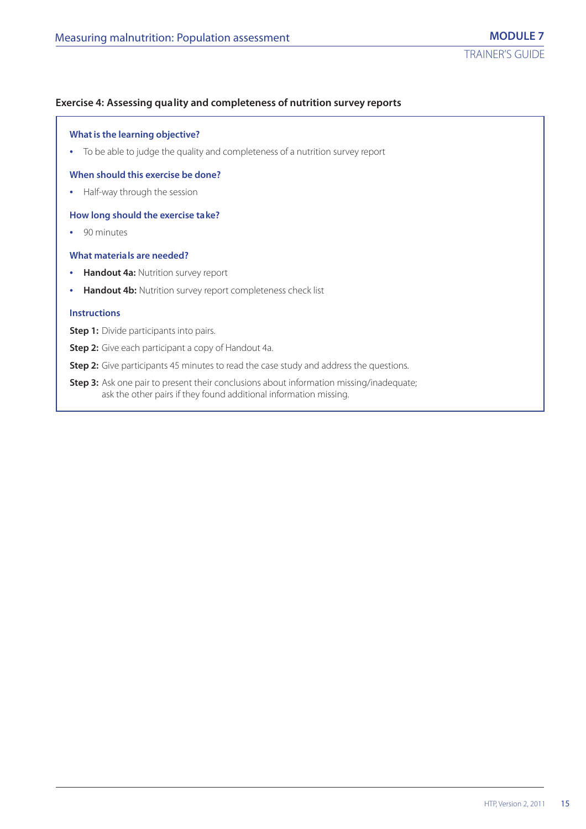## **Exercise 4: Assessing quality and completeness of nutrition survey reports**

## **What is the learning objective?**

**•** To be able to judge the quality and completeness of a nutrition survey report

#### **When should this exercise be done?**

**•** Half-way through the session

#### **How long should the exercise take?**

**•** 90 minutes

#### **What materials are needed?**

- **• Handout 4a:** Nutrition survey report
- **• Handout 4b:** Nutrition survey report completeness check list

#### **Instructions**

**Step 1:** Divide participants into pairs.

**Step 2:** Give each participant a copy of Handout 4a.

**Step 2:** Give participants 45 minutes to read the case study and address the questions.

**Step 3:** Ask one pair to present their conclusions about information missing/inadequate; ask the other pairs if they found additional information missing.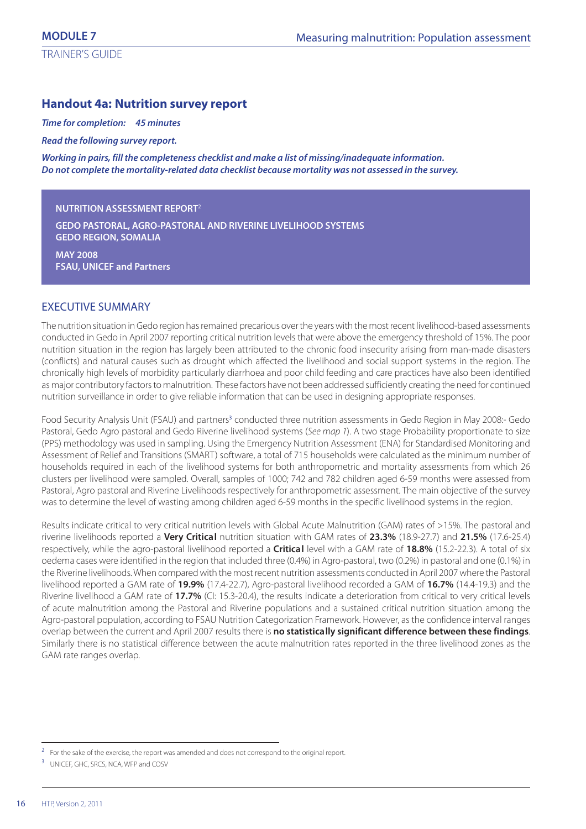## **Handout 4a: Nutrition survey report**

*Time for completion: 45 minutes*

*Read the following survey report.*

*Working in pairs, fill the completeness checklist and make a list of missing/inadequate information. Do not complete the mortality-related data checklist because mortality was not assessed in the survey.*

#### **NUTRITION ASSESSMENT REPORT**<sup>2</sup>

**GEDO PASTORAL, AGRO-PASTORAL AND RIVERINE LIVELIHOOD SYSTEMS GEDO REGION, SOMALIA**

**MAY 2008 FSAU, UNICEF and Partners**

## EXECUTIVE SUMMARY

The nutrition situation in Gedo region has remained precarious over the years with the most recent livelihood-based assessments conducted in Gedo in April 2007 reporting critical nutrition levels that were above the emergency threshold of 15%. The poor nutrition situation in the region has largely been attributed to the chronic food insecurity arising from man-made disasters (conflicts) and natural causes such as drought which affected the livelihood and social support systems in the region. The chronically high levels of morbidity particularly diarrhoea and poor child feeding and care practices have also been identified as major contributory factors to malnutrition. These factors have not been addressed sufficiently creating the need for continued nutrition surveillance in order to give reliable information that can be used in designing appropriate responses.

Food Security Analysis Unit (FSAU) and partners<sup>3</sup> conducted three nutrition assessments in Gedo Region in May 2008:- Gedo Pastoral, Gedo Agro pastoral and Gedo Riverine livelihood systems (See map 1). A two stage Probability proportionate to size (PPS) methodology was used in sampling. Using the Emergency Nutrition Assessment (ENA) for Standardised Monitoring and Assessment of Relief and Transitions (SMART) software, a total of 715 households were calculated as the minimum number of households required in each of the livelihood systems for both anthropometric and mortality assessments from which 26 clusters per livelihood were sampled. Overall, samples of 1000; 742 and 782 children aged 6-59 months were assessed from Pastoral, Agro pastoral and Riverine Livelihoods respectively for anthropometric assessment. The main objective of the survey was to determine the level of wasting among children aged 6-59 months in the specific livelihood systems in the region.

Results indicate critical to very critical nutrition levels with Global Acute Malnutrition (GAM) rates of >15%. The pastoral and riverine livelihoods reported a **Very Critical** nutrition situation with GAM rates of **23.3%** (18.9-27.7) and **21.5%** (17.6-25.4) respectively, while the agro-pastoral livelihood reported a **Critical** level with a GAM rate of **18.8%** (15.2-22.3). A total of six oedema cases were identified in the region that included three (0.4%) in Agro-pastoral, two (0.2%) in pastoral and one (0.1%) in the Riverine livelihoods. When compared with the most recent nutrition assessments conducted in April 2007 where the Pastoral livelihood reported a GAM rate of **19.9%** (17.4-22.7), Agro-pastoral livelihood recorded a GAM of **16.7%** (14.4-19.3) and the Riverine livelihood a GAM rate of **17.7%** (CI: 15.3-20.4), the results indicate a deterioration from critical to very critical levels of acute malnutrition among the Pastoral and Riverine populations and a sustained critical nutrition situation among the Agro-pastoral population, according to FSAU Nutrition Categorization Framework. However, as the confidence interval ranges overlap between the current and April 2007 results there is **no statistically significant difference between these findings**. Similarly there is no statistical difference between the acute malnutrition rates reported in the three livelihood zones as the GAM rate ranges overlap.

<sup>&</sup>lt;sup>2</sup> For the sake of the exercise, the report was amended and does not correspond to the original report.

<sup>&</sup>lt;sup>3</sup> UNICEF, GHC, SRCS, NCA, WFP and COSV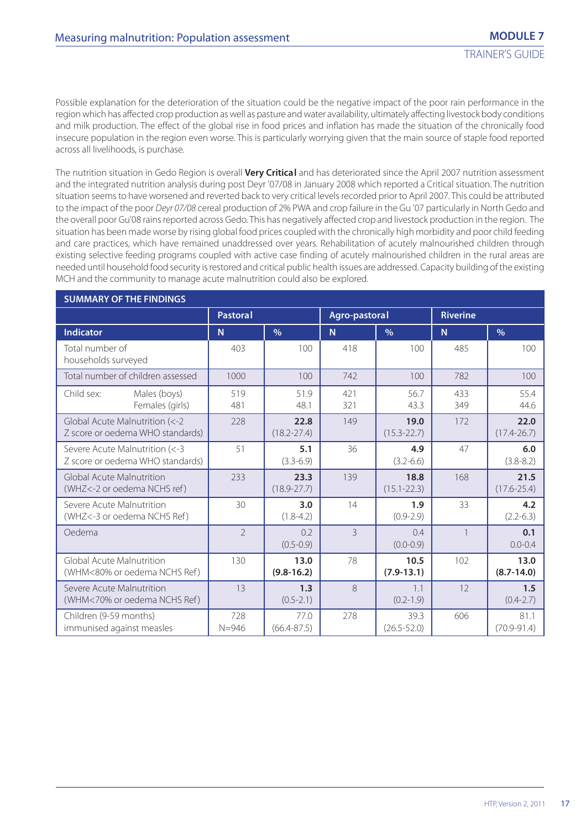Possible explanation for the deterioration of the situation could be the negative impact of the poor rain performance in the region which has affected crop production as well as pasture and water availability, ultimately affecting livestock body conditions and milk production. The effect of the global rise in food prices and inflation has made the situation of the chronically food insecure population in the region even worse. This is particularly worrying given that the main source of staple food reported across all livelihoods, is purchase.

The nutrition situation in Gedo Region is overall **Very Critical** and has deteriorated since the April 2007 nutrition assessment and the integrated nutrition analysis during post Deyr '07/08 in January 2008 which reported a Critical situation. The nutrition situation seems to have worsened and reverted back to very critical levels recorded prior to April 2007. This could be attributed to the impact of the poor Deyr 07/08 cereal production of 2% PWA and crop failure in the Gu '07 particularly in North Gedo and the overall poor Gu'08 rains reported across Gedo. This has negatively affected crop and livestock production in the region. The situation has been made worse by rising global food prices coupled with the chronically high morbidity and poor child feeding and care practices, which have remained unaddressed over years. Rehabilitation of acutely malnourished children through existing selective feeding programs coupled with active case finding of acutely malnourished children in the rural areas are needed until household food security is restored and critical public health issues are addressed. Capacity building of the existing MCH and the community to manage acute malnutrition could also be explored.

| <b>SUMMARY OF THE FINDINGS</b>                                     |                  |                         |                |                         |                 |                         |  |  |  |  |
|--------------------------------------------------------------------|------------------|-------------------------|----------------|-------------------------|-----------------|-------------------------|--|--|--|--|
|                                                                    | <b>Pastoral</b>  |                         | Agro-pastoral  |                         | <b>Riverine</b> |                         |  |  |  |  |
| <b>Indicator</b>                                                   | N <sub>1</sub>   | $\frac{0}{0}$           | N <sub>1</sub> | $\frac{0}{0}$           | N <sub>1</sub>  | $\frac{0}{0}$           |  |  |  |  |
| Total number of<br>households surveyed                             | 403              | 100                     | 418            | 100                     | 485             | 100                     |  |  |  |  |
| Total number of children assessed                                  | 1000             | 100                     | 742            | 100                     | 782             | 100                     |  |  |  |  |
| Child sex:<br>Males (boys)<br>Females (girls)                      | 519<br>481       | 51.9<br>48.1            | 421<br>321     | 56.7<br>43.3            | 433<br>349      | 55.4<br>44.6            |  |  |  |  |
| Global Acute Malnutrition (<-2<br>Z score or oedema WHO standards) | 228              | 22.8<br>$(18.2 - 27.4)$ | 149            | 19.0<br>$(15.3 - 22.7)$ | 172             | 22.0<br>$(17.4 - 26.7)$ |  |  |  |  |
| Severe Acute Malnutrition (<-3<br>Z score or oedema WHO standards) | 51               | 5.1<br>$(3.3 - 6.9)$    | 36             | 4.9<br>$(3.2 - 6.6)$    | 47              | 6.0<br>$(3.8 - 8.2)$    |  |  |  |  |
| Global Acute Malnutrition<br>(WHZ<-2 or oedema NCHS ref)           | 233              | 23.3<br>$(18.9 - 27.7)$ | 139            | 18.8<br>$(15.1 - 22.3)$ | 168             | 21.5<br>$(17.6 - 25.4)$ |  |  |  |  |
| Severe Acute Malnutrition<br>(WHZ<-3 or oedema NCHS Ref)           | 30               | 3.0<br>$(1.8 - 4.2)$    | 14             | 1.9<br>$(0.9 - 2.9)$    | 33              | 4.2<br>$(2.2 - 6.3)$    |  |  |  |  |
| Oedema                                                             | $\overline{2}$   | 0.2<br>$(0.5 - 0.9)$    | 3              | 0.4<br>$(0.0 - 0.9)$    |                 | 0.1<br>$0.0 - 0.4$      |  |  |  |  |
| Global Acute Malnutrition<br>(WHM<80% or oedema NCHS Ref)          | 130              | 13.0<br>$(9.8 - 16.2)$  | 78             | 10.5<br>$(7.9 - 13.1)$  | 102             | 13.0<br>$(8.7 - 14.0)$  |  |  |  |  |
| Severe Acute Malnutrition<br>(WHM<70% or oedema NCHS Ref)          | 13               | 1.3<br>$(0.5 - 2.1)$    | 8              | 1.1<br>$(0.2 - 1.9)$    | 12              | 1.5<br>$(0.4 - 2.7)$    |  |  |  |  |
| Children (9-59 months)<br>immunised against measles                | 728<br>$N = 946$ | 77.0<br>$(66.4 - 87.5)$ | 278            | 39.3<br>$(26.5 - 52.0)$ | 606             | 81.1<br>$(70.9 - 91.4)$ |  |  |  |  |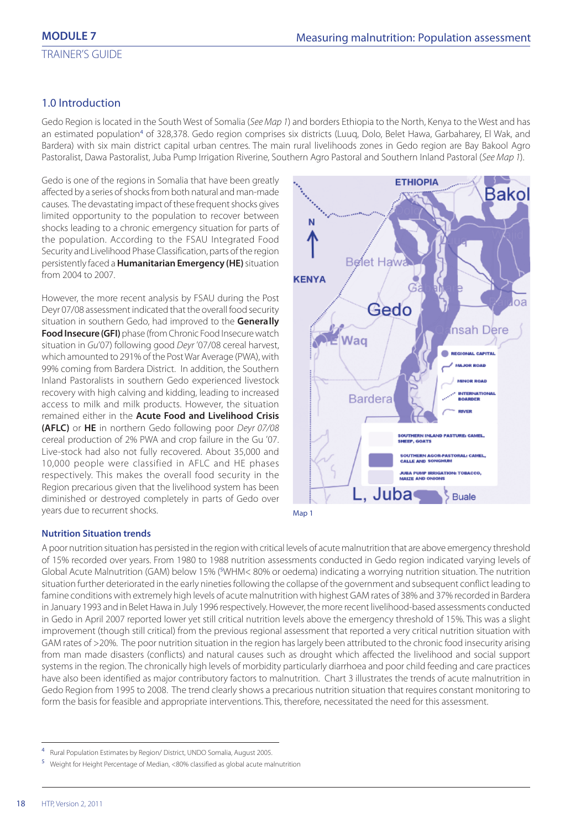## 1.0 Introduction

Gedo Region is located in the South West of Somalia (See Map 1) and borders Ethiopia to the North, Kenya to the West and has an estimated population<sup>4</sup> of 328,378. Gedo region comprises six districts (Luuq, Dolo, Belet Hawa, Garbaharey, El Wak, and Bardera) with six main district capital urban centres. The main rural livelihoods zones in Gedo region are Bay Bakool Agro Pastoralist, Dawa Pastoralist, Juba Pump Irrigation Riverine, Southern Agro Pastoral and Southern Inland Pastoral (See Map 1).

Gedo is one of the regions in Somalia that have been greatly affected by a series of shocks from both natural and man-made causes. The devastating impact of these frequent shocks gives limited opportunity to the population to recover between shocks leading to a chronic emergency situation for parts of the population. According to the FSAU Integrated Food Security and Livelihood Phase Classification, parts of the region persistently faced a **Humanitarian Emergency (HE)** situation from 2004 to 2007.

However, the more recent analysis by FSAU during the Post Deyr 07/08 assessment indicated that the overall food security situation in southern Gedo, had improved to the **Generally Food Insecure (GFI)** phase (from Chronic Food Insecure watch situation in Gu'07) following good Deyr '07/08 cereal harvest, which amounted to 291% of the Post War Average (PWA), with 99% coming from Bardera District. In addition, the Southern Inland Pastoralists in southern Gedo experienced livestock recovery with high calving and kidding, leading to increased access to milk and milk products. However, the situation remained either in the **Acute Food and Livelihood Crisis (AFLC)** or **HE** in northern Gedo following poor Deyr 07/08 cereal production of 2% PWA and crop failure in the Gu '07. Live-stock had also not fully recovered. About 35,000 and 10,000 people were classified in AFLC and HE phases respectively. This makes the overall food security in the Region precarious given that the livelihood system has been diminished or destroyed completely in parts of Gedo over years due to recurrent shocks.





#### **Nutrition Situation trends**

A poor nutrition situation has persisted in the region with critical levels of acute malnutrition that are above emergency threshold of 15% recorded over years. From 1980 to 1988 nutrition assessments conducted in Gedo region indicated varying levels of Global Acute Malnutrition (GAM) below 15% (5WHM< 80% or oedema) indicating a worrying nutrition situation. The nutrition situation further deteriorated in the early nineties following the collapse of the government and subsequent conflict leading to famine conditions with extremely high levels of acute malnutrition with highest GAM rates of 38% and 37% recorded in Bardera in January 1993 and in Belet Hawa in July 1996 respectively. However, the more recent livelihood-based assessments conducted in Gedo in April 2007 reported lower yet still critical nutrition levels above the emergency threshold of 15%. This was a slight improvement (though still critical) from the previous regional assessment that reported a very critical nutrition situation with GAM rates of >20%. The poor nutrition situation in the region has largely been attributed to the chronic food insecurity arising from man made disasters (conflicts) and natural causes such as drought which affected the livelihood and social support systems in the region. The chronically high levels of morbidity particularly diarrhoea and poor child feeding and care practices have also been identified as major contributory factors to malnutrition. Chart 3 illustrates the trends of acute malnutrition in Gedo Region from 1995 to 2008. The trend clearly shows a precarious nutrition situation that requires constant monitoring to form the basis for feasible and appropriate interventions. This, therefore, necessitated the need for this assessment.

<sup>4</sup> Rural Population Estimates by Region/ District, UNDO Somalia, August 2005.

<sup>5</sup> Weight for Height Percentage of Median, <80% classified as global acute malnutrition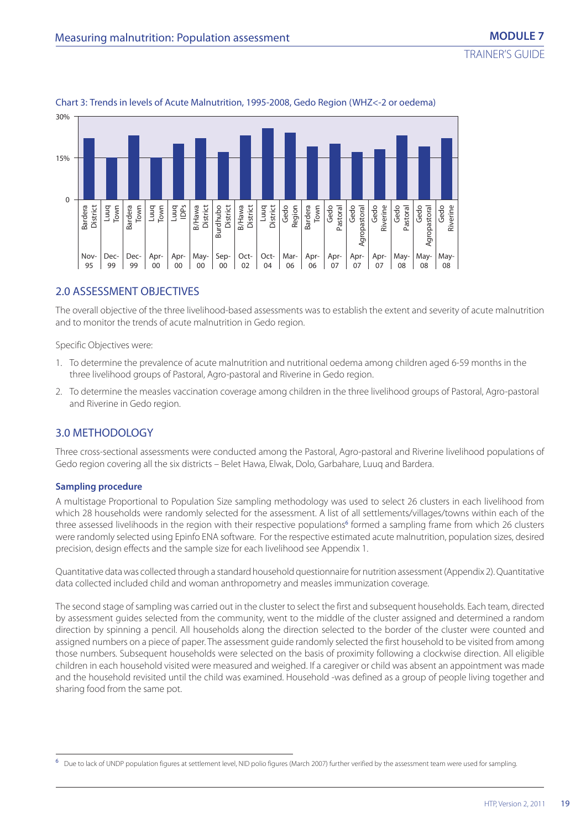

## Chart 3: Trends in levels of Acute Malnutrition, 1995-2008, Gedo Region (WHZ<-2 or oedema)

## 2.0 ASSESSMENT OBJECTIVES

The overall objective of the three livelihood-based assessments was to establish the extent and severity of acute malnutrition and to monitor the trends of acute malnutrition in Gedo region.

Specific Objectives were:

- 1. To determine the prevalence of acute malnutrition and nutritional oedema among children aged 6-59 months in the three livelihood groups of Pastoral, Agro-pastoral and Riverine in Gedo region.
- 2. To determine the measles vaccination coverage among children in the three livelihood groups of Pastoral, Agro-pastoral and Riverine in Gedo region.

## 3.0 METHODOLOGY

Three cross-sectional assessments were conducted among the Pastoral, Agro-pastoral and Riverine livelihood populations of Gedo region covering all the six districts – Belet Hawa, Elwak, Dolo, Garbahare, Luuq and Bardera.

#### **Sampling procedure**

A multistage Proportional to Population Size sampling methodology was used to select 26 clusters in each livelihood from which 28 households were randomly selected for the assessment. A list of all settlements/villages/towns within each of the three assessed livelihoods in the region with their respective populations<sup>6</sup> formed a sampling frame from which 26 clusters were randomly selected using Epinfo ENA software. For the respective estimated acute malnutrition, population sizes, desired precision, design effects and the sample size for each livelihood see Appendix 1.

Quantitative data was collected through a standard household questionnaire for nutrition assessment (Appendix 2). Quantitative data collected included child and woman anthropometry and measles immunization coverage.

The second stage of sampling was carried out in the cluster to select the first and subsequent households. Each team, directed by assessment guides selected from the community, went to the middle of the cluster assigned and determined a random direction by spinning a pencil. All households along the direction selected to the border of the cluster were counted and assigned numbers on a piece of paper. The assessment guide randomly selected the first household to be visited from among those numbers. Subsequent households were selected on the basis of proximity following a clockwise direction. All eligible children in each household visited were measured and weighed. If a caregiver or child was absent an appointment was made and the household revisited until the child was examined. Household -was defined as a group of people living together and sharing food from the same pot.

<sup>&</sup>lt;sup>6</sup> Due to lack of UNDP population figures at settlement level, NID polio figures (March 2007) further verified by the assessment team were used for sampling.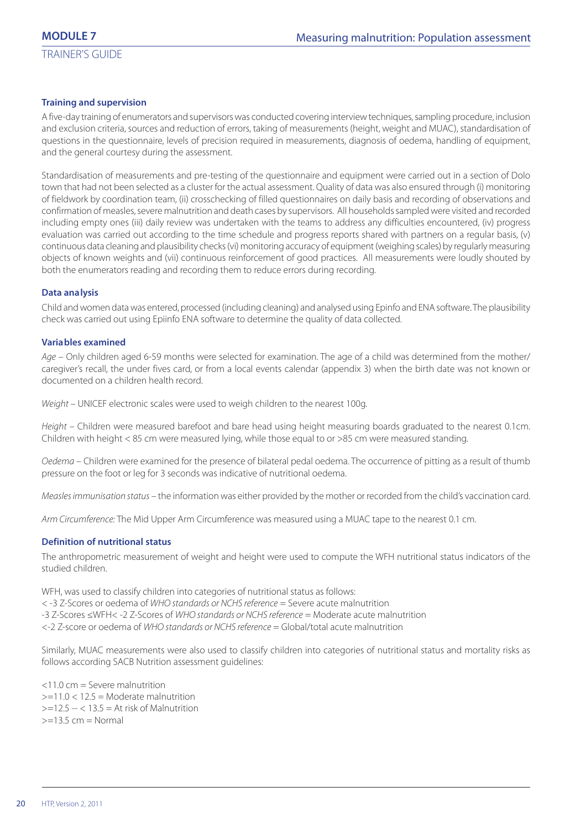## **Training and supervision**

A five-day training of enumerators and supervisors was conducted covering interview techniques, sampling procedure, inclusion and exclusion criteria, sources and reduction of errors, taking of measurements (height, weight and MUAC), standardisation of questions in the questionnaire, levels of precision required in measurements, diagnosis of oedema, handling of equipment, and the general courtesy during the assessment.

Standardisation of measurements and pre-testing of the questionnaire and equipment were carried out in a section of Dolo town that had not been selected as a cluster for the actual assessment. Quality of data was also ensured through (i) monitoring of fieldwork by coordination team, (ii) crosschecking of filled questionnaires on daily basis and recording of observations and confirmation of measles, severe malnutrition and death cases by supervisors. All households sampled were visited and recorded including empty ones (iii) daily review was undertaken with the teams to address any difficulties encountered, (iv) progress evaluation was carried out according to the time schedule and progress reports shared with partners on a regular basis, (v) continuous data cleaning and plausibility checks (vi) monitoring accuracy of equipment (weighing scales) by regularly measuring objects of known weights and (vii) continuous reinforcement of good practices. All measurements were loudly shouted by both the enumerators reading and recording them to reduce errors during recording.

#### **Data analysis**

Child and women data was entered, processed (including cleaning) and analysed using Epinfo and ENA software. The plausibility check was carried out using Epiinfo ENA software to determine the quality of data collected.

#### **Variables examined**

Age – Only children aged 6-59 months were selected for examination. The age of a child was determined from the mother/ caregiver's recall, the under fives card, or from a local events calendar (appendix 3) when the birth date was not known or documented on a children health record.

Weight – UNICEF electronic scales were used to weigh children to the nearest 100g.

Height – Children were measured barefoot and bare head using height measuring boards graduated to the nearest 0.1cm. Children with height < 85 cm were measured lying, while those equal to or >85 cm were measured standing.

Oedema – Children were examined for the presence of bilateral pedal oedema. The occurrence of pitting as a result of thumb pressure on the foot or leg for 3 seconds was indicative of nutritional oedema.

Measles immunisation status – the information was either provided by the mother or recorded from the child's vaccination card.

Arm Circumference: The Mid Upper Arm Circumference was measured using a MUAC tape to the nearest 0.1 cm.

#### **Definition of nutritional status**

The anthropometric measurement of weight and height were used to compute the WFH nutritional status indicators of the studied children.

WFH, was used to classify children into categories of nutritional status as follows:

< -3 Z-Scores or oedema of WHO standards or NCHS reference = Severe acute malnutrition

-3 Z-Scores ≤WFH< -2 Z-Scores of WHO standards or NCHS reference = Moderate acute malnutrition

<-2 Z-score or oedema of WHO standards or NCHS reference = Global/total acute malnutrition

Similarly, MUAC measurements were also used to classify children into categories of nutritional status and mortality risks as follows according SACB Nutrition assessment guidelines:

<11.0 cm = Severe malnutrition  $>=11.0 < 12.5$  = Moderate malnutrition  $>=12.5 - < 13.5 =$  At risk of Malnutrition  $>=13.5$  cm = Normal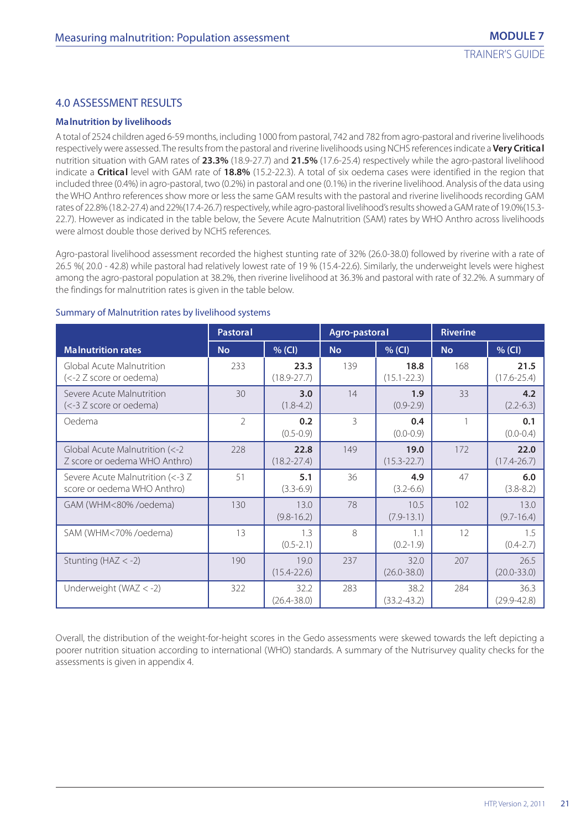## 4.0 ASSESSMENT RESULTS

#### **Malnutrition by livelihoods**

A total of 2524 children aged 6-59 months, including 1000 from pastoral, 742 and 782 from agro-pastoral and riverine livelihoods respectively were assessed. The results from the pastoral and riverine livelihoods using NCHS references indicate a **Very Critical** nutrition situation with GAM rates of **23.3%** (18.9-27.7) and **21.5%** (17.6-25.4) respectively while the agro-pastoral livelihood indicate a **Critical** level with GAM rate of **18.8%** (15.2-22.3). A total of six oedema cases were identified in the region that included three (0.4%) in agro-pastoral, two (0.2%) in pastoral and one (0.1%) in the riverine livelihood. Analysis of the data using the WHO Anthro references show more or less the same GAM results with the pastoral and riverine livelihoods recording GAM rates of 22.8% (18.2-27.4) and 22%(17.4-26.7) respectively, while agro-pastoral livelihood's results showed a GAM rate of 19.0%(15.3- 22.7). However as indicated in the table below, the Severe Acute Malnutrition (SAM) rates by WHO Anthro across livelihoods were almost double those derived by NCHS references.

Agro-pastoral livelihood assessment recorded the highest stunting rate of 32% (26.0-38.0) followed by riverine with a rate of 26.5 %( 20.0 - 42.8) while pastoral had relatively lowest rate of 19 % (15.4-22.6). Similarly, the underweight levels were highest among the agro-pastoral population at 38.2%, then riverine livelihood at 36.3% and pastoral with rate of 32.2%. A summary of the findings for malnutrition rates is given in the table below.

|                                                                 | <b>Pastoral</b> |                         | Agro-pastoral |                         | <b>Riverine</b> |                         |
|-----------------------------------------------------------------|-----------------|-------------------------|---------------|-------------------------|-----------------|-------------------------|
| <b>Malnutrition rates</b>                                       | <b>No</b>       | $%$ (CI)                | <b>No</b>     | $%$ (CI)                | <b>No</b>       | $%$ (CI)                |
| Global Acute Malnutrition<br>(<-2 Z score or oedema)            | 233             | 23.3<br>$(18.9 - 27.7)$ | 139           | 18.8<br>$(15.1 - 22.3)$ | 168             | 21.5<br>$(17.6 - 25.4)$ |
| Severe Acute Malnutrition<br>(<-3 Z score or oedema)            | 30              | 3.0<br>$(1.8 - 4.2)$    | 14            | 1.9<br>$(0.9 - 2.9)$    | 33              | 4.2<br>$(2.2 - 6.3)$    |
| Oedema                                                          | $\overline{2}$  | 0.2<br>$(0.5 - 0.9)$    | 3             | 0.4<br>$(0.0 - 0.9)$    |                 | 0.1<br>$(0.0 - 0.4)$    |
| Global Acute Malnutrition (<-2<br>Z score or oedema WHO Anthro) | 228             | 22.8<br>$(18.2 - 27.4)$ | 149           | 19.0<br>$(15.3 - 22.7)$ | 172             | 22.0<br>$(17.4 - 26.7)$ |
| Severe Acute Malnutrition (<-3 Z<br>score or oedema WHO Anthro) | 51              | 5.1<br>$(3.3-6.9)$      | 36            | 4.9<br>$(3.2 - 6.6)$    | 47              | 6.0<br>$(3.8 - 8.2)$    |
| GAM (WHM<80%/oedema)                                            | 130             | 13.0<br>$(9.8 - 16.2)$  | 78            | 10.5<br>$(7.9 - 13.1)$  | 102             | 13.0<br>$(9.7 - 16.4)$  |
| SAM (WHM<70%/oedema)                                            | 13              | 1.3<br>$(0.5 - 2.1)$    | 8             | 1.1<br>$(0.2 - 1.9)$    | 12              | 1.5<br>$(0.4 - 2.7)$    |
| Stunting ( $HAZ < -2$ )                                         | 190             | 19.0<br>$(15.4 - 22.6)$ | 237           | 32.0<br>$(26.0 - 38.0)$ | 207             | 26.5<br>$(20.0 - 33.0)$ |
| Underweight (WAZ $< -2$ )                                       | 322             | 32.2<br>$(26.4 - 38.0)$ | 283           | 38.2<br>$(33.2 - 43.2)$ | 284             | 36.3<br>$(29.9 - 42.8)$ |

## Summary of Malnutrition rates by livelihood systems

Overall, the distribution of the weight-for-height scores in the Gedo assessments were skewed towards the left depicting a poorer nutrition situation according to international (WHO) standards. A summary of the Nutrisurvey quality checks for the assessments is given in appendix 4.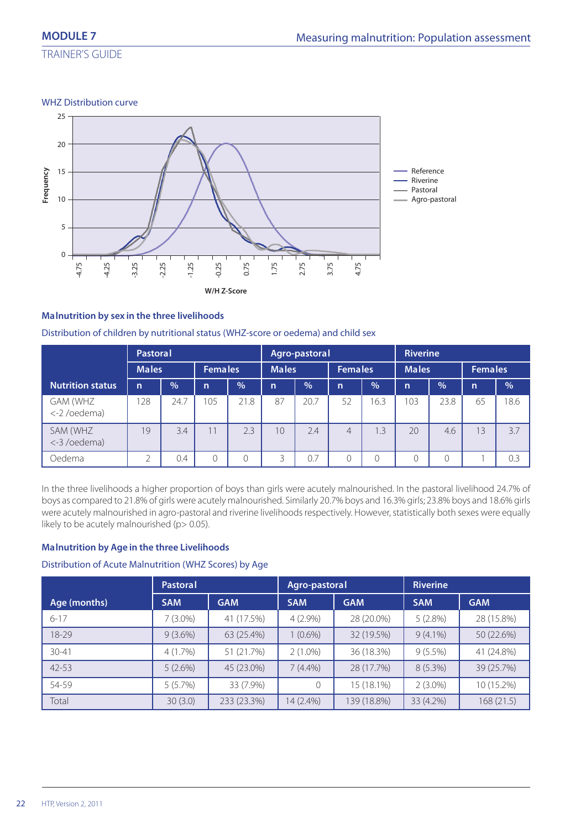TRAINER'S GUIDE

WHZ Distribution curve



## **Malnutrition by sex in the three livelihoods**

Distribution of children by nutritional status (WHZ-score or oedema) and child sex

| <b>Pastoral</b>         |              |               |              |                | Agro-pastoral |               |                |                | <b>Riverine</b> |               |              |               |  |
|-------------------------|--------------|---------------|--------------|----------------|---------------|---------------|----------------|----------------|-----------------|---------------|--------------|---------------|--|
|                         |              | <b>Males</b>  |              | <b>Females</b> |               | <b>Males</b>  |                | <b>Females</b> |                 | <b>Males</b>  |              | Females       |  |
| <b>Nutrition status</b> | $\mathsf{n}$ | $\frac{9}{6}$ | $\mathsf{n}$ | $\frac{0}{0}$  | $\mathsf{n}$  | $\frac{0}{0}$ | $\mathsf{n}$   | $\frac{0}{0}$  | $\mathsf{n}$    | $\frac{9}{6}$ | $\mathsf{n}$ | $\frac{0}{0}$ |  |
| GAM (WHZ<br><-2/oedema) | 128          | 24.7          | 105          | 21.8           | 87            | 20.7          | 52             | 16.3           | 103             | 23.8          | 65           | 18.6          |  |
| SAM (WHZ<br><-3/oedema) | 19           | 3.4           | 11           | 2.3            | 10            | 2.4           | $\overline{4}$ | 1.3            | 20              | 4.6           | 13           | 3.7           |  |
| Oedema                  | っ            | 0.4           | 0            |                | 3             | 0.7           |                | $\bigcap$      |                 |               |              | 0.3           |  |

In the three livelihoods a higher proportion of boys than girls were acutely malnourished. In the pastoral livelihood 24.7% of boys as compared to 21.8% of girls were acutely malnourished. Similarly 20.7% boys and 16.3% girls; 23.8% boys and 18.6% girls were acutely malnourished in agro-pastoral and riverine livelihoods respectively. However, statistically both sexes were equally likely to be acutely malnourished (p> 0.05).

## **Malnutrition by Age in the three Livelihoods**

## Distribution of Acute Malnutrition (WHZ Scores) by Age

|              | <b>Pastoral</b> |             |               | Agro-pastoral | <b>Riverine</b> |            |  |
|--------------|-----------------|-------------|---------------|---------------|-----------------|------------|--|
| Age (months) | <b>SAM</b>      | <b>GAM</b>  | <b>SAM</b>    | <b>GAM</b>    | <b>SAM</b>      | <b>GAM</b> |  |
| $6 - 17$     | $7(3.0\%)$      | 41 (17.5%)  | $4(2.9\%)$    | 28 (20.0%)    | 5(2.8%)         | 28 (15.8%) |  |
| 18-29        | $9(3.6\%)$      | 63 (25.4%)  | $(0.6\%)$     | 32 (19.5%)    | $9(4.1\%)$      | 50 (22.6%) |  |
| $30 - 41$    | $4(1.7\%)$      | 51 (21.7%)  | $2(1.0\%)$    | 36 (18.3%)    | $9(5.5\%)$      | 41 (24.8%) |  |
| $42 - 53$    | 5(2.6%)         | 45 (23.0%)  | $7(4.4\%)$    | 28 (17.7%)    | $8(5.3\%)$      | 39 (25.7%) |  |
| 54-59        | 5(5.7%)         | 33 (7.9%)   | $\mathcal{O}$ | 15 (18.1%)    | $2(3.0\%)$      | 10 (15.2%) |  |
| Total        | 30(3.0)         | 233 (23.3%) | 14 (2.4%)     | 139 (18.8%)   | 33 (4.2%)       | 168(21.5)  |  |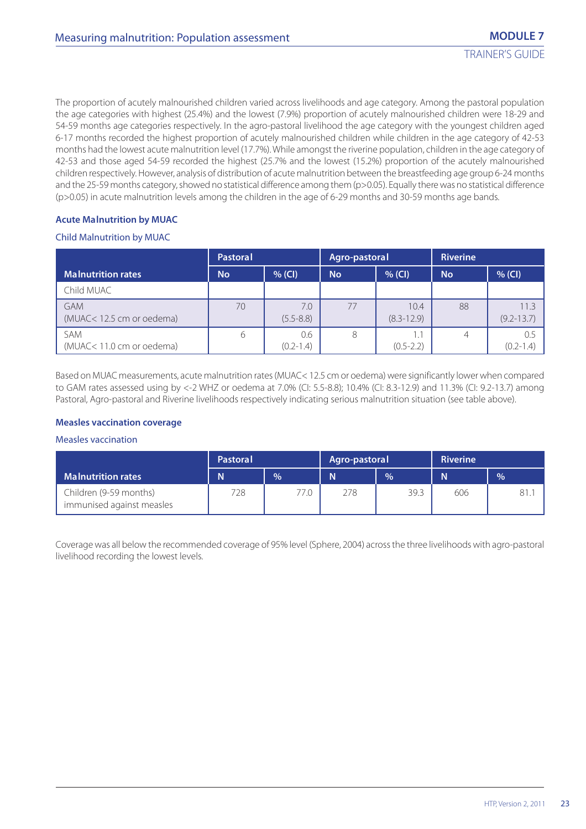The proportion of acutely malnourished children varied across livelihoods and age category. Among the pastoral population the age categories with highest (25.4%) and the lowest (7.9%) proportion of acutely malnourished children were 18-29 and 54-59 months age categories respectively. In the agro-pastoral livelihood the age category with the youngest children aged 6-17 months recorded the highest proportion of acutely malnourished children while children in the age category of 42-53 months had the lowest acute malnutrition level (17.7%). While amongst the riverine population, children in the age category of 42-53 and those aged 54-59 recorded the highest (25.7% and the lowest (15.2%) proportion of the acutely malnourished children respectively. However, analysis of distribution of acute malnutrition between the breastfeeding age group 6-24 months and the 25-59 months category, showed no statistical difference among them (p>0.05). Equally there was no statistical difference (p>0.05) in acute malnutrition levels among the children in the age of 6-29 months and 30-59 months age bands.

## **Acute Malnutrition by MUAC**

## Child Malnutrition by MUAC

|                                        | <b>Pastoral</b> |                      | Agro-pastoral |                        | <b>Riverine</b> |                        |
|----------------------------------------|-----------------|----------------------|---------------|------------------------|-----------------|------------------------|
| <b>Malnutrition rates</b>              | <b>No</b>       | $%$ (CI)             | <b>No</b>     | $%$ (CI)               | <b>No</b>       | $%$ (CI)               |
| Child MUAC                             |                 |                      |               |                        |                 |                        |
| <b>GAM</b><br>(MUAC<12.5 cm or oedema) | 70              | 7.0<br>$(5.5 - 8.8)$ | 77            | 10.4<br>$(8.3 - 12.9)$ | 88              | 11.3<br>$(9.2 - 13.7)$ |
| SAM<br>(MUAC<11.0 cm or oedema)        | 6               | 0.6<br>$(0.2 - 1.4)$ | 8             | 1.1<br>$(0.5 - 2.2)$   |                 | 0.5<br>$(0.2 - 1.4)$   |

Based on MUAC measurements, acute malnutrition rates (MUAC< 12.5 cm or oedema) were significantly lower when compared to GAM rates assessed using by <-2 WHZ or oedema at 7.0% (CI: 5.5-8.8); 10.4% (CI: 8.3-12.9) and 11.3% (CI: 9.2-13.7) among Pastoral, Agro-pastoral and Riverine livelihoods respectively indicating serious malnutrition situation (see table above).

## **Measles vaccination coverage**

#### Measles vaccination

|                                                     | <b>Pastoral</b> |      | Agro-pastoral |               | <b>Riverine</b> |               |
|-----------------------------------------------------|-----------------|------|---------------|---------------|-----------------|---------------|
| <b>Malnutrition rates</b>                           | N               | $\%$ | N             | $\frac{9}{6}$ | N               | $\frac{9}{6}$ |
| Children (9-59 months)<br>immunised against measles | 728             | 77.0 | 278           | 39.3          | 606             | 81.           |

Coverage was all below the recommended coverage of 95% level (Sphere, 2004) across the three livelihoods with agro-pastoral livelihood recording the lowest levels.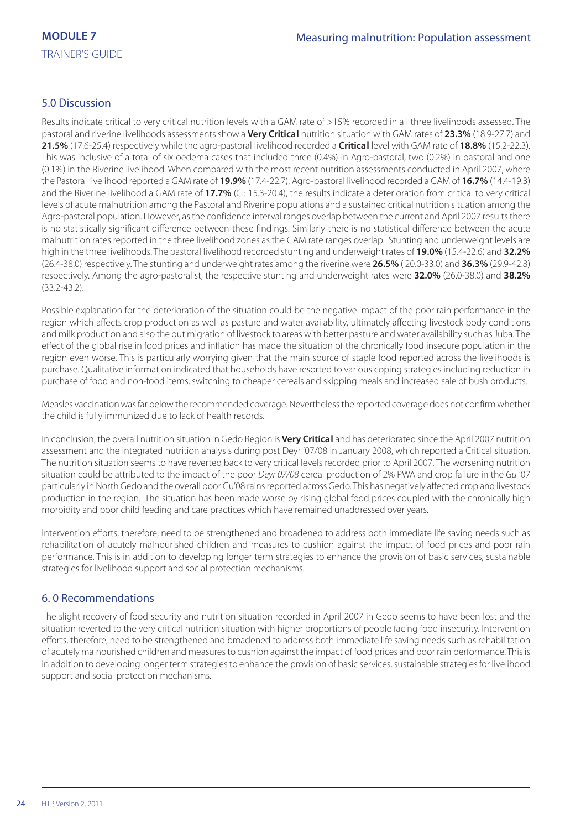## 5.0 Discussion

Results indicate critical to very critical nutrition levels with a GAM rate of >15% recorded in all three livelihoods assessed. The pastoral and riverine livelihoods assessments show a **Very Critical** nutrition situation with GAM rates of **23.3%** (18.9-27.7) and **21.5%** (17.6-25.4) respectively while the agro-pastoral livelihood recorded a **Critical** level with GAM rate of **18.8%** (15.2-22.3). This was inclusive of a total of six oedema cases that included three (0.4%) in Agro-pastoral, two (0.2%) in pastoral and one (0.1%) in the Riverine livelihood. When compared with the most recent nutrition assessments conducted in April 2007, where the Pastoral livelihood reported a GAM rate of **19.9%** (17.4-22.7), Agro-pastoral livelihood recorded a GAM of **16.7%** (14.4-19.3) and the Riverine livelihood a GAM rate of **17.7%** (CI: 15.3-20.4), the results indicate a deterioration from critical to very critical levels of acute malnutrition among the Pastoral and Riverine populations and a sustained critical nutrition situation among the Agro-pastoral population. However, as the confidence interval ranges overlap between the current and April 2007 results there is no statistically significant difference between these findings. Similarly there is no statistical difference between the acute malnutrition rates reported in the three livelihood zones as the GAM rate ranges overlap. Stunting and underweight levels are high in the three livelihoods. The pastoral livelihood recorded stunting and underweight rates of **19.0%** (15.4-22.6) and **32.2%** (26.4-38.0) respectively. The stunting and underweight rates among the riverine were **26.5%** ( 20.0-33.0) and **36.3%** (29.9-42.8) respectively. Among the agro-pastoralist, the respective stunting and underweight rates were **32.0%** (26.0-38.0) and **38.2%** (33.2-43.2).

Possible explanation for the deterioration of the situation could be the negative impact of the poor rain performance in the region which affects crop production as well as pasture and water availability, ultimately affecting livestock body conditions and milk production and also the out migration of livestock to areas with better pasture and water availability such as Juba. The effect of the global rise in food prices and inflation has made the situation of the chronically food insecure population in the region even worse. This is particularly worrying given that the main source of staple food reported across the livelihoods is purchase. Qualitative information indicated that households have resorted to various coping strategies including reduction in purchase of food and non-food items, switching to cheaper cereals and skipping meals and increased sale of bush products.

Measles vaccination was far below the recommended coverage. Nevertheless the reported coverage does not confirm whether the child is fully immunized due to lack of health records.

In conclusion, the overall nutrition situation in Gedo Region is **Very Critical** and has deteriorated since the April 2007 nutrition assessment and the integrated nutrition analysis during post Deyr '07/08 in January 2008, which reported a Critical situation. The nutrition situation seems to have reverted back to very critical levels recorded prior to April 2007. The worsening nutrition situation could be attributed to the impact of the poor Deyr 07/08 cereal production of 2% PWA and crop failure in the Gu '07 particularly in North Gedo and the overall poor Gu'08 rains reported across Gedo. This has negatively affected crop and livestock production in the region. The situation has been made worse by rising global food prices coupled with the chronically high morbidity and poor child feeding and care practices which have remained unaddressed over years.

Intervention efforts, therefore, need to be strengthened and broadened to address both immediate life saving needs such as rehabilitation of acutely malnourished children and measures to cushion against the impact of food prices and poor rain performance. This is in addition to developing longer term strategies to enhance the provision of basic services, sustainable strategies for livelihood support and social protection mechanisms.

## 6. 0 Recommendations

The slight recovery of food security and nutrition situation recorded in April 2007 in Gedo seems to have been lost and the situation reverted to the very critical nutrition situation with higher proportions of people facing food insecurity. Intervention efforts, therefore, need to be strengthened and broadened to address both immediate life saving needs such as rehabilitation of acutely malnourished children and measures to cushion against the impact of food prices and poor rain performance. This is in addition to developing longer term strategies to enhance the provision of basic services, sustainable strategies for livelihood support and social protection mechanisms.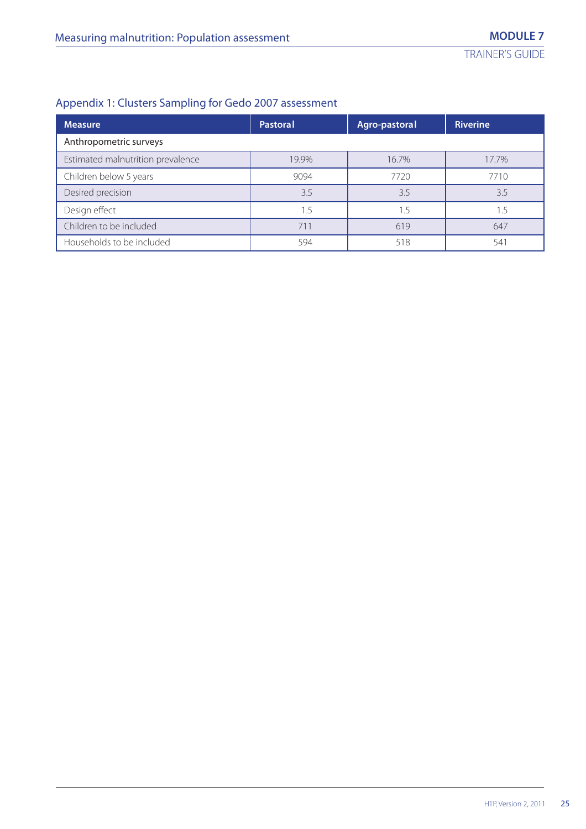## Appendix 1: Clusters Sampling for Gedo 2007 assessment

| <b>Measure</b>                    | Pastoral | Agro-pastoral | <b>Riverine</b> |  |
|-----------------------------------|----------|---------------|-----------------|--|
| Anthropometric surveys            |          |               |                 |  |
| Estimated malnutrition prevalence | 19.9%    | 16.7%         | 17.7%           |  |
| Children below 5 years            | 9094     | 7720          | 7710            |  |
| Desired precision                 | 3.5      | 3.5           | 3.5             |  |
| Design effect                     | 1.5      | 1.5           | 1.5             |  |
| Children to be included           | 711      | 619           | 647             |  |
| Households to be included         | 594      | 518           | 541             |  |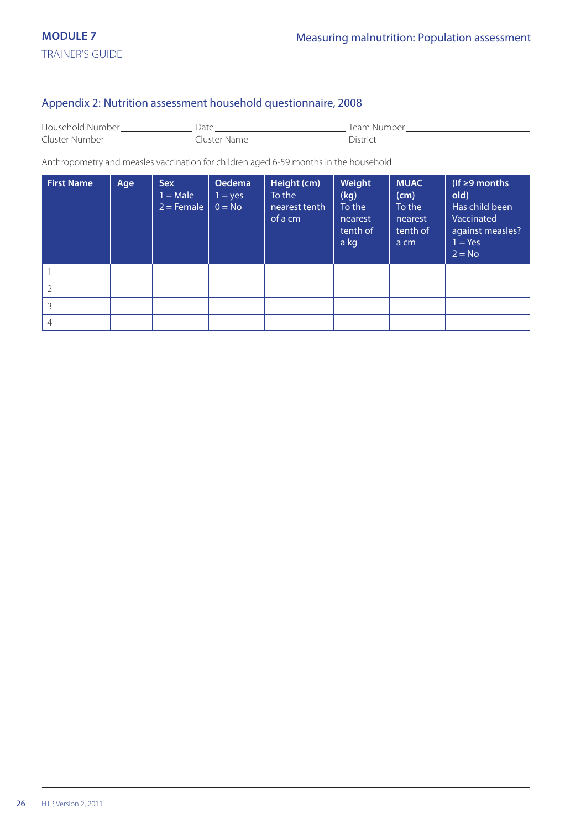## Appendix 2: Nutrition assessment household questionnaire, 2008

| Household Number. |             | Team Number       |
|-------------------|-------------|-------------------|
| Cluster Number.   | Tuster Name | ∩ictri <i>r</i> ı |

Anthropometry and measles vaccination for children aged 6-59 months in the household

| <b>First Name</b> | Age | <b>Sex</b><br>$1 = Male$<br>$2 =$ Female | Oedema<br>$1 = yes$<br>$0 = No$ | Height (cm)<br>To the<br>nearest tenth<br>of a cm | Weight<br>(kg)<br>To the<br>nearest<br>tenth of<br>a kg | <b>MUAC</b><br>(cm)<br>To the<br>nearest<br>tenth of<br>a cm | (If $\geq$ 9 months<br>old)<br>Has child been<br>Vaccinated<br>against measles?<br>$1 = Yes$<br>$2 = No$ |
|-------------------|-----|------------------------------------------|---------------------------------|---------------------------------------------------|---------------------------------------------------------|--------------------------------------------------------------|----------------------------------------------------------------------------------------------------------|
|                   |     |                                          |                                 |                                                   |                                                         |                                                              |                                                                                                          |
|                   |     |                                          |                                 |                                                   |                                                         |                                                              |                                                                                                          |
|                   |     |                                          |                                 |                                                   |                                                         |                                                              |                                                                                                          |
| 4                 |     |                                          |                                 |                                                   |                                                         |                                                              |                                                                                                          |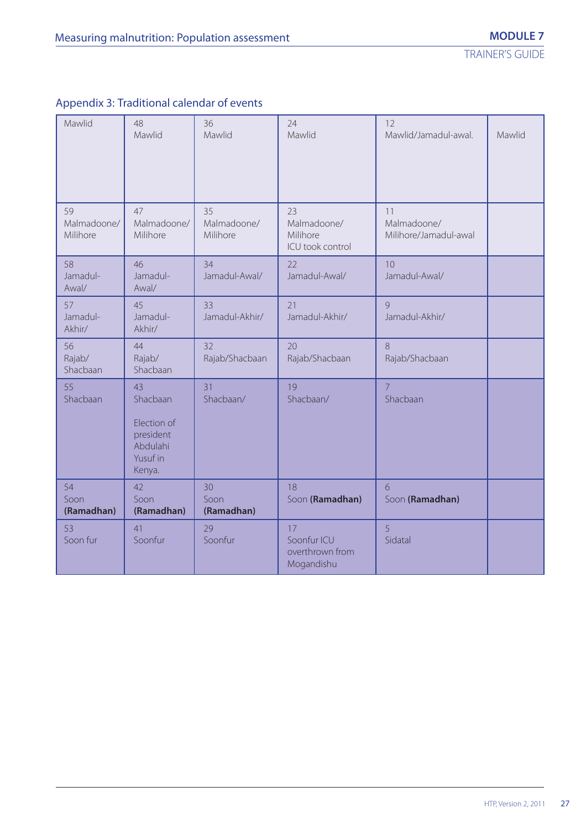| Appendix 3: Traditional calendar of events |  |  |
|--------------------------------------------|--|--|
|                                            |  |  |

| Mawlid                        | 48<br>Mawlid                                                                 | 36<br>Mawlid                  | 24<br>Mawlid                                       | 12<br>Mawlid/Jamadul-awal.                 | Mawlid |
|-------------------------------|------------------------------------------------------------------------------|-------------------------------|----------------------------------------------------|--------------------------------------------|--------|
| 59<br>Malmadoone/<br>Milihore | 47<br>Malmadoone/<br>Milihore                                                | 35<br>Malmadoone/<br>Milihore | 23<br>Malmadoone/<br>Milihore<br>ICU took control  | 11<br>Malmadoone/<br>Milihore/Jamadul-awal |        |
| 58<br>Jamadul-<br>Awal/       | 46<br>Jamadul-<br>Awal/                                                      | 34<br>Jamadul-Awal/           | 22<br>Jamadul-Awal/                                | 10<br>Jamadul-Awal/                        |        |
| 57<br>Jamadul-<br>Akhir/      | 45<br>Jamadul-<br>Akhir/                                                     | 33<br>Jamadul-Akhir/          | 21<br>Jamadul-Akhir/                               | 9<br>Jamadul-Akhir/                        |        |
| 56<br>Rajab/<br>Shacbaan      | 44<br>Rajab/<br>Shacbaan                                                     | 32<br>Rajab/Shacbaan          | 20<br>Rajab/Shacbaan                               | 8<br>Rajab/Shacbaan                        |        |
| 55<br>Shacbaan                | 43<br>Shacbaan<br>Election of<br>president<br>Abdulahi<br>Yusuf in<br>Kenya. | 31<br>Shacbaan/               | 19<br>Shacbaan/                                    | $\overline{7}$<br>Shacbaan                 |        |
| 54<br>Soon<br>(Ramadhan)      | 42<br>Soon<br>(Ramadhan)                                                     | 30<br>Soon<br>(Ramadhan)      | 18<br>Soon (Ramadhan)                              | 6<br>Soon (Ramadhan)                       |        |
| 53<br>Soon fur                | 41<br>Soonfur                                                                | 29<br>Soonfur                 | 17<br>Soonfur ICU<br>overthrown from<br>Mogandishu | 5<br>Sidatal                               |        |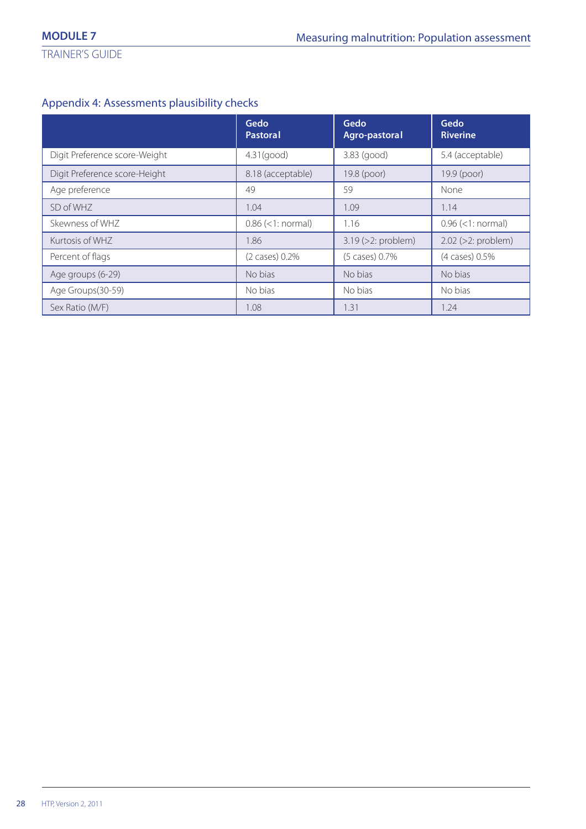## Appendix 4: Assessments plausibility checks

|                               | Gedo<br>Pastoral    | Gedo<br>Agro-pastoral    | Gedo<br><b>Riverine</b>  |
|-------------------------------|---------------------|--------------------------|--------------------------|
| Digit Preference score-Weight | $4.31$ (good)       | 3.83 (good)              | 5.4 (acceptable)         |
| Digit Preference score-Height | 8.18 (acceptable)   | 19.8 (poor)              | 19.9 (poor)              |
| Age preference                | 49                  | 59                       | None                     |
| SD of WHZ                     | 1.04                | 1.09                     | 1.14                     |
| Skewness of WHZ               | $0.86$ (<1: normal) | 1.16                     | $0.96$ (<1: normal)      |
| Kurtosis of WHZ               | 1.86                | $3.19$ ( $>2$ : problem) | $2.02$ ( $>2$ : problem) |
| Percent of flags              | $(2 \cases) 0.2\%$  | (5 cases) 0.7%           | (4 cases) 0.5%           |
| Age groups (6-29)             | No bias             | No bias                  | No bias                  |
| Age Groups(30-59)             | No bias             | No bias                  | No bias                  |
| Sex Ratio (M/F)               | 1.08                | 1.31                     | 1.24                     |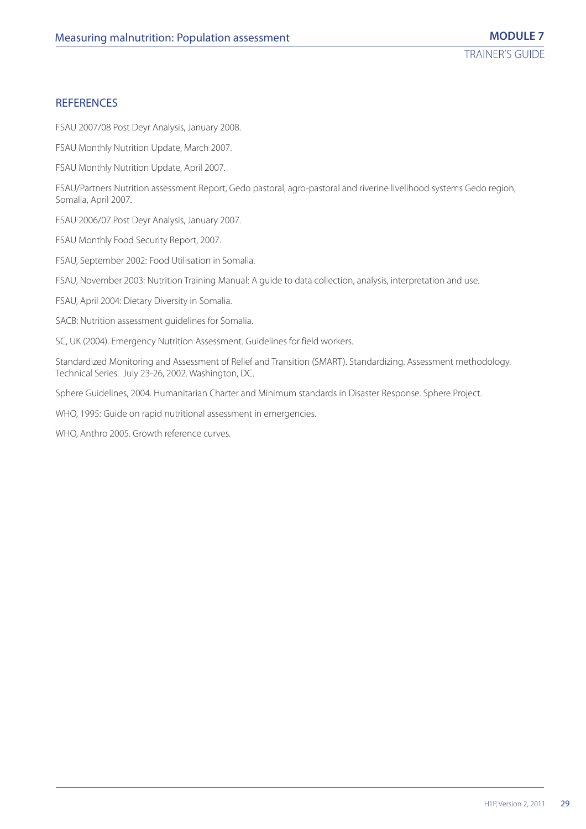## **REFERENCES**

FSAU 2007/08 Post Deyr Analysis, January 2008.

FSAU Monthly Nutrition Update, March 2007.

FSAU Monthly Nutrition Update, April 2007.

FSAU/Partners Nutrition assessment Report, Gedo pastoral, agro-pastoral and riverine livelihood systems Gedo region, Somalia, April 2007.

FSAU 2006/07 Post Deyr Analysis, January 2007.

FSAU Monthly Food Security Report, 2007.

FSAU, September 2002: Food Utilisation in Somalia.

FSAU, November 2003: Nutrition Training Manual: A guide to data collection, analysis, interpretation and use.

FSAU, April 2004: Dietary Diversity in Somalia.

SACB: Nutrition assessment guidelines for Somalia.

SC, UK (2004). Emergency Nutrition Assessment. Guidelines for field workers.

Standardized Monitoring and Assessment of Relief and Transition (SMART). Standardizing. Assessment methodology. Technical Series. July 23-26, 2002. Washington, DC.

Sphere Guidelines, 2004. Humanitarian Charter and Minimum standards in Disaster Response. Sphere Project.

WHO, 1995: Guide on rapid nutritional assessment in emergencies.

WHO, Anthro 2005. Growth reference curves.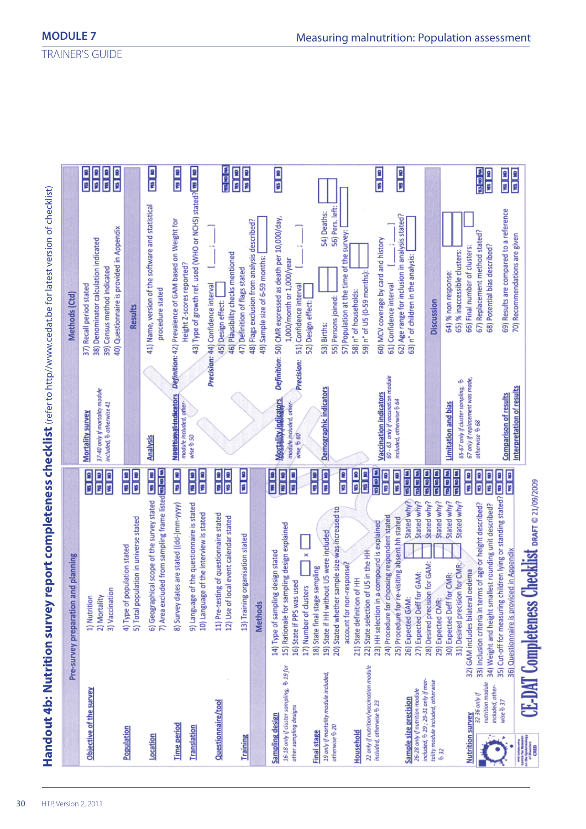| 12 13<br><b>ON   SB</b><br><b>CRI 58</b>                                                                                                              |
|-------------------------------------------------------------------------------------------------------------------------------------------------------|
| <b>CKI</b><br><b>ARS   AD</b><br>5) Total population in universe stated                                                                               |
| E<br>7) Area excluded from sampling frame listed <b>to keep to</b><br>6) Geographical scope of the survey stated                                      |
| 国语<br>8) Survey dates are stated ((dd-)mm-yyyy)                                                                                                       |
| <b>RE</b> MB<br>国图<br>9) Language of the questionnaire is stated<br>10) Language of the interview is stated                                           |
| <b>ORI RM</b><br>国图<br>11) Pre-testing of questionnaire stated<br>12) Use of local event calendar stated                                              |
| <b>RES</b> 180                                                                                                                                        |
|                                                                                                                                                       |
| 国国<br>193 891<br><b>a</b> la<br>15) Rationale for sampling design explained                                                                           |
| <b>THE LIB</b><br>国国<br><b>a</b><br>B<br>20) Stated whether sample size was increased to                                                              |
| <b>ME NO</b><br>国国国<br>125 100<br>23) HH selection in a compound is explained                                                                         |
| 1121 ISS<br>国国国<br><b>CRI</b> RM<br>医四脑<br>Stated why?<br>Stated why?<br>choosing respondent stated<br>25) Procedure for re-visiting absent hh stated |
| 医国国<br>自国国<br>Stated why?<br>Stated why?                                                                                                              |
| 国国国<br>医同型<br>Stated why?<br>Stated why?                                                                                                              |
| 国国<br>国图<br><b>ON 1991</b><br>33) Inclusion criteria in terms of age or height described?                                                             |
| 国图<br><b>SE 1991</b><br>children lying or standing stated?<br>34) Weight and height smallest rounding unit described?                                 |
| ${\bf Checklist}$ draft $\circ$ $\alpha$ $\beta$ $\gamma$ $\beta$ $\gamma$ $\alpha$ $\beta$ $\beta$                                                   |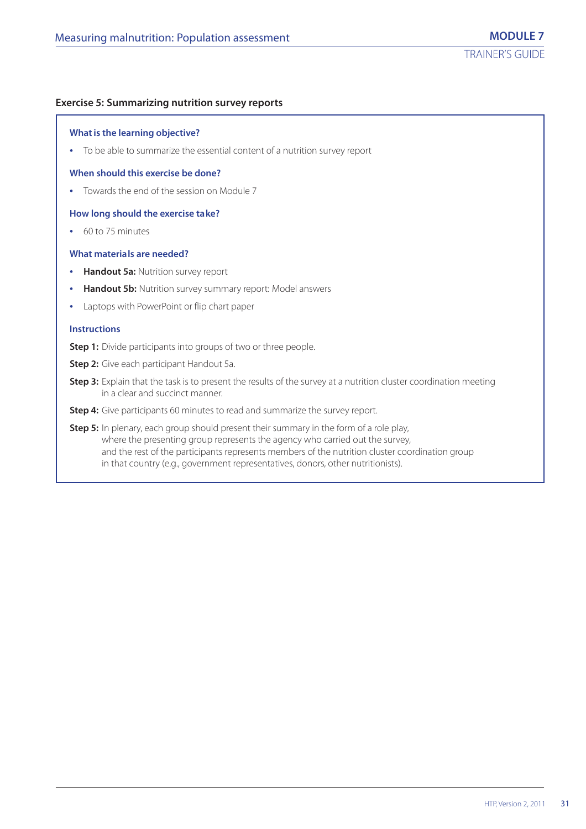## **Exercise 5: Summarizing nutrition survey reports**

#### **What is the learning objective?**

**•** To be able to summarize the essential content of a nutrition survey report

#### **When should this exercise be done?**

**•** Towards the end of the session on Module 7

#### **How long should the exercise take?**

**•** 60 to 75 minutes

## **What materials are needed?**

- **• Handout 5a:** Nutrition survey report
- **• Handout 5b:** Nutrition survey summary report: Model answers
- **•** Laptops with PowerPoint or flip chart paper

#### **Instructions**

- **Step 1:** Divide participants into groups of two or three people.
- **Step 2:** Give each participant Handout 5a.
- **Step 3:** Explain that the task is to present the results of the survey at a nutrition cluster coordination meeting in a clear and succinct manner.
- **Step 4:** Give participants 60 minutes to read and summarize the survey report.
- **Step 5:** In plenary, each group should present their summary in the form of a role play, where the presenting group represents the agency who carried out the survey, and the rest of the participants represents members of the nutrition cluster coordination group in that country (e.g., government representatives, donors, other nutritionists).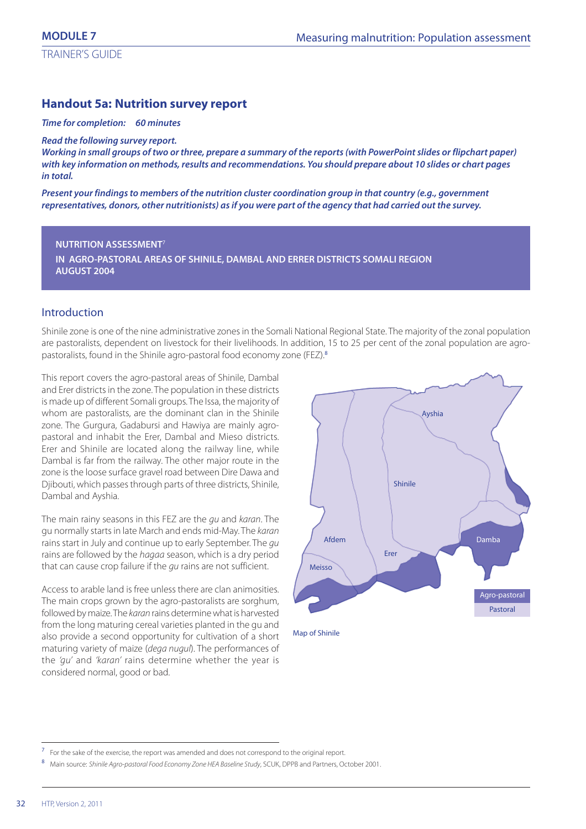## **Handout 5a: Nutrition survey report**

#### *Time for completion: 60 minutes*

*Read the following survey report.*

*Working in small groups of two or three, prepare a summary of the reports (with PowerPoint slides or flipchart paper) with key information on methods, results and recommendations. You should prepare about 10 slides or chart pages in total.*

*Present your findings to members of the nutrition cluster coordination group in that country (e.g., government representatives, donors, other nutritionists) as if you were part of the agency that had carried out the survey.*

#### **NUTRITION ASSESSMENT**<sup>7</sup>

**IN AGRO-PASTORAL AREAS OF SHINILE, DAMBAL AND ERRER DISTRICTS SOMALI REGION AUGUST 2004**

## Introduction

Shinile zone is one of the nine administrative zones in the Somali National Regional State. The majority of the zonal population are pastoralists, dependent on livestock for their livelihoods. In addition, 15 to 25 per cent of the zonal population are agropastoralists, found in the Shinile agro-pastoral food economy zone (FEZ).<sup>8</sup>

This report covers the agro-pastoral areas of Shinile, Dambal and Erer districts in the zone. The population in these districts is made up of different Somali groups. The Issa, the majority of whom are pastoralists, are the dominant clan in the Shinile zone. The Gurgura, Gadabursi and Hawiya are mainly agropastoral and inhabit the Erer, Dambal and Mieso districts. Erer and Shinile are located along the railway line, while Dambal is far from the railway. The other major route in the zone is the loose surface gravel road between Dire Dawa and Djibouti, which passes through parts of three districts, Shinile, Dambal and Ayshia.

The main rainy seasons in this FEZ are the qu and karan. The gu normally starts in late March and ends mid-May. The karan rains start in July and continue up to early September. The gu rains are followed by the hagaa season, which is a dry period that can cause crop failure if the qu rains are not sufficient.

Access to arable land is free unless there are clan animosities. The main crops grown by the agro-pastoralists are sorghum, followed by maize. The karan rains determine what is harvested from the long maturing cereal varieties planted in the gu and also provide a second opportunity for cultivation of a short maturing variety of maize (dega nugul). The performances of the 'gu' and 'karan' rains determine whether the year is considered normal, good or bad.



Map of Shinile

<sup>7</sup> For the sake of the exercise, the report was amended and does not correspond to the original report.

<sup>8</sup> Main source: Shinile Agro-pastoral Food Economy Zone HEA Baseline Study, SCUK, DPPB and Partners, October 2001.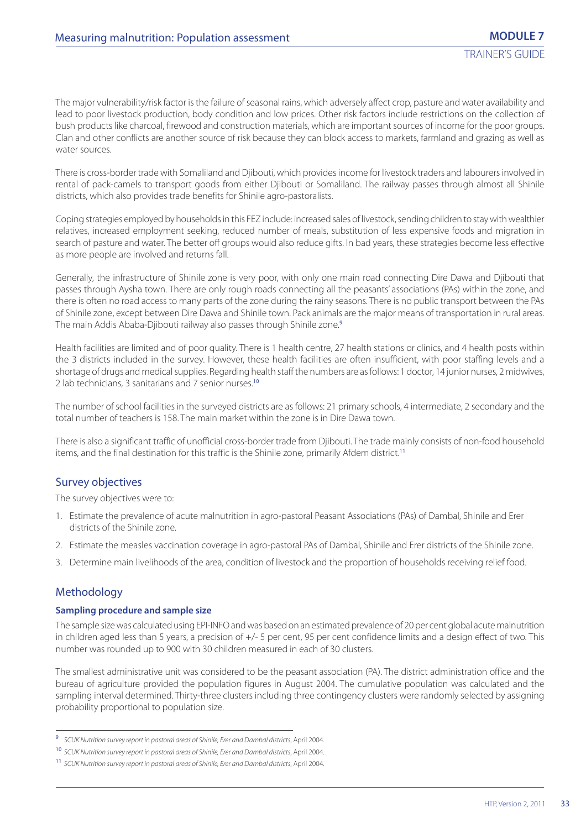The major vulnerability/risk factor is the failure of seasonal rains, which adversely affect crop, pasture and water availability and lead to poor livestock production, body condition and low prices. Other risk factors include restrictions on the collection of bush products like charcoal, firewood and construction materials, which are important sources of income for the poor groups. Clan and other conflicts are another source of risk because they can block access to markets, farmland and grazing as well as water sources.

There is cross-border trade with Somaliland and Djibouti, which provides income for livestock traders and labourers involved in rental of pack-camels to transport goods from either Djibouti or Somaliland. The railway passes through almost all Shinile districts, which also provides trade benefits for Shinile agro-pastoralists.

Coping strategies employed by households in this FEZ include: increased sales of livestock, sending children to stay with wealthier relatives, increased employment seeking, reduced number of meals, substitution of less expensive foods and migration in search of pasture and water. The better off groups would also reduce gifts. In bad years, these strategies become less effective as more people are involved and returns fall.

Generally, the infrastructure of Shinile zone is very poor, with only one main road connecting Dire Dawa and Djibouti that passes through Aysha town. There are only rough roads connecting all the peasants' associations (PAs) within the zone, and there is often no road access to many parts of the zone during the rainy seasons. There is no public transport between the PAs of Shinile zone, except between Dire Dawa and Shinile town. Pack animals are the major means of transportation in rural areas. The main Addis Ababa-Djibouti railway also passes through Shinile zone.<sup>9</sup>

Health facilities are limited and of poor quality. There is 1 health centre, 27 health stations or clinics, and 4 health posts within the 3 districts included in the survey. However, these health facilities are often insufficient, with poor staffing levels and a shortage of drugs and medical supplies. Regarding health staff the numbers are as follows: 1 doctor, 14 junior nurses, 2 midwives, 2 lab technicians, 3 sanitarians and 7 senior nurses.<sup>10</sup>

The number of school facilities in the surveyed districts are as follows: 21 primary schools, 4 intermediate, 2 secondary and the total number of teachers is 158. The main market within the zone is in Dire Dawa town.

There is also a significant traffic of unofficial cross-border trade from Djibouti. The trade mainly consists of non-food household items, and the final destination for this traffic is the Shinile zone, primarily Afdem district.<sup>11</sup>

## Survey objectives

The survey objectives were to:

- 1. Estimate the prevalence of acute malnutrition in agro-pastoral Peasant Associations (PAs) of Dambal, Shinile and Erer districts of the Shinile zone.
- 2. Estimate the measles vaccination coverage in agro-pastoral PAs of Dambal, Shinile and Erer districts of the Shinile zone.
- 3. Determine main livelihoods of the area, condition of livestock and the proportion of households receiving relief food.

## Methodology

### **Sampling procedure and sample size**

The sample size was calculated using EPI-INFO and was based on an estimated prevalence of 20 per cent global acute malnutrition in children aged less than 5 years, a precision of +/- 5 per cent, 95 per cent confidence limits and a design effect of two. This number was rounded up to 900 with 30 children measured in each of 30 clusters.

The smallest administrative unit was considered to be the peasant association (PA). The district administration office and the bureau of agriculture provided the population figures in August 2004. The cumulative population was calculated and the sampling interval determined. Thirty-three clusters including three contingency clusters were randomly selected by assigning probability proportional to population size.

<sup>9</sup> SCUK Nutrition survey report in pastoral areas of Shinile, Erer and Dambal districts, April 2004.

<sup>10</sup> SCUK Nutrition survey report in pastoral areas of Shinile, Erer and Dambal districts, April 2004.

<sup>11</sup> SCUK Nutrition survey report in pastoral areas of Shinile, Erer and Dambal districts, April 2004.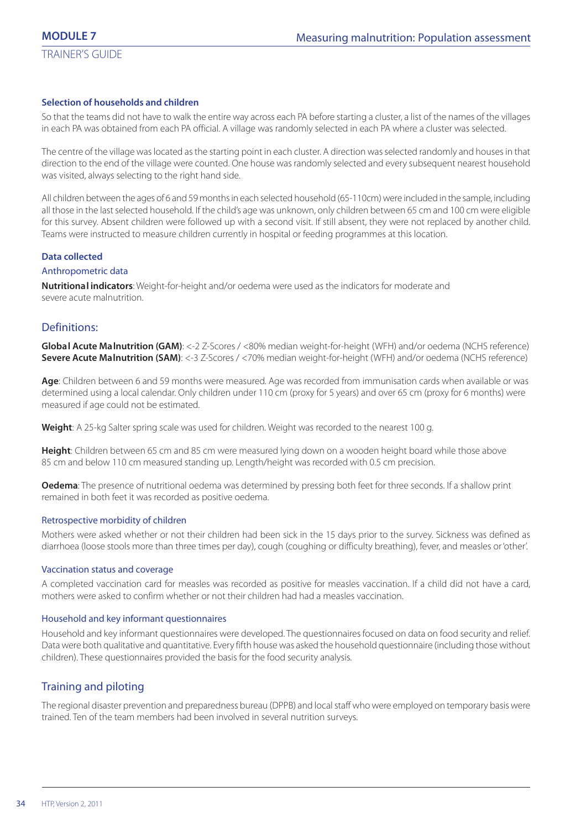## **Selection of households and children**

So that the teams did not have to walk the entire way across each PA before starting a cluster, a list of the names of the villages in each PA was obtained from each PA official. A village was randomly selected in each PA where a cluster was selected.

The centre of the village was located as the starting point in each cluster. A direction was selected randomly and houses in that direction to the end of the village were counted. One house was randomly selected and every subsequent nearest household was visited, always selecting to the right hand side.

All children between the ages of 6 and 59 months in each selected household (65-110cm) were included in the sample, including all those in the last selected household. If the child's age was unknown, only children between 65 cm and 100 cm were eligible for this survey. Absent children were followed up with a second visit. If still absent, they were not replaced by another child. Teams were instructed to measure children currently in hospital or feeding programmes at this location.

#### **Data collected**

#### Anthropometric data

**Nutritional indicators**: Weight-for-height and/or oedema were used as the indicators for moderate and severe acute malnutrition.

## Definitions:

**Global Acute Malnutrition (GAM)**: <-2 Z-Scores / <80% median weight-for-height (WFH) and/or oedema (NCHS reference) **Severe Acute Malnutrition (SAM)**: <-3 Z-Scores / <70% median weight-for-height (WFH) and/or oedema (NCHS reference)

**Age**: Children between 6 and 59 months were measured. Age was recorded from immunisation cards when available or was determined using a local calendar. Only children under 110 cm (proxy for 5 years) and over 65 cm (proxy for 6 months) were measured if age could not be estimated.

**Weight**: A 25-kg Salter spring scale was used for children. Weight was recorded to the nearest 100 g.

**Height**: Children between 65 cm and 85 cm were measured lying down on a wooden height board while those above 85 cm and below 110 cm measured standing up. Length/height was recorded with 0.5 cm precision.

**Oedema**: The presence of nutritional oedema was determined by pressing both feet for three seconds. If a shallow print remained in both feet it was recorded as positive oedema.

#### Retrospective morbidity of children

Mothers were asked whether or not their children had been sick in the 15 days prior to the survey. Sickness was defined as diarrhoea (loose stools more than three times per day), cough (coughing or difficulty breathing), fever, and measles or 'other'.

#### Vaccination status and coverage

A completed vaccination card for measles was recorded as positive for measles vaccination. If a child did not have a card, mothers were asked to confirm whether or not their children had had a measles vaccination.

### Household and key informant questionnaires

Household and key informant questionnaires were developed. The questionnaires focused on data on food security and relief. Data were both qualitative and quantitative. Every fifth house was asked the household questionnaire (including those without children). These questionnaires provided the basis for the food security analysis.

## Training and piloting

The regional disaster prevention and preparedness bureau (DPPB) and local staff who were employed on temporary basis were trained. Ten of the team members had been involved in several nutrition surveys.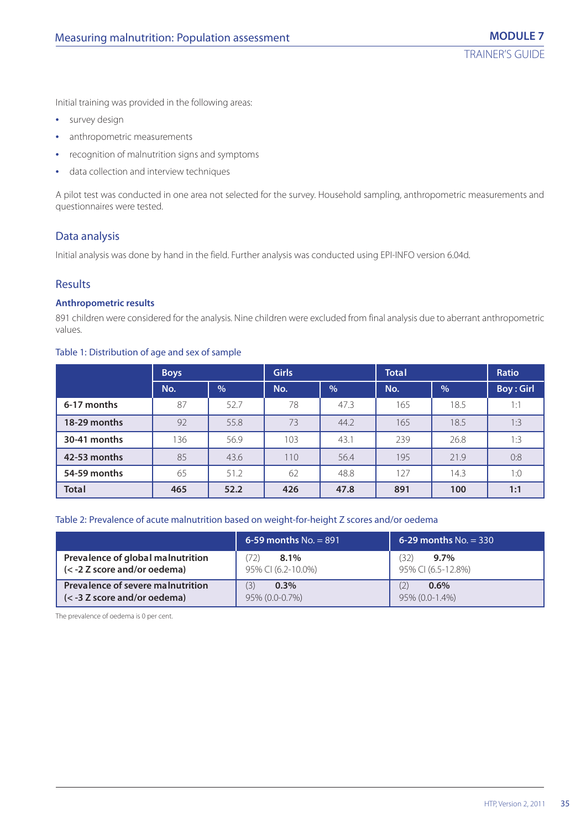Initial training was provided in the following areas:

- **•** survey design
- **•** anthropometric measurements
- **•** recognition of malnutrition signs and symptoms
- **•** data collection and interview techniques

A pilot test was conducted in one area not selected for the survey. Household sampling, anthropometric measurements and questionnaires were tested.

## Data analysis

Initial analysis was done by hand in the field. Further analysis was conducted using EPI-INFO version 6.04d.

## Results

## **Anthropometric results**

891 children were considered for the analysis. Nine children were excluded from final analysis due to aberrant anthropometric values.

## Table 1: Distribution of age and sex of sample

|              | <b>Boys</b> |      | <b>Girls</b> |      | <b>Total</b> |      | <b>Ratio</b>     |  |
|--------------|-------------|------|--------------|------|--------------|------|------------------|--|
|              | No.         | %    | No.          | %    | No.          | %    | <b>Boy: Girl</b> |  |
| 6-17 months  | 87          | 52.7 | 78           | 47.3 | 165          | 18.5 | 1:1              |  |
| 18-29 months | 92          | 55.8 | 73           | 44.2 | 165          | 18.5 | 1:3              |  |
| 30-41 months | 136         | 56.9 | 103          | 43.1 | 239          | 26.8 | 1:3              |  |
| 42-53 months | 85          | 43.6 | 110          | 56.4 | 195          | 21.9 | 0:8              |  |
| 54-59 months | 65          | 51.2 | 62           | 48.8 | 127          | 14.3 | 1:0              |  |
| <b>Total</b> | 465         | 52.2 | 426          | 47.8 | 891          | 100  | 1:1              |  |

#### Table 2: Prevalence of acute malnutrition based on weight-for-height Z scores and/or oedema

|                                                                   | 6-59 months $No. = 891$           | 6-29 months $No. = 330$              |
|-------------------------------------------------------------------|-----------------------------------|--------------------------------------|
| Prevalence of global malnutrition<br>(< -2 Z score and/or oedema) | 72)<br>8.1%<br>95% CI (6.2-10.0%) | 32)<br>$9.7\%$<br>95% CI (6.5-12.8%) |
| Prevalence of severe malnutrition<br>(< -3 Z score and/or oedema) | (3)<br>$0.3\%$<br>95% (0.0-0.7%)  | $0.6\%$<br>95% (0.0-1.4%)            |

The prevalence of oedema is 0 per cent.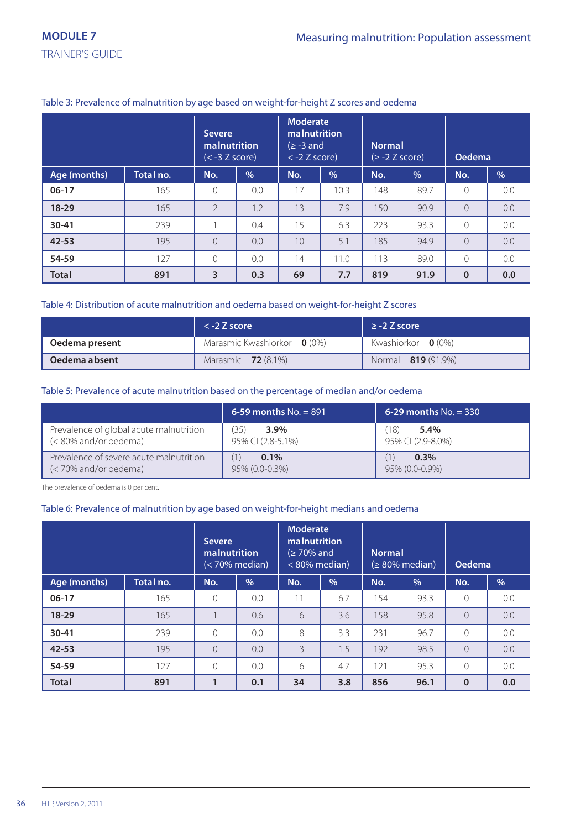TRAINER'S GUIDE

|              |           | <b>Moderate</b><br><b>malnutrition</b><br><b>Severe</b><br><b>malnutrition</b><br>$(\geq -3$ and<br>$<$ -2 Z score)<br>$(< -3 Z score)$ |               | <b>Normal</b><br>$(≥ -2 Z score)$ |               | Oedema |               |           |               |
|--------------|-----------|-----------------------------------------------------------------------------------------------------------------------------------------|---------------|-----------------------------------|---------------|--------|---------------|-----------|---------------|
| Age (months) | Total no. | No.                                                                                                                                     | $\frac{0}{0}$ | No.                               | $\frac{0}{0}$ | No.    | $\frac{9}{6}$ | No.       | $\frac{9}{6}$ |
| $06-17$      | 165       | $\Omega$                                                                                                                                | 0.0           | 17                                | 10.3          | 148    | 89.7          | $\Omega$  | 0.0           |
| $18-29$      | 165       | $\overline{2}$                                                                                                                          | 1.2           | 13                                | 7.9           | 150    | 90.9          | $\Omega$  | 0.0           |
| $30 - 41$    | 239       |                                                                                                                                         | 0.4           | 15                                | 6.3           | 223    | 93.3          | $\Omega$  | 0.0           |
| $42 - 53$    | 195       | $\Omega$                                                                                                                                | 0.0           | 10                                | 5.1           | 185    | 94.9          | $\Omega$  | 0.0           |
| 54-59        | 127       | $\Omega$                                                                                                                                | 0.0           | 14                                | 11.0          | 113    | 89.0          | $\bigcap$ | 0.0           |
| <b>Total</b> | 891       | 3                                                                                                                                       | 0.3           | 69                                | 7.7           | 819    | 91.9          | $\Omega$  | 0.0           |

## Table 3: Prevalence of malnutrition by age based on weight-for-height Z scores and oedema

## Table 4: Distribution of acute malnutrition and oedema based on weight-for-height Z scores

|                | $\le$ -2 Z score            | $\ge$ -2 Z score           |
|----------------|-----------------------------|----------------------------|
| Oedema present | Marasmic Kwashiorkor 0 (0%) | Kwashiorkor $\bullet$ (0%) |
| Oedema absent  | Marasmic <b>72</b> (8.1%)   | Normal 819 (91.9%)         |

## Table 5: Prevalence of acute malnutrition based on the percentage of median and/or oedema

|                                                                         | 6-59 months $No. = 891$             | 6-29 months $No. = 330$             |
|-------------------------------------------------------------------------|-------------------------------------|-------------------------------------|
| Prevalence of global acute malnutrition<br>(< 80% and/or oedema)        | 35)<br>$3.9\%$<br>95% CI (2.8-5.1%) | 18)<br>$5.4\%$<br>95% CI (2.9-8.0%) |
| Prevalence of severe acute malnutrition<br>$\approx$ 70% and/or oedema) | $0.1\%$<br>95% (0.0-0.3%)           | $0.3\%$<br>95% (0.0-0.9%)           |

The prevalence of oedema is 0 per cent.

## Table 6: Prevalence of malnutrition by age based on weight-for-height medians and oedema

|              |           | <b>Severe</b><br><b>ma nutrition</b> | $(< 70\%$ median) | <b>Moderate</b><br><b>malnutrition</b><br>$\geq 70\%$ and<br>$< 80\%$ median) |               | <b>Normal</b><br>$\approx 80\%$ median) |      | <b>Oedema</b> |               |
|--------------|-----------|--------------------------------------|-------------------|-------------------------------------------------------------------------------|---------------|-----------------------------------------|------|---------------|---------------|
| Age (months) | Total no. | No.                                  | $\frac{9}{6}$     | No.                                                                           | $\frac{0}{0}$ | No.                                     | %    | No.           | $\frac{0}{0}$ |
| $06-17$      | 165       | $\Omega$                             | 0.0               | 11                                                                            | 6.7           | 154                                     | 93.3 | 0             | 0.0           |
| $18-29$      | 165       |                                      | 0.6               | 6                                                                             | 3.6           | 158                                     | 95.8 | $\bigcap$     | 0.0           |
| $30 - 41$    | 239       | 0                                    | 0.0               | 8                                                                             | 3.3           | 231                                     | 96.7 | 0             | 0.0           |
| $42 - 53$    | 195       | $\Omega$                             | 0.0               | 3                                                                             | 1.5           | 192                                     | 98.5 | $\bigcap$     | 0.0           |
| 54-59        | 127       | 0                                    | 0.0               | 6                                                                             | 4.7           | 121                                     | 95.3 | 0             | 0.0           |
| <b>Total</b> | 891       | и                                    | 0.1               | 34                                                                            | 3.8           | 856                                     | 96.1 | $\Omega$      | 0.0           |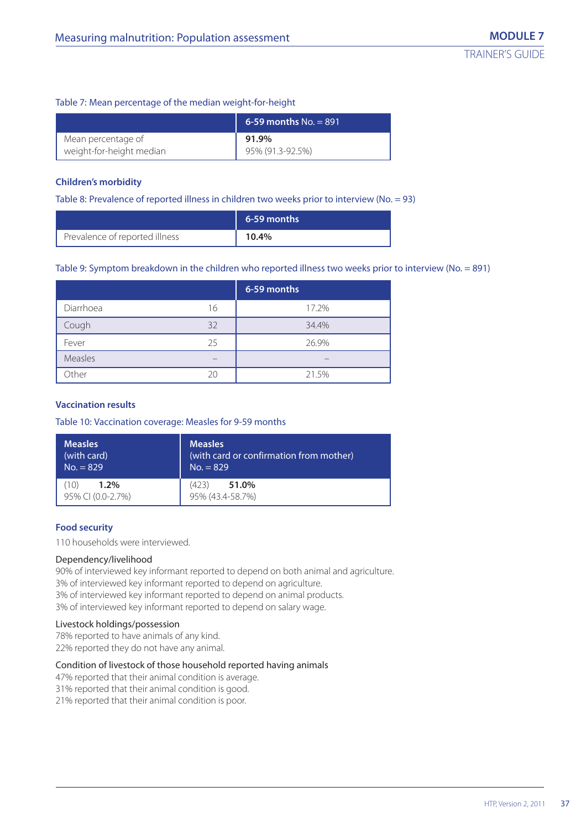#### Table 7: Mean percentage of the median weight-for-height

|                          | 6-59 months $No. = 891$ |
|--------------------------|-------------------------|
| Mean percentage of       | 91.9%                   |
| weight-for-height median | 95% (91.3-92.5%)        |

#### **Children's morbidity**

Table 8: Prevalence of reported illness in children two weeks prior to interview (No. = 93)

|                                | 6-59 months |
|--------------------------------|-------------|
| Prevalence of reported illness | 10.4%       |

#### Table 9: Symptom breakdown in the children who reported illness two weeks prior to interview (No. = 891)

|           |    | 6-59 months |
|-----------|----|-------------|
| Diarrhoea | 16 | 17.2%       |
| Cough     | 32 | 34.4%       |
| Fever     | 25 | 26.9%       |
| Measles   |    |             |
| Other     | 20 | 21.5%       |

#### **Vaccination results**

#### Table 10: Vaccination coverage: Measles for 9-59 months

| <b>Measles</b>               | <b>Measles</b>                          |
|------------------------------|-----------------------------------------|
| (with card)                  | (with card or confirmation from mother) |
| $No. = 829$                  | $No. = 829$                             |
| $1.2\%$<br>95% CI (0.0-2.7%) | (423)<br>51.0%<br>95% (43.4-58.7%)      |

#### **Food security**

110 households were interviewed.

#### Dependency/livelihood

90% of interviewed key informant reported to depend on both animal and agriculture. 3% of interviewed key informant reported to depend on agriculture. 3% of interviewed key informant reported to depend on animal products. 3% of interviewed key informant reported to depend on salary wage.

#### Livestock holdings/possession

78% reported to have animals of any kind. 22% reported they do not have any animal.

#### Condition of livestock of those household reported having animals

47% reported that their animal condition is average.

31% reported that their animal condition is good.

21% reported that their animal condition is poor.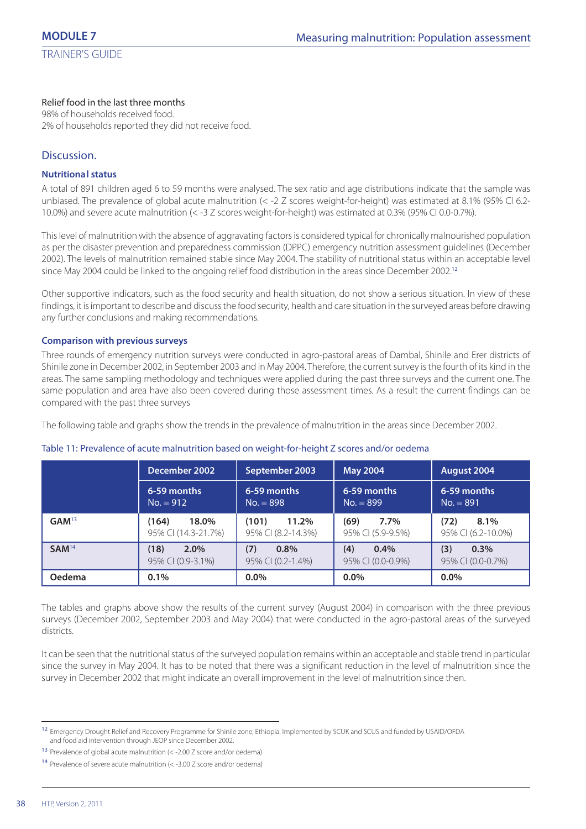#### Relief food in the last three months

98% of households received food. 2% of households reported they did not receive food.

# Discussion.

#### **Nutritional status**

A total of 891 children aged 6 to 59 months were analysed. The sex ratio and age distributions indicate that the sample was unbiased. The prevalence of global acute malnutrition (< -2 Z scores weight-for-height) was estimated at 8.1% (95% CI 6.2- 10.0%) and severe acute malnutrition (< -3 Z scores weight-for-height) was estimated at 0.3% (95% CI 0.0-0.7%).

This level of malnutrition with the absence of aggravating factors is considered typical for chronically malnourished population as per the disaster prevention and preparedness commission (DPPC) emergency nutrition assessment guidelines (December 2002). The levels of malnutrition remained stable since May 2004. The stability of nutritional status within an acceptable level since May 2004 could be linked to the ongoing relief food distribution in the areas since December 2002.<sup>12</sup>

Other supportive indicators, such as the food security and health situation, do not show a serious situation. In view of these findings, it is important to describe and discuss the food security, health and care situation in the surveyed areas before drawing any further conclusions and making recommendations.

#### **Comparison with previous surveys**

Three rounds of emergency nutrition surveys were conducted in agro-pastoral areas of Dambal, Shinile and Erer districts of Shinile zone in December 2002, in September 2003 and in May 2004. Therefore, the current survey is the fourth of its kind in the areas. The same sampling methodology and techniques were applied during the past three surveys and the current one. The same population and area have also been covered during those assessment times. As a result the current findings can be compared with the past three surveys

The following table and graphs show the trends in the prevalence of malnutrition in the areas since December 2002.

#### Table 11: Prevalence of acute malnutrition based on weight-for-height Z scores and/or oedema

|                   | December 2002       | September 2003     | <b>May 2004</b>   | August 2004        |  |
|-------------------|---------------------|--------------------|-------------------|--------------------|--|
| 6-59 months       |                     | 6-59 months        | 6-59 months       |                    |  |
| $No. = 912$       |                     | $No. = 898$        | $No. = 899$       |                    |  |
| GAM <sup>13</sup> | 18.0%               | (101)              | (69)              | (72)               |  |
|                   | (164)               | 11.2%              | $7.7\%$           | 8.1%               |  |
|                   | 95% CI (14.3-21.7%) | 95% CI (8.2-14.3%) | 95% CI (5.9-9.5%) | 95% CI (6.2-10.0%) |  |
| SAM <sup>14</sup> | (18)                | (7)                | 0.4%              | (3)                |  |
|                   | $2.0\%$             | $0.8\%$            | (4)               | 0.3%               |  |
|                   | 95% CI (0.9-3.1%)   | 95% CI (0.2-1.4%)  | 95% CI (0.0-0.9%) | 95% CI (0.0-0.7%)  |  |
| Oedema            | 0.1%                | $0.0\%$            | $0.0\%$           | $0.0\%$            |  |

The tables and graphs above show the results of the current survey (August 2004) in comparison with the three previous surveys (December 2002, September 2003 and May 2004) that were conducted in the agro-pastoral areas of the surveyed districts.

It can be seen that the nutritional status of the surveyed population remains within an acceptable and stable trend in particular since the survey in May 2004. It has to be noted that there was a significant reduction in the level of malnutrition since the survey in December 2002 that might indicate an overall improvement in the level of malnutrition since then.

<sup>12</sup> Emergency Drought Relief and Recovery Programme for Shinile zone, Ethiopia. Implemented by SCUK and SCUS and funded by USAID/OFDA and food aid intervention through JEOP since December 2002.

<sup>13</sup> Prevalence of global acute malnutrition (< -2.00 Z score and/or oedema)

<sup>14</sup> Prevalence of severe acute malnutrition (< -3.00 Z score and/or oedema)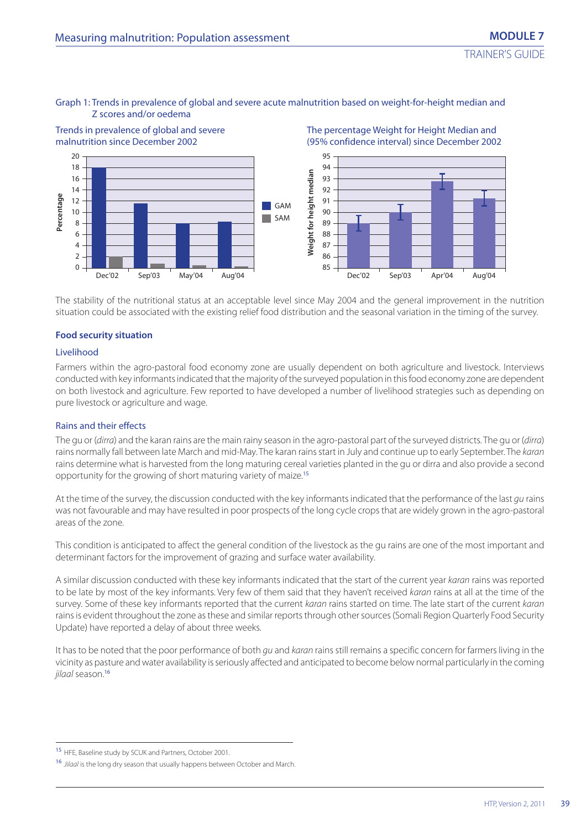#### Graph 1: Trends in prevalence of global and severe acute malnutrition based on weight-for-height median and Z scores and/or oedema



The stability of the nutritional status at an acceptable level since May 2004 and the general improvement in the nutrition situation could be associated with the existing relief food distribution and the seasonal variation in the timing of the survey.

#### **Food security situation**

#### Livelihood

Farmers within the agro-pastoral food economy zone are usually dependent on both agriculture and livestock. Interviews conducted with key informants indicated that the majority of the surveyed population in this food economy zone are dependent on both livestock and agriculture. Few reported to have developed a number of livelihood strategies such as depending on pure livestock or agriculture and wage.

#### Rains and their effects

The gu or (dirra) and the karan rains are the main rainy season in the agro-pastoral part of the surveyed districts. The gu or (dirra) rains normally fall between late March and mid-May. The karan rains start in July and continue up to early September. The karan rains determine what is harvested from the long maturing cereal varieties planted in the gu or dirra and also provide a second opportunity for the growing of short maturing variety of maize.<sup>15</sup>

At the time of the survey, the discussion conducted with the key informants indicated that the performance of the last qu rains was not favourable and may have resulted in poor prospects of the long cycle crops that are widely grown in the agro-pastoral areas of the zone.

This condition is anticipated to affect the general condition of the livestock as the gu rains are one of the most important and determinant factors for the improvement of grazing and surface water availability.

A similar discussion conducted with these key informants indicated that the start of the current year karan rains was reported to be late by most of the key informants. Very few of them said that they haven't received karan rains at all at the time of the survey. Some of these key informants reported that the current karan rains started on time. The late start of the current karan rains is evident throughout the zone as these and similar reports through other sources (Somali Region Quarterly Food Security Update) have reported a delay of about three weeks.

It has to be noted that the poor performance of both gu and karan rains still remains a specific concern for farmers living in the vicinity as pasture and water availability is seriously affected and anticipated to become below normal particularly in the coming jilaal season.<sup>16</sup>

<sup>15</sup> HFE, Baseline study by SCUK and Partners, October 2001.

<sup>&</sup>lt;sup>16</sup> Jilaal is the long dry season that usually happens between October and March.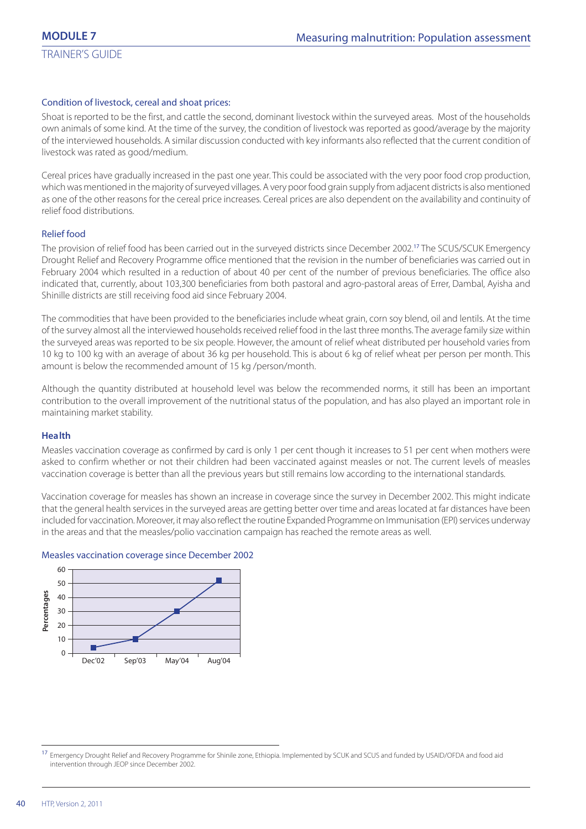#### Condition of livestock, cereal and shoat prices:

Shoat is reported to be the first, and cattle the second, dominant livestock within the surveyed areas. Most of the households own animals of some kind. At the time of the survey, the condition of livestock was reported as good/average by the majority of the interviewed households. A similar discussion conducted with key informants also reflected that the current condition of livestock was rated as good/medium.

Cereal prices have gradually increased in the past one year. This could be associated with the very poor food crop production, which was mentioned in the majority of surveyed villages. A very poor food grain supply from adjacent districts is also mentioned as one of the other reasons for the cereal price increases. Cereal prices are also dependent on the availability and continuity of relief food distributions.

### Relief food

The provision of relief food has been carried out in the surveyed districts since December 2002.<sup>17</sup> The SCUS/SCUK Emergency Drought Relief and Recovery Programme office mentioned that the revision in the number of beneficiaries was carried out in February 2004 which resulted in a reduction of about 40 per cent of the number of previous beneficiaries. The office also indicated that, currently, about 103,300 beneficiaries from both pastoral and agro-pastoral areas of Errer, Dambal, Ayisha and Shinille districts are still receiving food aid since February 2004.

The commodities that have been provided to the beneficiaries include wheat grain, corn soy blend, oil and lentils. At the time of the survey almost all the interviewed households received relief food in the last three months. The average family size within the surveyed areas was reported to be six people. However, the amount of relief wheat distributed per household varies from 10 kg to 100 kg with an average of about 36 kg per household. This is about 6 kg of relief wheat per person per month. This amount is below the recommended amount of 15 kg /person/month.

Although the quantity distributed at household level was below the recommended norms, it still has been an important contribution to the overall improvement of the nutritional status of the population, and has also played an important role in maintaining market stability.

#### **Health**

Measles vaccination coverage as confirmed by card is only 1 per cent though it increases to 51 per cent when mothers were asked to confirm whether or not their children had been vaccinated against measles or not. The current levels of measles vaccination coverage is better than all the previous years but still remains low according to the international standards.

Vaccination coverage for measles has shown an increase in coverage since the survey in December 2002. This might indicate that the general health services in the surveyed areas are getting better over time and areas located at far distances have been included for vaccination. Moreover, it may also reflect the routine Expanded Programme on Immunisation (EPI) services underway in the areas and that the measles/polio vaccination campaign has reached the remote areas as well.

#### Measles vaccination coverage since December 2002



<sup>&</sup>lt;sup>17</sup> Emergency Drought Relief and Recovery Programme for Shinile zone, Ethiopia. Implemented by SCUK and SCUS and funded by USAID/OFDA and food aid intervention through JEOP since December 2002.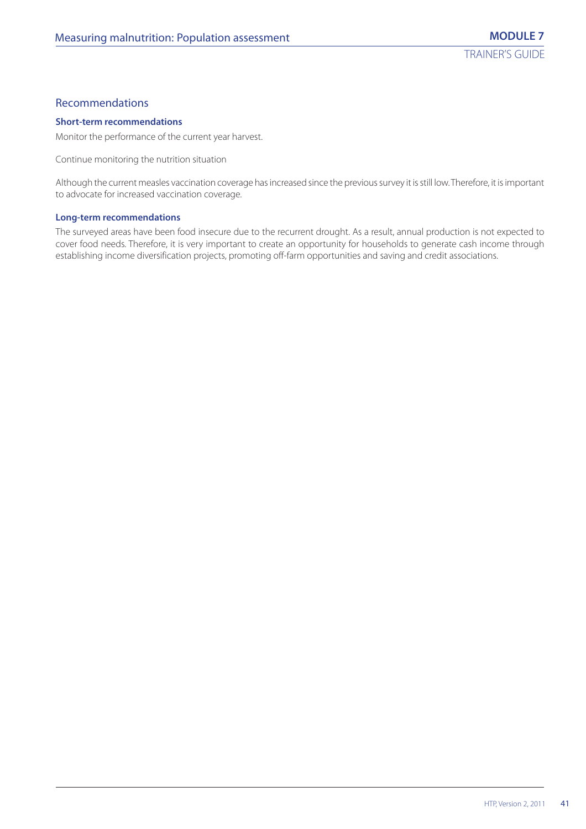# Recommendations

#### **Short-term recommendations**

Monitor the performance of the current year harvest.

Continue monitoring the nutrition situation

Although the current measles vaccination coverage has increased since the previous survey it is still low. Therefore, it is important to advocate for increased vaccination coverage.

#### **Long-term recommendations**

The surveyed areas have been food insecure due to the recurrent drought. As a result, annual production is not expected to cover food needs. Therefore, it is very important to create an opportunity for households to generate cash income through establishing income diversification projects, promoting off-farm opportunities and saving and credit associations.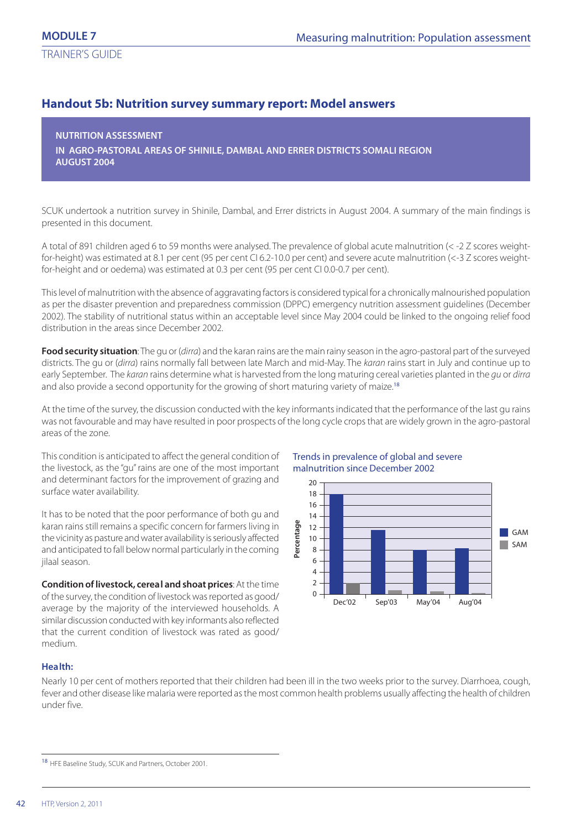# **Handout 5b: Nutrition survey summary report: Model answers**

**NUTRITION ASSESSMENT IN AGRO-PASTORAL AREAS OF SHINILE, DAMBAL AND ERRER DISTRICTS SOMALI REGION AUGUST 2004**

SCUK undertook a nutrition survey in Shinile, Dambal, and Errer districts in August 2004. A summary of the main findings is presented in this document.

A total of 891 children aged 6 to 59 months were analysed. The prevalence of global acute malnutrition (< -2 Z scores weightfor-height) was estimated at 8.1 per cent (95 per cent CI 6.2-10.0 per cent) and severe acute malnutrition (<-3 Z scores weightfor-height and or oedema) was estimated at 0.3 per cent (95 per cent CI 0.0-0.7 per cent).

This level of malnutrition with the absence of aggravating factors is considered typical for a chronically malnourished population as per the disaster prevention and preparedness commission (DPPC) emergency nutrition assessment guidelines (December 2002). The stability of nutritional status within an acceptable level since May 2004 could be linked to the ongoing relief food distribution in the areas since December 2002.

**Food security situation**: The gu or (dirra) and the karan rains are the main rainy season in the agro-pastoral part of the surveyed districts. The gu or (dirra) rains normally fall between late March and mid-May. The karan rains start in July and continue up to early September. The karan rains determine what is harvested from the long maturing cereal varieties planted in the qu or dirra and also provide a second opportunity for the growing of short maturing variety of maize.<sup>18</sup>

At the time of the survey, the discussion conducted with the key informants indicated that the performance of the last gu rains was not favourable and may have resulted in poor prospects of the long cycle crops that are widely grown in the agro-pastoral areas of the zone.

This condition is anticipated to affect the general condition of the livestock, as the "gu" rains are one of the most important and determinant factors for the improvement of grazing and surface water availability.

It has to be noted that the poor performance of both gu and karan rains still remains a specific concern for farmers living in the vicinity as pasture and water availability is seriously affected and anticipated to fall below normal particularly in the coming jilaal season.

**Condition of livestock, cereal and shoat prices**: At the time of the survey, the condition of livestock was reported as good/ average by the majority of the interviewed households. A similar discussion conducted with key informants also reflected that the current condition of livestock was rated as good/ medium.

#### Trends in prevalence of global and severe malnutrition since December 2002



#### **Health:**

Nearly 10 per cent of mothers reported that their children had been ill in the two weeks prior to the survey. Diarrhoea, cough, fever and other disease like malaria were reported as the most common health problems usually affecting the health of children under five.

<sup>18</sup> HFE Baseline Study, SCUK and Partners, October 2001.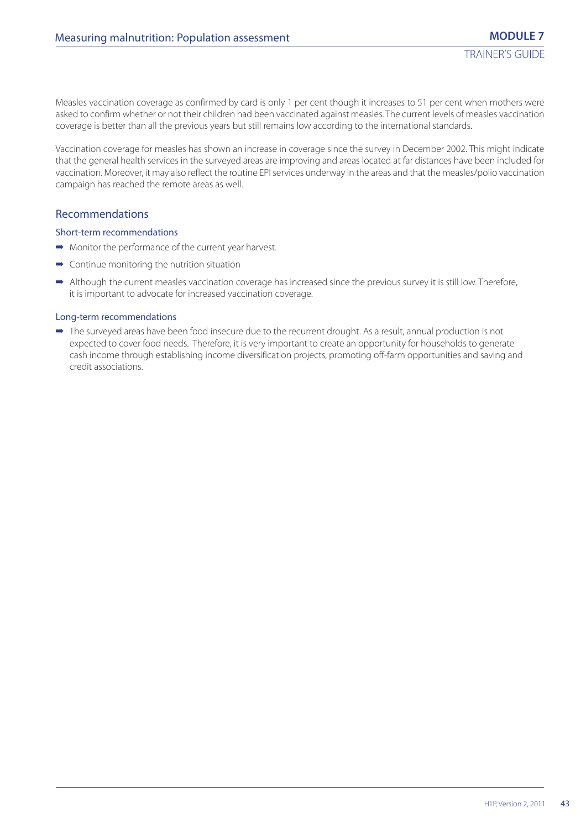Measles vaccination coverage as confirmed by card is only 1 per cent though it increases to 51 per cent when mothers were asked to confirm whether or not their children had been vaccinated against measles. The current levels of measles vaccination coverage is better than all the previous years but still remains low according to the international standards.

Vaccination coverage for measles has shown an increase in coverage since the survey in December 2002. This might indicate that the general health services in the surveyed areas are improving and areas located at far distances have been included for vaccination. Moreover, it may also reflect the routine EPI services underway in the areas and that the measles/polio vaccination campaign has reached the remote areas as well.

### Recommendations

#### Short-term recommendations

- ➡ Monitor the performance of the current year harvest.
- $\rightarrow$  Continue monitoring the nutrition situation
- ➡ Although the current measles vaccination coverage has increased since the previous survey it is still low. Therefore, it is important to advocate for increased vaccination coverage.

#### Long-term recommendations

➡ The surveyed areas have been food insecure due to the recurrent drought. As a result, annual production is not expected to cover food needs. Therefore, it is very important to create an opportunity for households to generate cash income through establishing income diversification projects, promoting off-farm opportunities and saving and credit associations.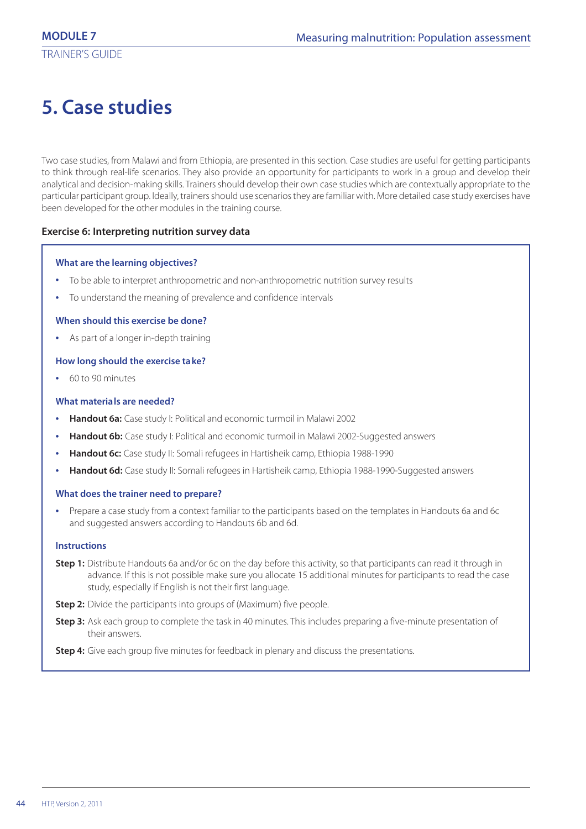# **5. Case studies**

Two case studies, from Malawi and from Ethiopia, are presented in this section. Case studies are useful for getting participants to think through real-life scenarios. They also provide an opportunity for participants to work in a group and develop their analytical and decision-making skills. Trainers should develop their own case studies which are contextually appropriate to the particular participant group. Ideally, trainers should use scenarios they are familiar with. More detailed case study exercises have been developed for the other modules in the training course.

#### **Exercise 6: Interpreting nutrition survey data**

#### **What are the learning objectives?**

- **•** To be able to interpret anthropometric and non-anthropometric nutrition survey results
- **•** To understand the meaning of prevalence and confidence intervals

#### **When should this exercise be done?**

**•** As part of a longer in-depth training

#### **How long should the exercise take?**

**•** 60 to 90 minutes

#### **What materials are needed?**

- **• Handout 6a:** Case study I: Political and economic turmoil in Malawi 2002
- **• Handout 6b:** Case study I: Political and economic turmoil in Malawi 2002-Suggested answers
- **• Handout 6c:** Case study II: Somali refugees in Hartisheik camp, Ethiopia 1988-1990
- **• Handout 6d:** Case study II: Somali refugees in Hartisheik camp, Ethiopia 1988-1990-Suggested answers

#### **What does the trainer need to prepare?**

**•** Prepare a case study from a context familiar to the participants based on the templates in Handouts 6a and 6c and suggested answers according to Handouts 6b and 6d.

#### **Instructions**

- **Step 1:** Distribute Handouts 6a and/or 6c on the day before this activity, so that participants can read it through in advance. If this is not possible make sure you allocate 15 additional minutes for participants to read the case study, especially if English is not their first language.
- **Step 2:** Divide the participants into groups of (Maximum) five people.
- **Step 3:** Ask each group to complete the task in 40 minutes. This includes preparing a five-minute presentation of their answers.

**Step 4:** Give each group five minutes for feedback in plenary and discuss the presentations.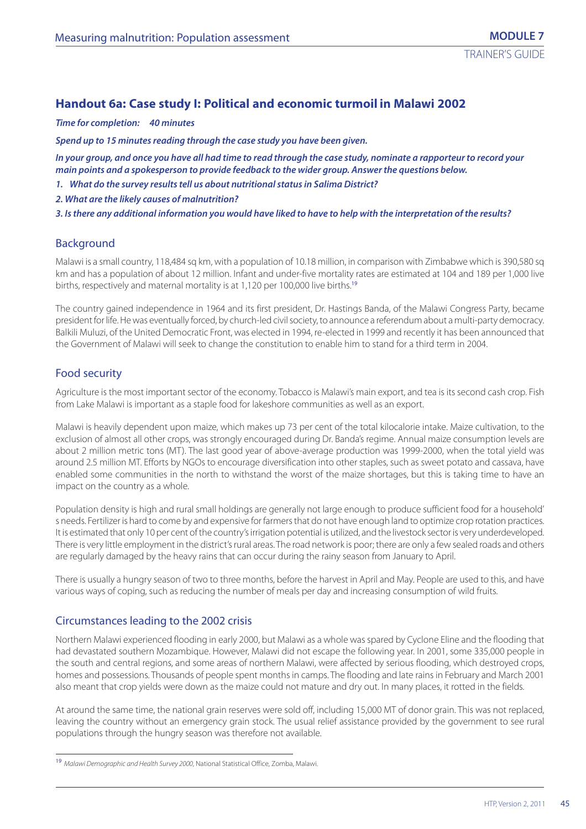# **Handout 6a: Case study I: Political and economic turmoil in Malawi 2002**

*Time for completion: 40 minutes*

*Spend up to 15 minutes reading through the case study you have been given.*

*In your group, and once you have all had time to read through the case study, nominate a rapporteur to record your main points and a spokesperson to provide feedback to the wider group. Answer the questions below.*

- *1. What do the survey results tell us about nutritional status in Salima District?*
- *2. What are the likely causes of malnutrition?*

*3. Is there any additional information you would have liked to have to help with the interpretation of the results?*

#### Background

Malawi is a small country, 118,484 sq km, with a population of 10.18 million, in comparison with Zimbabwe which is 390,580 sq km and has a population of about 12 million. Infant and under-five mortality rates are estimated at 104 and 189 per 1,000 live births, respectively and maternal mortality is at 1,120 per 100,000 live births.<sup>19</sup>

The country gained independence in 1964 and its first president, Dr. Hastings Banda, of the Malawi Congress Party, became president for life. He was eventually forced, by church-led civil society, to announce a referendum about a multi-party democracy. Balkili Muluzi, of the United Democratic Front, was elected in 1994, re-elected in 1999 and recently it has been announced that the Government of Malawi will seek to change the constitution to enable him to stand for a third term in 2004.

# Food security

Agriculture is the most important sector of the economy. Tobacco is Malawi's main export, and tea is its second cash crop. Fish from Lake Malawi is important as a staple food for lakeshore communities as well as an export.

Malawi is heavily dependent upon maize, which makes up 73 per cent of the total kilocalorie intake. Maize cultivation, to the exclusion of almost all other crops, was strongly encouraged during Dr. Banda's regime. Annual maize consumption levels are about 2 million metric tons (MT). The last good year of above-average production was 1999-2000, when the total yield was around 2.5 million MT. Efforts by NGOs to encourage diversification into other staples, such as sweet potato and cassava, have enabled some communities in the north to withstand the worst of the maize shortages, but this is taking time to have an impact on the country as a whole.

Population density is high and rural small holdings are generally not large enough to produce sufficient food for a household' s needs. Fertilizer is hard to come by and expensive for farmers that do not have enough land to optimize crop rotation practices. It is estimated that only 10 per cent of the country's irrigation potential is utilized, and the livestock sector is very underdeveloped. There is very little employment in the district's rural areas. The road network is poor; there are only a few sealed roads and others are regularly damaged by the heavy rains that can occur during the rainy season from January to April.

There is usually a hungry season of two to three months, before the harvest in April and May. People are used to this, and have various ways of coping, such as reducing the number of meals per day and increasing consumption of wild fruits.

#### Circumstances leading to the 2002 crisis

Northern Malawi experienced flooding in early 2000, but Malawi as a whole was spared by Cyclone Eline and the flooding that had devastated southern Mozambique. However, Malawi did not escape the following year. In 2001, some 335,000 people in the south and central regions, and some areas of northern Malawi, were affected by serious flooding, which destroyed crops, homes and possessions. Thousands of people spent months in camps. The flooding and late rains in February and March 2001 also meant that crop yields were down as the maize could not mature and dry out. In many places, it rotted in the fields.

At around the same time, the national grain reserves were sold off, including 15,000 MT of donor grain. This was not replaced, leaving the country without an emergency grain stock. The usual relief assistance provided by the government to see rural populations through the hungry season was therefore not available.

<sup>&</sup>lt;sup>19</sup> Malawi Demographic and Health Survey 2000, National Statistical Office, Zomba, Malawi.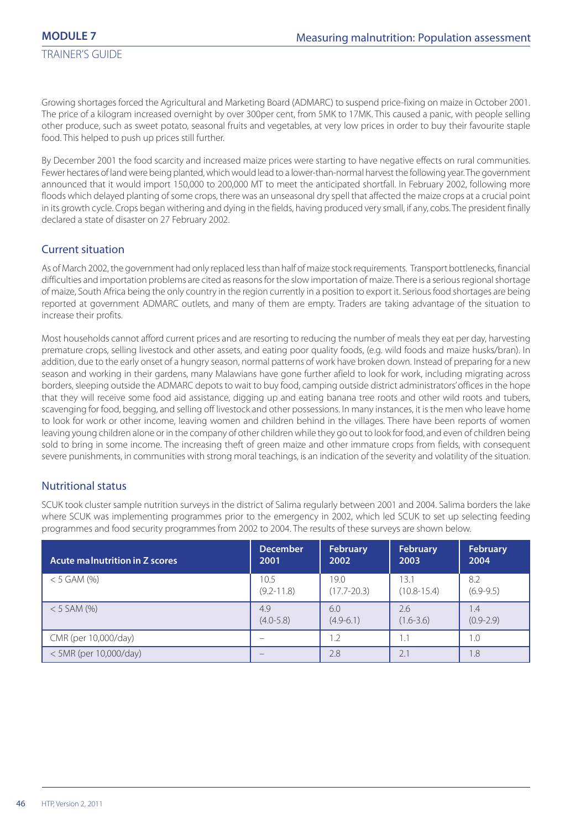Growing shortages forced the Agricultural and Marketing Board (ADMARC) to suspend price-fixing on maize in October 2001. The price of a kilogram increased overnight by over 300per cent, from 5MK to 17MK. This caused a panic, with people selling other produce, such as sweet potato, seasonal fruits and vegetables, at very low prices in order to buy their favourite staple food. This helped to push up prices still further.

By December 2001 the food scarcity and increased maize prices were starting to have negative effects on rural communities. Fewer hectares of land were being planted, which would lead to a lower-than-normal harvest the following year. The government announced that it would import 150,000 to 200,000 MT to meet the anticipated shortfall. In February 2002, following more floods which delayed planting of some crops, there was an unseasonal dry spell that affected the maize crops at a crucial point in its growth cycle. Crops began withering and dying in the fields, having produced very small, if any, cobs. The president finally declared a state of disaster on 27 February 2002.

# Current situation

As of March 2002, the government had only replaced less than half of maize stock requirements. Transport bottlenecks, financial difficulties and importation problems are cited as reasons for the slow importation of maize. There is a serious regional shortage of maize, South Africa being the only country in the region currently in a position to export it. Serious food shortages are being reported at government ADMARC outlets, and many of them are empty. Traders are taking advantage of the situation to increase their profits.

Most households cannot afford current prices and are resorting to reducing the number of meals they eat per day, harvesting premature crops, selling livestock and other assets, and eating poor quality foods, (e.g. wild foods and maize husks/bran). In addition, due to the early onset of a hungry season, normal patterns of work have broken down. Instead of preparing for a new season and working in their gardens, many Malawians have gone further afield to look for work, including migrating across borders, sleeping outside the ADMARC depots to wait to buy food, camping outside district administrators' offices in the hope that they will receive some food aid assistance, digging up and eating banana tree roots and other wild roots and tubers, scavenging for food, begging, and selling off livestock and other possessions. In many instances, it is the men who leave home to look for work or other income, leaving women and children behind in the villages. There have been reports of women leaving young children alone or in the company of other children while they go out to look for food, and even of children being sold to bring in some income. The increasing theft of green maize and other immature crops from fields, with consequent severe punishments, in communities with strong moral teachings, is an indication of the severity and volatility of the situation.

# Nutritional status

SCUK took cluster sample nutrition surveys in the district of Salima regularly between 2001 and 2004. Salima borders the lake where SCUK was implementing programmes prior to the emergency in 2002, which led SCUK to set up selecting feeding programmes and food security programmes from 2002 to 2004. The results of these surveys are shown below.

| Acute malnutrition in Z scores | <b>December</b> | February        | <b>February</b> | February      |
|--------------------------------|-----------------|-----------------|-----------------|---------------|
|                                | 2001            | 2002            | 2003            | 2004          |
| $<$ 5 GAM (%)                  | 10.5            | 19.0            | 13.1            | 8.2           |
|                                | $(9.2 - 11.8)$  | $(17.7 - 20.3)$ | $(10.8 - 15.4)$ | $(6.9 - 9.5)$ |
| $<$ 5 SAM (%)                  | 4.9             | 6.0             | 2.6             | 1.4           |
|                                | $(4.0 - 5.8)$   | $(4.9-6.1)$     | $(1.6 - 3.6)$   | $(0.9 - 2.9)$ |
| CMR (per 10,000/day)           |                 | 1.2             | 1.1             | 1.0           |
| < 5MR (per 10,000/day)         |                 | 2.8             | 2.1             | 1.8           |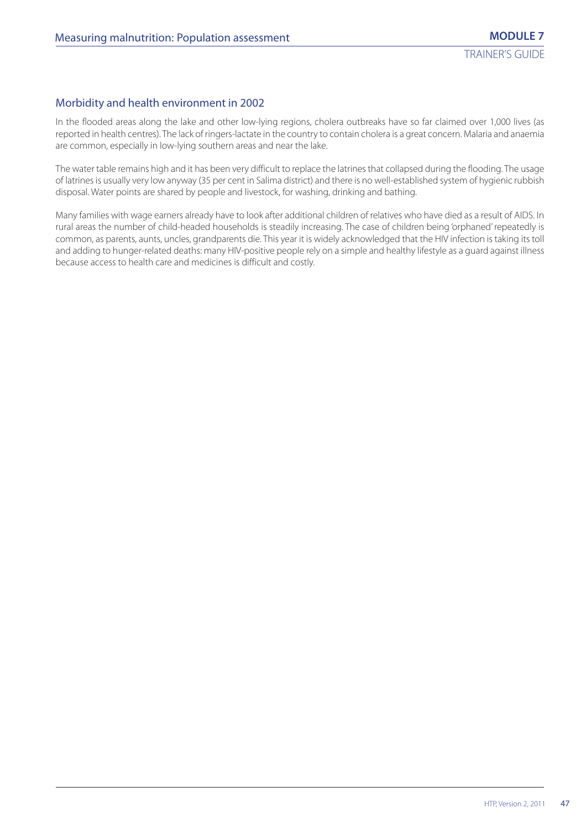# Morbidity and health environment in 2002

In the flooded areas along the lake and other low-lying regions, cholera outbreaks have so far claimed over 1,000 lives (as reported in health centres). The lack of ringers-lactate in the country to contain cholera is a great concern. Malaria and anaemia are common, especially in low-lying southern areas and near the lake.

The water table remains high and it has been very difficult to replace the latrines that collapsed during the flooding. The usage of latrines is usually very low anyway (35 per cent in Salima district) and there is no well-established system of hygienic rubbish disposal. Water points are shared by people and livestock, for washing, drinking and bathing.

Many families with wage earners already have to look after additional children of relatives who have died as a result of AIDS. In rural areas the number of child-headed households is steadily increasing. The case of children being 'orphaned' repeatedly is common, as parents, aunts, uncles, grandparents die. This year it is widely acknowledged that the HIV infection is taking its toll and adding to hunger-related deaths: many HIV-positive people rely on a simple and healthy lifestyle as a guard against illness because access to health care and medicines is difficult and costly.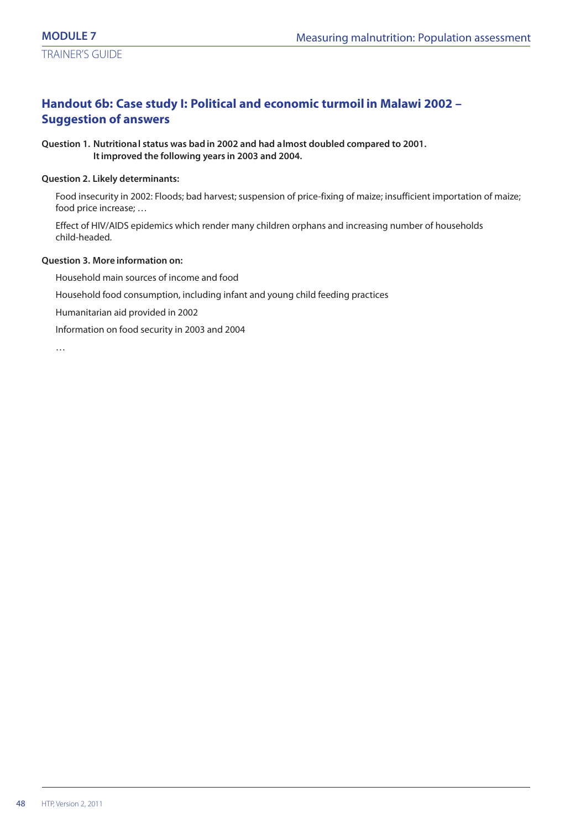# **Handout 6b: Case study I: Political and economic turmoil in Malawi 2002 – Suggestion of answers**

#### **Question 1. Nutritional status was bad in 2002 and had almost doubled compared to 2001. It improved the following years in 2003 and 2004.**

#### **Question 2. Likely determinants:**

Food insecurity in 2002: Floods; bad harvest; suspension of price-fixing of maize; insufficient importation of maize; food price increase; …

Effect of HIV/AIDS epidemics which render many children orphans and increasing number of households child-headed.

#### **Question 3. More information on:**

Household main sources of income and food

Household food consumption, including infant and young child feeding practices

Humanitarian aid provided in 2002

Information on food security in 2003 and 2004

…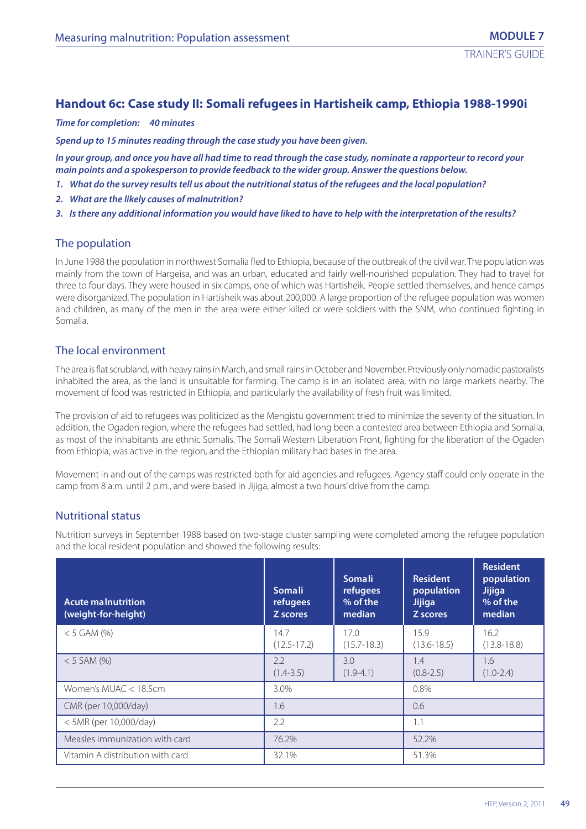# **Handout 6c: Case study II: Somali refugees in Hartisheik camp, Ethiopia 1988-1990i**

*Time for completion: 40 minutes*

*Spend up to 15 minutes reading through the case study you have been given.*

*In your group, and once you have all had time to read through the case study, nominate a rapporteur to record your main points and a spokesperson to provide feedback to the wider group. Answer the questions below.*

- *1. What do the survey results tell us about the nutritional status of the refugees and the local population?*
- *2. What are the likely causes of malnutrition?*
- *3. Is there any additional information you would have liked to have to help with the interpretation of the results?*

#### The population

In June 1988 the population in northwest Somalia fled to Ethiopia, because of the outbreak of the civil war. The population was mainly from the town of Hargeisa, and was an urban, educated and fairly well-nourished population. They had to travel for three to four days. They were housed in six camps, one of which was Hartisheik. People settled themselves, and hence camps were disorganized. The population in Hartisheik was about 200,000. A large proportion of the refugee population was women and children, as many of the men in the area were either killed or were soldiers with the SNM, who continued fighting in Somalia.

## The local environment

The area is flat scrubland, with heavy rains in March, and small rains in October and November. Previously only nomadic pastoralists inhabited the area, as the land is unsuitable for farming. The camp is in an isolated area, with no large markets nearby. The movement of food was restricted in Ethiopia, and particularly the availability of fresh fruit was limited.

The provision of aid to refugees was politicized as the Mengistu government tried to minimize the severity of the situation. In addition, the Ogaden region, where the refugees had settled, had long been a contested area between Ethiopia and Somalia, as most of the inhabitants are ethnic Somalis. The Somali Western Liberation Front, fighting for the liberation of the Ogaden from Ethiopia, was active in the region, and the Ethiopian military had bases in the area.

Movement in and out of the camps was restricted both for aid agencies and refugees. Agency staff could only operate in the camp from 8 a.m. until 2 p.m., and were based in Jijiga, almost a two hours' drive from the camp.

# Nutritional status

Nutrition surveys in September 1988 based on two-stage cluster sampling were completed among the refugee population and the local resident population and showed the following results:

| <b>Acute malnutrition</b><br>(weight-for-height) | Somali<br>refugees<br>Z scores | Somali<br>refugees<br>$%$ of the<br>median | <b>Resident</b><br>population<br><b>Jijiga</b><br>Z scores | <b>Resident</b><br>population<br><b>Jijiga</b><br>$%$ of the<br>median |
|--------------------------------------------------|--------------------------------|--------------------------------------------|------------------------------------------------------------|------------------------------------------------------------------------|
| $<$ 5 GAM (%)                                    | 14.7<br>$(12.5 - 17.2)$        | 17.0<br>$(15.7 - 18.3)$                    | 15.9<br>$(13.6 - 18.5)$                                    | 16.2<br>$(13.8 - 18.8)$                                                |
| $< 5$ SAM (%)                                    | 2.2<br>$(1.4 - 3.5)$           | 3.0<br>$(1.9-4.1)$                         | 1.4<br>$(0.8 - 2.5)$                                       | 1.6<br>$(1.0 - 2.4)$                                                   |
| Women's MUAC < 18.5cm                            | 3.0%                           |                                            |                                                            |                                                                        |
| CMR (per 10,000/day)                             | 1.6                            |                                            | 0.6                                                        |                                                                        |
| < 5MR (per 10,000/day)                           | 2.2                            |                                            | 1.1                                                        |                                                                        |
| Measles immunization with card                   | 76.2%                          |                                            | 52.2%                                                      |                                                                        |
| Vitamin A distribution with card                 | 32.1%                          |                                            | 51.3%                                                      |                                                                        |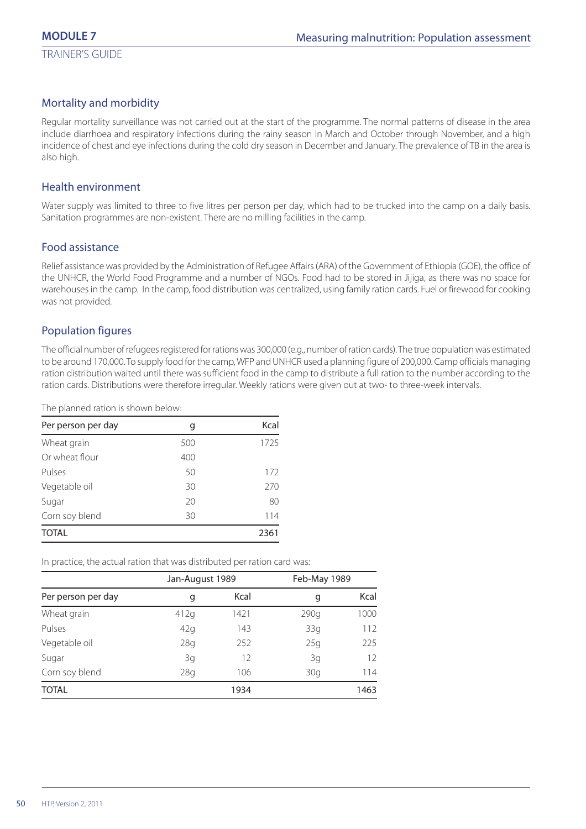# Mortality and morbidity

Regular mortality surveillance was not carried out at the start of the programme. The normal patterns of disease in the area include diarrhoea and respiratory infections during the rainy season in March and October through November, and a high incidence of chest and eye infections during the cold dry season in December and January. The prevalence of TB in the area is also high.

#### Health environment

Water supply was limited to three to five litres per person per day, which had to be trucked into the camp on a daily basis. Sanitation programmes are non-existent. There are no milling facilities in the camp.

# Food assistance

Relief assistance was provided by the Administration of Refugee Affairs (ARA) of the Government of Ethiopia (GOE), the office of the UNHCR, the World Food Programme and a number of NGOs. Food had to be stored in Jijiga, as there was no space for warehouses in the camp. In the camp, food distribution was centralized, using family ration cards. Fuel or firewood for cooking was not provided.

# Population figures

The official number of refugees registered for rations was 300,000 (e.g., number of ration cards). The true population was estimated to be around 170,000. To supply food for the camp, WFP and UNHCR used a planning figure of 200,000. Camp officials managing ration distribution waited until there was sufficient food in the camp to distribute a full ration to the number according to the ration cards. Distributions were therefore irregular. Weekly rations were given out at two- to three-week intervals.

The planned ration is shown below:

| Per person per day | g   | Kcal |
|--------------------|-----|------|
| Wheat grain        | 500 | 1725 |
| Or wheat flour     | 400 |      |
| Pulses             | 50  | 172  |
| Vegetable oil      | 30  | 270  |
| Sugar              | 20  | 80   |
| Corn soy blend     | 30  | 114  |
| <b>TOTAL</b>       |     | 2361 |

In practice, the actual ration that was distributed per ration card was:

|                    | Jan-August 1989 |      |           | Feb-May 1989 |  |
|--------------------|-----------------|------|-----------|--------------|--|
| Per person per day | q               | Kcal | Kcal<br>g |              |  |
| Wheat grain        | 412g            | 1421 | 290q      | 1000         |  |
| Pulses             | 42q             | 143  | 33g       | 112          |  |
| Vegetable oil      | 28 <sub>g</sub> | 252  | 25g       | 225          |  |
| Sugar              | 3g              | 12   | 3g        | 12           |  |
| Corn soy blend     | 28q             | 106  | 30q       | 114          |  |
| <b>TOTAL</b>       |                 | 1934 |           | 1463         |  |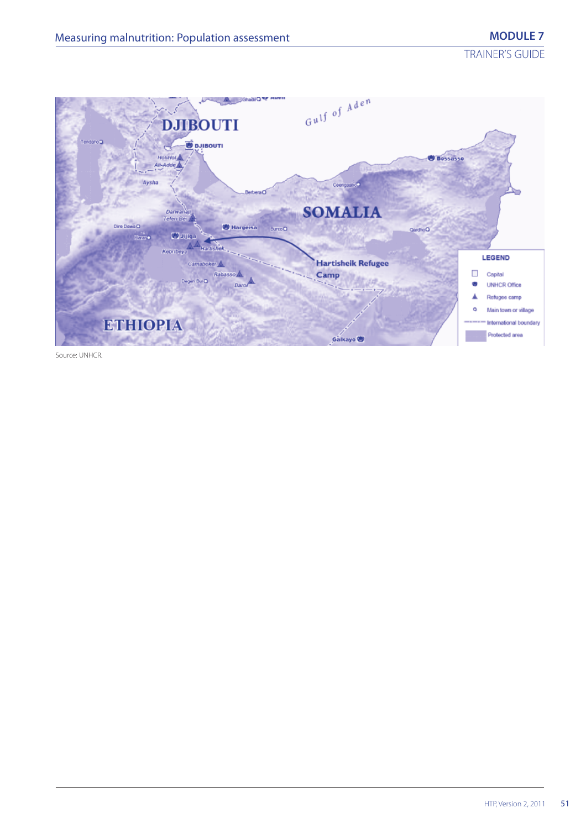TRAINER'S GUIDE



Source: UNHCR.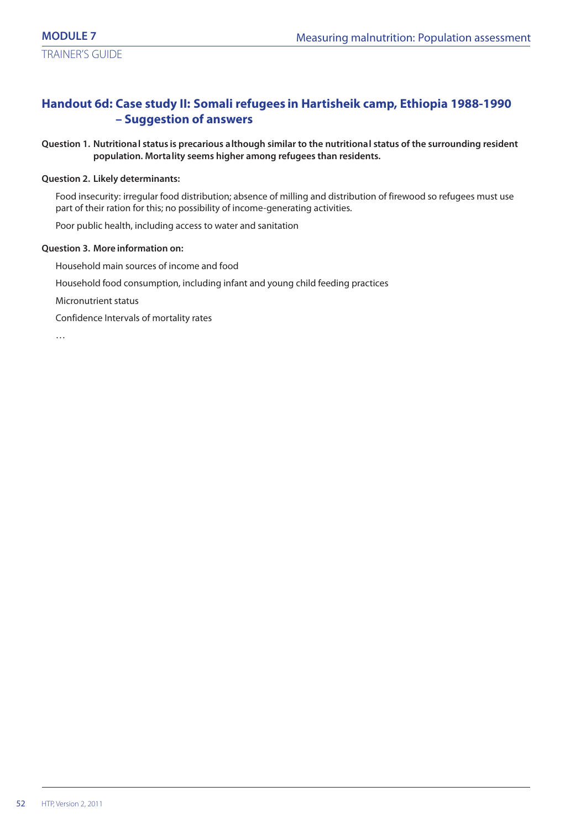# **Handout 6d: Case study II: Somali refugees in Hartisheik camp, Ethiopia 1988-1990 – Suggestion of answers**

#### **Question 1. Nutritional status is precarious although similar to the nutritional status of the surrounding resident population. Mortality seems higher among refugees than residents.**

#### **Question 2. Likely determinants:**

Food insecurity: irregular food distribution; absence of milling and distribution of firewood so refugees must use part of their ration for this; no possibility of income-generating activities.

Poor public health, including access to water and sanitation

#### **Question 3. More information on:**

Household main sources of income and food

Household food consumption, including infant and young child feeding practices

Micronutrient status

Confidence Intervals of mortality rates

…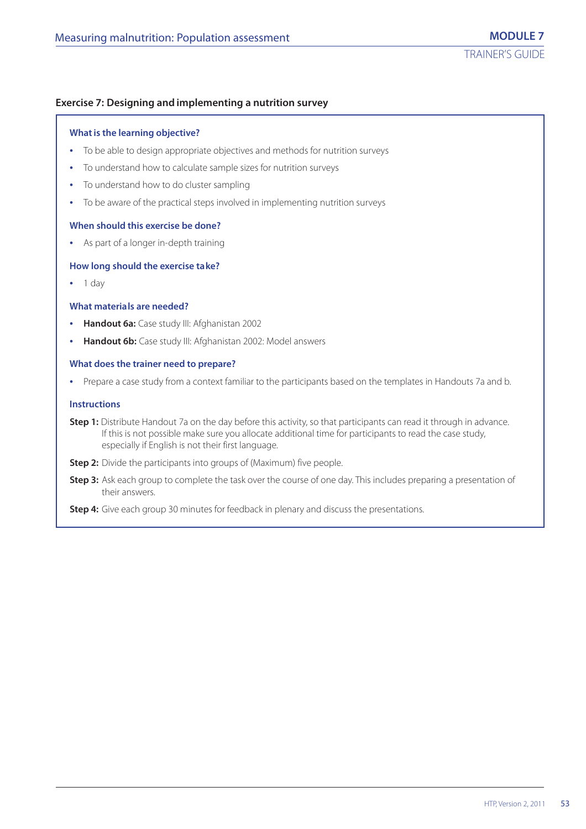#### **Exercise 7: Designing and implementing a nutrition survey**

#### **What is the learning objective?**

- **•** To be able to design appropriate objectives and methods for nutrition surveys
- **•** To understand how to calculate sample sizes for nutrition surveys
- **•** To understand how to do cluster sampling
- **•** To be aware of the practical steps involved in implementing nutrition surveys

#### **When should this exercise be done?**

**•** As part of a longer in-depth training

#### **How long should the exercise take?**

**•** 1 day

#### **What materials are needed?**

- **• Handout 6a:** Case study III: Afghanistan 2002
- **• Handout 6b:** Case study III: Afghanistan 2002: Model answers

#### **What does the trainer need to prepare?**

**•** Prepare a case study from a context familiar to the participants based on the templates in Handouts 7a and b.

#### **Instructions**

- **Step 1:** Distribute Handout 7a on the day before this activity, so that participants can read it through in advance. If this is not possible make sure you allocate additional time for participants to read the case study, especially if English is not their first language.
- **Step 2:** Divide the participants into groups of (Maximum) five people.
- **Step 3:** Ask each group to complete the task over the course of one day. This includes preparing a presentation of their answers.

**Step 4:** Give each group 30 minutes for feedback in plenary and discuss the presentations.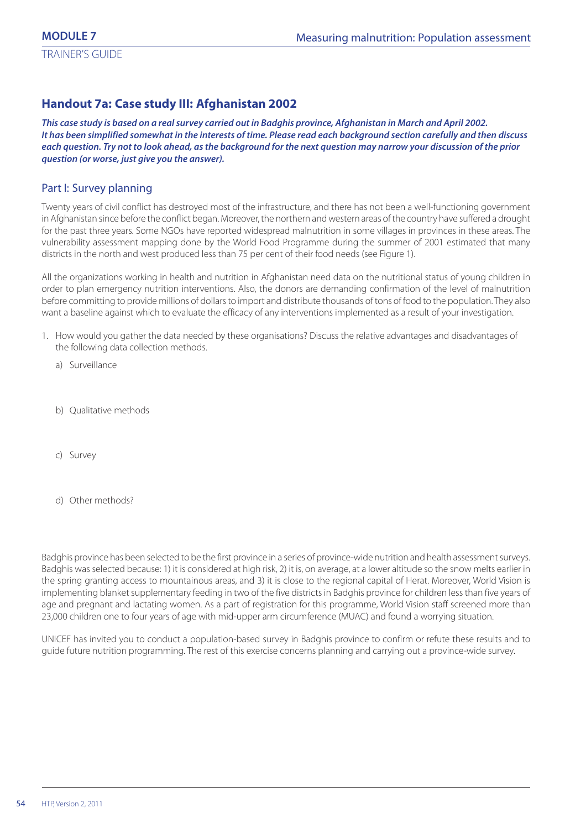# **Handout 7a: Case study III: Afghanistan 2002**

*This case study is based on a real survey carried out in Badghis province, Afghanistan in March and April 2002. It has been simplified somewhat in the interests of time. Please read each background section carefully and then discuss each question. Try not to look ahead, as the background for the next question may narrow your discussion of the prior question (or worse, just give you the answer).*

# Part I: Survey planning

Twenty years of civil conflict has destroyed most of the infrastructure, and there has not been a well-functioning government in Afghanistan since before the conflict began. Moreover, the northern and western areas of the country have suffered a drought for the past three years. Some NGOs have reported widespread malnutrition in some villages in provinces in these areas. The vulnerability assessment mapping done by the World Food Programme during the summer of 2001 estimated that many districts in the north and west produced less than 75 per cent of their food needs (see Figure 1).

All the organizations working in health and nutrition in Afghanistan need data on the nutritional status of young children in order to plan emergency nutrition interventions. Also, the donors are demanding confirmation of the level of malnutrition before committing to provide millions of dollars to import and distribute thousands of tons of food to the population. They also want a baseline against which to evaluate the efficacy of any interventions implemented as a result of your investigation.

- 1. How would you gather the data needed by these organisations? Discuss the relative advantages and disadvantages of the following data collection methods.
	- a) Surveillance
	- b) Qualitative methods
	- c) Survey
	- d) Other methods?

Badghis province has been selected to be the first province in a series of province-wide nutrition and health assessment surveys. Badghis was selected because: 1) it is considered at high risk, 2) it is, on average, at a lower altitude so the snow melts earlier in the spring granting access to mountainous areas, and 3) it is close to the regional capital of Herat. Moreover, World Vision is implementing blanket supplementary feeding in two of the five districts in Badghis province for children less than five years of age and pregnant and lactating women. As a part of registration for this programme, World Vision staff screened more than 23,000 children one to four years of age with mid-upper arm circumference (MUAC) and found a worrying situation.

UNICEF has invited you to conduct a population-based survey in Badghis province to confirm or refute these results and to guide future nutrition programming. The rest of this exercise concerns planning and carrying out a province-wide survey.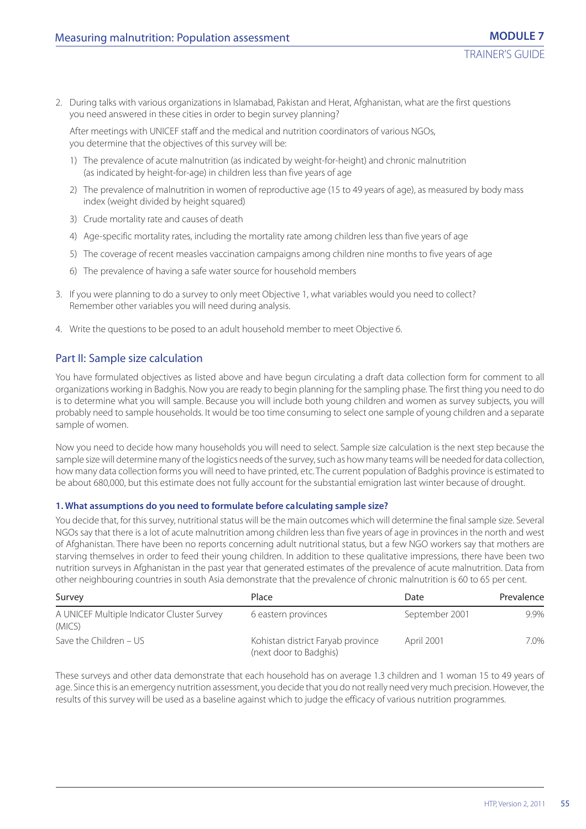2. During talks with various organizations in Islamabad, Pakistan and Herat, Afghanistan, what are the first questions you need answered in these cities in order to begin survey planning?

After meetings with UNICEF staff and the medical and nutrition coordinators of various NGOs, you determine that the objectives of this survey will be:

- 1) The prevalence of acute malnutrition (as indicated by weight-for-height) and chronic malnutrition (as indicated by height-for-age) in children less than five years of age
- 2) The prevalence of malnutrition in women of reproductive age (15 to 49 years of age), as measured by body mass index (weight divided by height squared)
- 3) Crude mortality rate and causes of death
- 4) Age-specific mortality rates, including the mortality rate among children less than five years of age
- 5) The coverage of recent measles vaccination campaigns among children nine months to five years of age
- 6) The prevalence of having a safe water source for household members
- 3. If you were planning to do a survey to only meet Objective 1, what variables would you need to collect? Remember other variables you will need during analysis.
- 4. Write the questions to be posed to an adult household member to meet Objective 6.

# Part II: Sample size calculation

You have formulated objectives as listed above and have begun circulating a draft data collection form for comment to all organizations working in Badghis. Now you are ready to begin planning for the sampling phase. The first thing you need to do is to determine what you will sample. Because you will include both young children and women as survey subjects, you will probably need to sample households. It would be too time consuming to select one sample of young children and a separate sample of women.

Now you need to decide how many households you will need to select. Sample size calculation is the next step because the sample size will determine many of the logistics needs of the survey, such as how many teams will be needed for data collection, how many data collection forms you will need to have printed, etc. The current population of Badghis province is estimated to be about 680,000, but this estimate does not fully account for the substantial emigration last winter because of drought.

#### **1. What assumptions do you need to formulate before calculating sample size?**

You decide that, for this survey, nutritional status will be the main outcomes which will determine the final sample size. Several NGOs say that there is a lot of acute malnutrition among children less than five years of age in provinces in the north and west of Afghanistan. There have been no reports concerning adult nutritional status, but a few NGO workers say that mothers are starving themselves in order to feed their young children. In addition to these qualitative impressions, there have been two nutrition surveys in Afghanistan in the past year that generated estimates of the prevalence of acute malnutrition. Data from other neighbouring countries in south Asia demonstrate that the prevalence of chronic malnutrition is 60 to 65 per cent.

| Survey                                               | Place                                                       | Date           | Prevalence |
|------------------------------------------------------|-------------------------------------------------------------|----------------|------------|
| A UNICEF Multiple Indicator Cluster Survey<br>(MICS) | 6 eastern provinces                                         | September 2001 | 9.9%       |
| Save the Children – US                               | Kohistan district Faryab province<br>(next door to Badghis) | April 2001     | 7.0%       |

These surveys and other data demonstrate that each household has on average 1.3 children and 1 woman 15 to 49 years of age. Since this is an emergency nutrition assessment, you decide that you do not really need very much precision. However, the results of this survey will be used as a baseline against which to judge the efficacy of various nutrition programmes.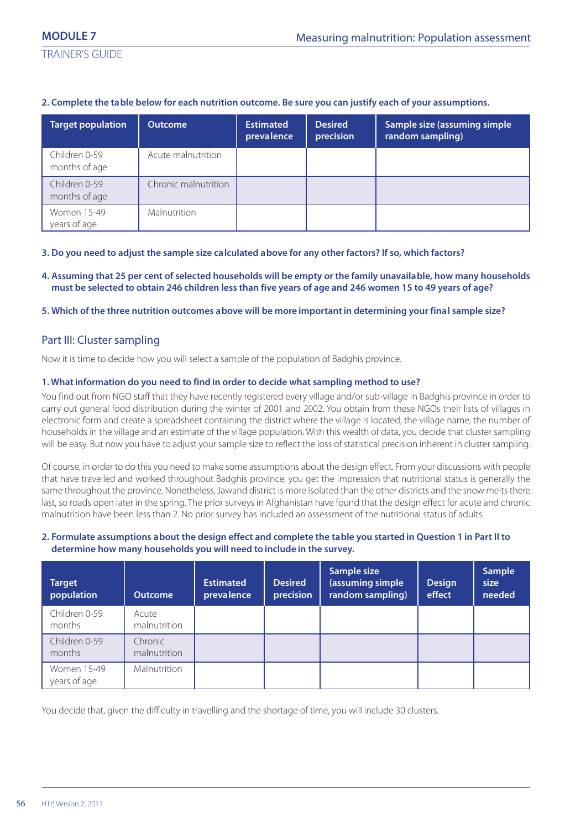### **2. Complete the table below for each nutrition outcome. Be sure you can justify each of your assumptions.**

| <b>Target population</b>       | <b>Outcome</b>       | <b>Estimated</b><br>prevalence | <b>Desired</b><br>precision | Sample size (assuming simple<br>random sampling) |
|--------------------------------|----------------------|--------------------------------|-----------------------------|--------------------------------------------------|
| Children 0-59<br>months of age | Acute malnutrition   |                                |                             |                                                  |
| Children 0-59<br>months of age | Chronic malnutrition |                                |                             |                                                  |
| Women 15-49<br>years of age    | Malnutrition         |                                |                             |                                                  |

#### **3. Do you need to adjust the sample size calculated above for any other factors? If so, which factors?**

#### **4. Assuming that 25 per cent of selected households will be empty or the family unavailable, how many households must be selected to obtain 246 children less than five years of age and 246 women 15 to 49 years of age?**

### **5. Which of the three nutrition outcomes above will be more important in determining your final sample size?**

# Part III: Cluster sampling

Now it is time to decide how you will select a sample of the population of Badghis province.

#### **1. What information do you need to find in order to decide what sampling method to use?**

You find out from NGO staff that they have recently registered every village and/or sub-village in Badghis province in order to carry out general food distribution during the winter of 2001 and 2002. You obtain from these NGOs their lists of villages in electronic form and create a spreadsheet containing the district where the village is located, the village name, the number of households in the village and an estimate of the village population. With this wealth of data, you decide that cluster sampling will be easy. But now you have to adjust your sample size to reflect the loss of statistical precision inherent in cluster sampling.

Of course, in order to do this you need to make some assumptions about the design effect. From your discussions with people that have travelled and worked throughout Badghis province, you get the impression that nutritional status is generally the same throughout the province. Nonetheless, Jawand district is more isolated than the other districts and the snow melts there last, so roads open later in the spring. The prior surveys in Afghanistan have found that the design effect for acute and chronic malnutrition have been less than 2. No prior survey has included an assessment of the nutritional status of adults.

#### **2. Formulate assumptions about the design effect and complete the table you started in Question 1 in Part II to determine how many households you will need to include in the survey.**

| <b>Target</b><br>population | <b>Outcome</b>          | <b>Estimated</b><br>prevalence | <b>Desired</b><br>precision | Sample size<br>(assuming simple<br>random sampling) | <b>Design</b><br>effect | Sample<br>size<br>needed |
|-----------------------------|-------------------------|--------------------------------|-----------------------------|-----------------------------------------------------|-------------------------|--------------------------|
| Children 0-59<br>months     | Acute<br>malnutrition   |                                |                             |                                                     |                         |                          |
| Children 0-59<br>months     | Chronic<br>malnutrition |                                |                             |                                                     |                         |                          |
| Women 15-49<br>years of age | Malnutrition            |                                |                             |                                                     |                         |                          |

You decide that, given the difficulty in travelling and the shortage of time, you will include 30 clusters.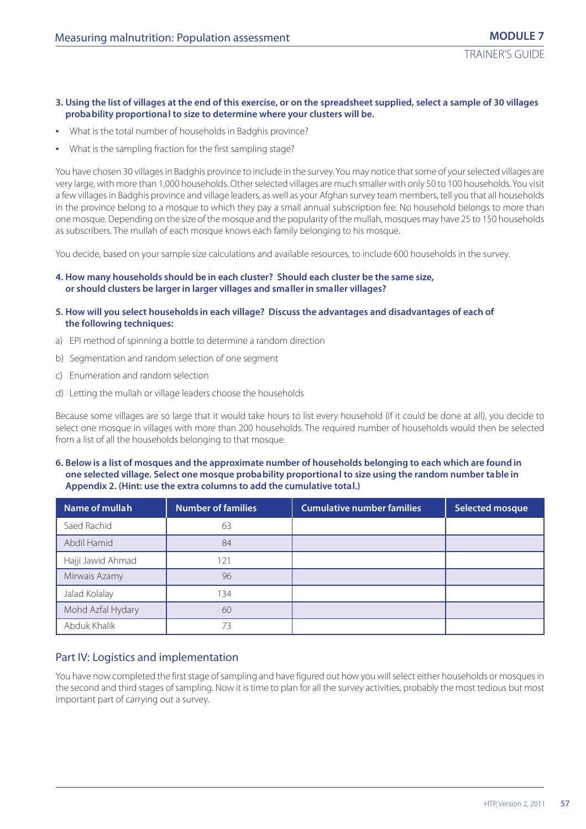#### **3. Using the list of villages at the end of this exercise, or on the spreadsheet supplied, select a sample of 30 villages probability proportional to size to determine where your clusters will be.**

- **•** What is the total number of households in Badghis province?
- **•** What is the sampling fraction for the first sampling stage?

You have chosen 30 villages in Badghis province to include in the survey. You may notice that some of your selected villages are very large, with more than 1,000 households. Other selected villages are much smaller with only 50 to 100 households. You visit a few villages in Badghis province and village leaders, as well as your Afghan survey team members, tell you that all households in the province belong to a mosque to which they pay a small annual subscription fee. No household belongs to more than one mosque. Depending on the size of the mosque and the popularity of the mullah, mosques may have 25 to 150 households as subscribers. The mullah of each mosque knows each family belonging to his mosque.

You decide, based on your sample size calculations and available resources, to include 600 households in the survey.

#### **4. How many households should be in each cluster? Should each cluster be the same size, or should clusters be larger in larger villages and smaller in smaller villages?**

- **5. How will you select households in each village? Discuss the advantages and disadvantages of each of the following techniques:**
- a) EPI method of spinning a bottle to determine a random direction
- b) Segmentation and random selection of one segment
- c) Enumeration and random selection
- d) Letting the mullah or village leaders choose the households

Because some villages are so large that it would take hours to list every household (if it could be done at all), you decide to select one mosque in villages with more than 200 households. The required number of households would then be selected from a list of all the households belonging to that mosque.

#### **6. Below is a list of mosques and the approximate number of households belonging to each which are found in one selected village. Select one mosque probability proportional to size using the random number table in Appendix 2. (Hint: use the extra columns to add the cumulative total.)**

| Name of mullah    | <b>Number of families</b> | <b>Cumulative number families</b> | <b>Selected mosque</b> |
|-------------------|---------------------------|-----------------------------------|------------------------|
| Saed Rachid       | 63                        |                                   |                        |
| Abdil Hamid       | 84                        |                                   |                        |
| Hajji Jawid Ahmad | 121                       |                                   |                        |
| Mirwais Azamy     | 96                        |                                   |                        |
| Jalad Kolalay     | 134                       |                                   |                        |
| Mohd Azfal Hydary | 60                        |                                   |                        |
| Abduk Khalik      | 73                        |                                   |                        |

# Part IV: Logistics and implementation

You have now completed the first stage of sampling and have figured out how you will select either households or mosques in the second and third stages of sampling. Now it is time to plan for all the survey activities, probably the most tedious but most important part of carrying out a survey.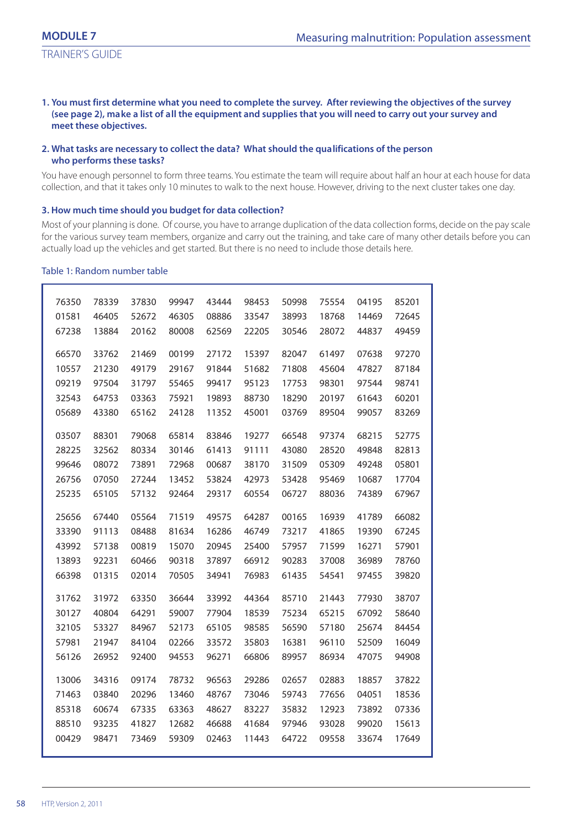#### **1. You must first determine what you need to complete the survey. After reviewing the objectives of the survey (see page 2), make a list of all the equipment and supplies that you will need to carry out your survey and meet these objectives.**

#### **2. What tasks are necessary to collect the data? What should the qualifications of the person who performs these tasks?**

You have enough personnel to form three teams. You estimate the team will require about half an hour at each house for data collection, and that it takes only 10 minutes to walk to the next house. However, driving to the next cluster takes one day.

#### **3. How much time should you budget for data collection?**

Most of your planning is done. Of course, you have to arrange duplication of the data collection forms, decide on the pay scale for the various survey team members, organize and carry out the training, and take care of many other details before you can actually load up the vehicles and get started. But there is no need to include those details here.

#### Table 1: Random number table

| 76350 | 78339 | 37830 | 99947 | 43444 | 98453 | 50998 | 75554 | 04195 | 85201 |  |
|-------|-------|-------|-------|-------|-------|-------|-------|-------|-------|--|
| 01581 | 46405 | 52672 | 46305 | 08886 | 33547 | 38993 | 18768 | 14469 | 72645 |  |
| 67238 | 13884 | 20162 | 80008 | 62569 | 22205 | 30546 | 28072 | 44837 | 49459 |  |
|       |       |       |       |       |       |       |       |       |       |  |
| 66570 | 33762 | 21469 | 00199 | 27172 | 15397 | 82047 | 61497 | 07638 | 97270 |  |
| 10557 | 21230 | 49179 | 29167 | 91844 | 51682 | 71808 | 45604 | 47827 | 87184 |  |
| 09219 | 97504 | 31797 | 55465 | 99417 | 95123 | 17753 | 98301 | 97544 | 98741 |  |
| 32543 | 64753 | 03363 | 75921 | 19893 | 88730 | 18290 | 20197 | 61643 | 60201 |  |
| 05689 | 43380 | 65162 | 24128 | 11352 | 45001 | 03769 | 89504 | 99057 | 83269 |  |
| 03507 | 88301 | 79068 | 65814 | 83846 | 19277 | 66548 | 97374 | 68215 | 52775 |  |
| 28225 | 32562 | 80334 | 30146 | 61413 | 91111 | 43080 | 28520 | 49848 | 82813 |  |
| 99646 | 08072 | 73891 | 72968 | 00687 | 38170 | 31509 | 05309 | 49248 | 05801 |  |
| 26756 | 07050 | 27244 | 13452 | 53824 | 42973 | 53428 | 95469 | 10687 | 17704 |  |
| 25235 | 65105 | 57132 | 92464 | 29317 | 60554 | 06727 | 88036 | 74389 | 67967 |  |
|       |       |       |       |       |       |       |       |       |       |  |
| 25656 | 67440 | 05564 | 71519 | 49575 | 64287 | 00165 | 16939 | 41789 | 66082 |  |
| 33390 | 91113 | 08488 | 81634 | 16286 | 46749 | 73217 | 41865 | 19390 | 67245 |  |
| 43992 | 57138 | 00819 | 15070 | 20945 | 25400 | 57957 | 71599 | 16271 | 57901 |  |
| 13893 | 92231 | 60466 | 90318 | 37897 | 66912 | 90283 | 37008 | 36989 | 78760 |  |
| 66398 | 01315 | 02014 | 70505 | 34941 | 76983 | 61435 | 54541 | 97455 | 39820 |  |
| 31762 | 31972 | 63350 | 36644 | 33992 | 44364 | 85710 | 21443 | 77930 | 38707 |  |
| 30127 | 40804 | 64291 | 59007 | 77904 | 18539 | 75234 | 65215 | 67092 | 58640 |  |
| 32105 | 53327 | 84967 | 52173 | 65105 | 98585 | 56590 | 57180 | 25674 | 84454 |  |
|       |       |       |       |       |       |       |       |       |       |  |
| 57981 | 21947 | 84104 | 02266 | 33572 | 35803 | 16381 | 96110 | 52509 | 16049 |  |
| 56126 | 26952 | 92400 | 94553 | 96271 | 66806 | 89957 | 86934 | 47075 | 94908 |  |
| 13006 | 34316 | 09174 | 78732 | 96563 | 29286 | 02657 | 02883 | 18857 | 37822 |  |
| 71463 | 03840 | 20296 | 13460 | 48767 | 73046 | 59743 | 77656 | 04051 | 18536 |  |
| 85318 | 60674 | 67335 | 63363 | 48627 | 83227 | 35832 | 12923 | 73892 | 07336 |  |
| 88510 | 93235 | 41827 | 12682 | 46688 | 41684 | 97946 | 93028 | 99020 | 15613 |  |
| 00429 | 98471 | 73469 | 59309 | 02463 | 11443 | 64722 | 09558 | 33674 | 17649 |  |
|       |       |       |       |       |       |       |       |       |       |  |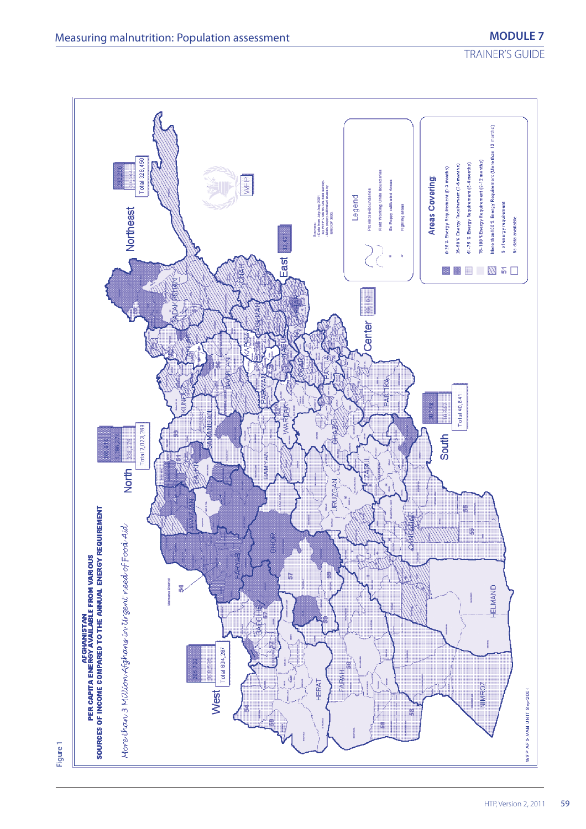TRAINER'S GUIDE



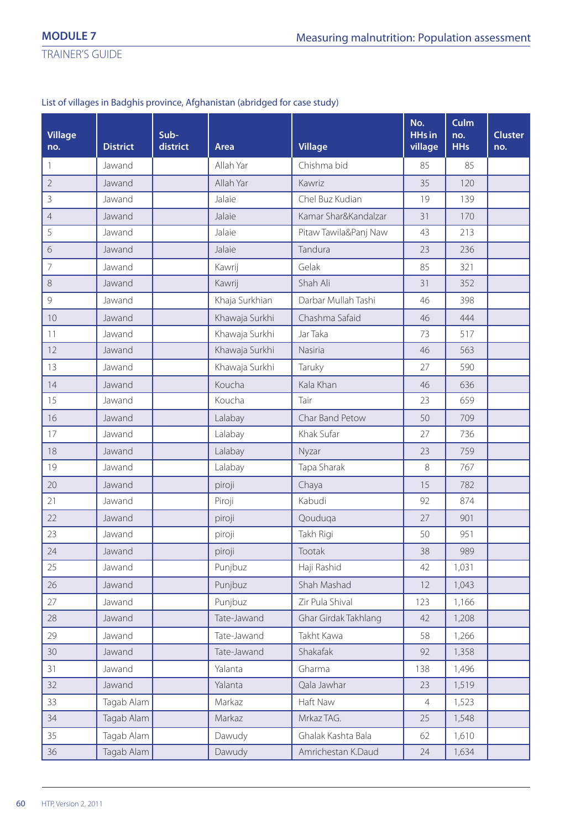# List of villages in Badghis province, Afghanistan (abridged for case study)

| <b>Village</b><br>no. | <b>District</b> | Sub-<br>district | Area           | <b>Village</b>        | No.<br><b>HHs in</b><br>village | Culm<br>no.<br><b>HHs</b> | <b>Cluster</b><br>no. |
|-----------------------|-----------------|------------------|----------------|-----------------------|---------------------------------|---------------------------|-----------------------|
| $\mathbf{1}$          | Jawand          |                  | Allah Yar      | Chishma bid           | 85                              | 85                        |                       |
| $\overline{2}$        | Jawand          |                  | Allah Yar      | Kawriz                | 35                              | 120                       |                       |
| $\mathsf 3$           | Jawand          |                  | Jalaie         | Chel Buz Kudian       | 19                              | 139                       |                       |
| $\overline{4}$        | Jawand          |                  | Jalaie         | Kamar Shar&Kandalzar  | 31                              | 170                       |                       |
| 5                     | Jawand          |                  | Jalaie         | Pitaw Tawila&Panj Naw | 43                              | 213                       |                       |
| $\sqrt{6}$            | Jawand          |                  | Jalaie         | Tandura               | 23                              | 236                       |                       |
| $\overline{7}$        | Jawand          |                  | Kawrij         | Gelak                 | 85                              | 321                       |                       |
| $\,8\,$               | Jawand          |                  | Kawrij         | Shah Ali              | 31                              | 352                       |                       |
| $\mathcal{G}$         | Jawand          |                  | Khaja Surkhian | Darbar Mullah Tashi   | 46                              | 398                       |                       |
| 10                    | Jawand          |                  | Khawaja Surkhi | Chashma Safaid        | 46                              | 444                       |                       |
| 11                    | Jawand          |                  | Khawaja Surkhi | Jar Taka              | 73                              | 517                       |                       |
| 12                    | Jawand          |                  | Khawaja Surkhi | Nasiria               | 46                              | 563                       |                       |
| 13                    | Jawand          |                  | Khawaja Surkhi | Taruky                | 27                              | 590                       |                       |
| 14                    | Jawand          |                  | Koucha         | Kala Khan             | 46                              | 636                       |                       |
| 15                    | Jawand          |                  | Koucha         | Tair                  | 23                              | 659                       |                       |
| 16                    | Jawand          |                  | Lalabay        | Char Band Petow       | 50                              | 709                       |                       |
| 17                    | Jawand          |                  | Lalabay        | Khak Sufar            | 27                              | 736                       |                       |
| 18                    | Jawand          |                  | Lalabay        | Nyzar                 | 23                              | 759                       |                       |
| 19                    | Jawand          |                  | Lalabay        | Tapa Sharak           | 8                               | 767                       |                       |
| 20                    | Jawand          |                  | piroji         | Chaya                 | 15                              | 782                       |                       |
| 21                    | Jawand          |                  | Piroji         | Kabudi                | 92                              | 874                       |                       |
| 22                    | Jawand          |                  | piroji         | Qouduqa               | 27                              | 901                       |                       |
| 23                    | Jawand          |                  | piroji         | Takh Rigi             | 50                              | 951                       |                       |
| 24                    | Jawand          |                  | piroji         | Tootak                | 38                              | 989                       |                       |
| 25                    | Jawand          |                  | Punjbuz        | Haji Rashid           | 42                              | 1,031                     |                       |
| 26                    | Jawand          |                  | Punjbuz        | Shah Mashad           | 12                              | 1,043                     |                       |
| 27                    | Jawand          |                  | Punjbuz        | Zir Pula Shival       | 123                             | 1,166                     |                       |
| 28                    | Jawand          |                  | Tate-Jawand    | Ghar Girdak Takhlang  | 42                              | 1,208                     |                       |
| 29                    | Jawand          |                  | Tate-Jawand    | Takht Kawa            | 58                              | 1,266                     |                       |
| 30                    | Jawand          |                  | Tate-Jawand    | Shakafak              | 92                              | 1,358                     |                       |
| 31                    | Jawand          |                  | Yalanta        | Gharma                | 138                             | 1,496                     |                       |
| 32                    | Jawand          |                  | Yalanta        | Qala Jawhar           | 23                              | 1,519                     |                       |
| 33                    | Tagab Alam      |                  | Markaz         | Haft Naw              | $\overline{4}$                  | 1,523                     |                       |
| $34\,$                | Tagab Alam      |                  | Markaz         | Mrkaz TAG.            | 25                              | 1,548                     |                       |
| 35                    | Tagab Alam      |                  | Dawudy         | Ghalak Kashta Bala    | 62                              | 1,610                     |                       |
| 36                    | Tagab Alam      |                  | Dawudy         | Amrichestan K.Daud    | 24                              | 1,634                     |                       |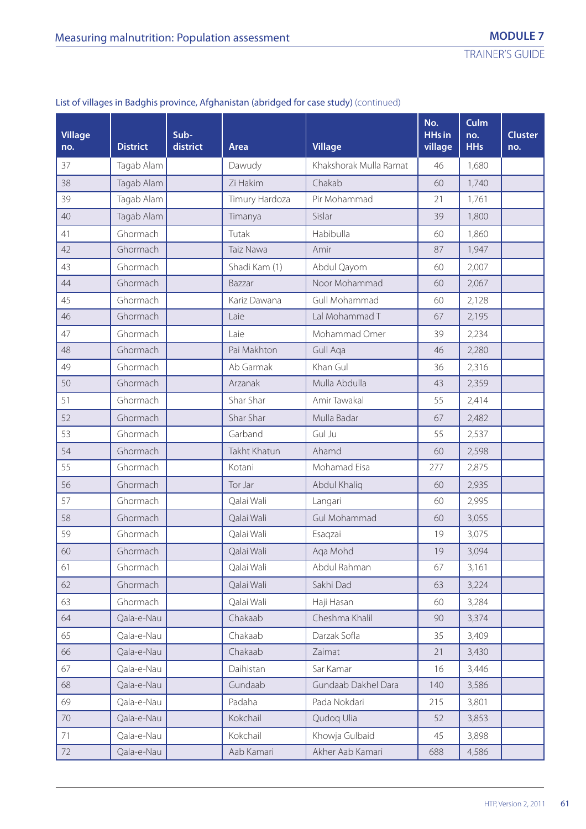| <b>Village</b><br>no. | <b>District</b> | Sub-<br>district | Area           | <b>Village</b>         | No.<br><b>HHs in</b><br>village | Culm<br>no.<br><b>HHs</b> | <b>Cluster</b><br>no. |
|-----------------------|-----------------|------------------|----------------|------------------------|---------------------------------|---------------------------|-----------------------|
| 37                    | Tagab Alam      |                  | Dawudy         | Khakshorak Mulla Ramat | 46                              | 1,680                     |                       |
| 38                    | Tagab Alam      |                  | Zi Hakim       | Chakab                 | 60                              | 1,740                     |                       |
| 39                    | Tagab Alam      |                  | Timury Hardoza | Pir Mohammad           | 21                              | 1,761                     |                       |
| 40                    | Tagab Alam      |                  | Timanya        | Sislar                 | 39                              | 1,800                     |                       |
| 41                    | Ghormach        |                  | Tutak          | Habibulla              | 60                              | 1,860                     |                       |
| 42                    | Ghormach        |                  | Taiz Nawa      | Amir                   | 87                              | 1,947                     |                       |
| 43                    | Ghormach        |                  | Shadi Kam (1)  | Abdul Qayom            | 60                              | 2,007                     |                       |
| 44                    | Ghormach        |                  | Bazzar         | Noor Mohammad          | 60                              | 2,067                     |                       |
| 45                    | Ghormach        |                  | Kariz Dawana   | Gull Mohammad          | 60                              | 2,128                     |                       |
| 46                    | Ghormach        |                  | Laie           | Lal Mohammad T         | 67                              | 2,195                     |                       |
| 47                    | Ghormach        |                  | Laie           | Mohammad Omer          | 39                              | 2,234                     |                       |
| 48                    | Ghormach        |                  | Pai Makhton    | Gull Aga               | 46                              | 2,280                     |                       |
| 49                    | Ghormach        |                  | Ab Garmak      | Khan Gul               | 36                              | 2,316                     |                       |
| 50                    | Ghormach        |                  | Arzanak        | Mulla Abdulla          | 43                              | 2,359                     |                       |
| 51                    | Ghormach        |                  | Shar Shar      | Amir Tawakal           | 55                              | 2,414                     |                       |
| 52                    | Ghormach        |                  | Shar Shar      | Mulla Badar            | 67                              | 2,482                     |                       |
| 53                    | Ghormach        |                  | Garband        | Gul Ju                 | 55                              | 2,537                     |                       |
| 54                    | Ghormach        |                  | Takht Khatun   | Ahamd                  | 60                              | 2,598                     |                       |
| 55                    | Ghormach        |                  | Kotani         | Mohamad Eisa           | 277                             | 2,875                     |                       |
| 56                    | Ghormach        |                  | Tor Jar        | Abdul Khaliq           | 60                              | 2,935                     |                       |
| 57                    | Ghormach        |                  | Qalai Wali     | Langari                | 60                              | 2,995                     |                       |
| 58                    | Ghormach        |                  | Qalai Wali     | Gul Mohammad           | 60                              | 3,055                     |                       |
| 59                    | Ghormach        |                  | Qalai Wali     | Esaqzai                | 19                              | 3,075                     |                       |
| 60                    | Ghormach        |                  | Qalai Wali     | Aqa Mohd               | 19                              | 3,094                     |                       |
| 61                    | Ghormach        |                  | Qalai Wali     | Abdul Rahman           | 67                              | 3,161                     |                       |
| 62                    | Ghormach        |                  | Qalai Wali     | Sakhi Dad              | 63                              | 3,224                     |                       |
| 63                    | Ghormach        |                  | Qalai Wali     | Haji Hasan             | 60                              | 3,284                     |                       |
| 64                    | Qala-e-Nau      |                  | Chakaab        | Cheshma Khalil         | 90                              | 3,374                     |                       |
| 65                    | Qala-e-Nau      |                  | Chakaab        | Darzak Sofla           | 35                              | 3,409                     |                       |
| 66                    | Qala-e-Nau      |                  | Chakaab        | Zaimat                 | 21                              | 3,430                     |                       |
| 67                    | Qala-e-Nau      |                  | Daihistan      | Sar Kamar              | 16                              | 3,446                     |                       |
| 68                    | Qala-e-Nau      |                  | Gundaab        | Gundaab Dakhel Dara    | 140                             | 3,586                     |                       |
| 69                    | Qala-e-Nau      |                  | Padaha         | Pada Nokdari           | 215                             | 3,801                     |                       |
| 70                    | Qala-e-Nau      |                  | Kokchail       | Qudoq Ulia             | 52                              | 3,853                     |                       |
| 71                    | Qala-e-Nau      |                  | Kokchail       | Khowja Gulbaid         | 45                              | 3,898                     |                       |
| 72                    | Qala-e-Nau      |                  | Aab Kamari     | Akher Aab Kamari       | 688                             | 4,586                     |                       |

# List of villages in Badghis province, Afghanistan (abridged for case study) (continued)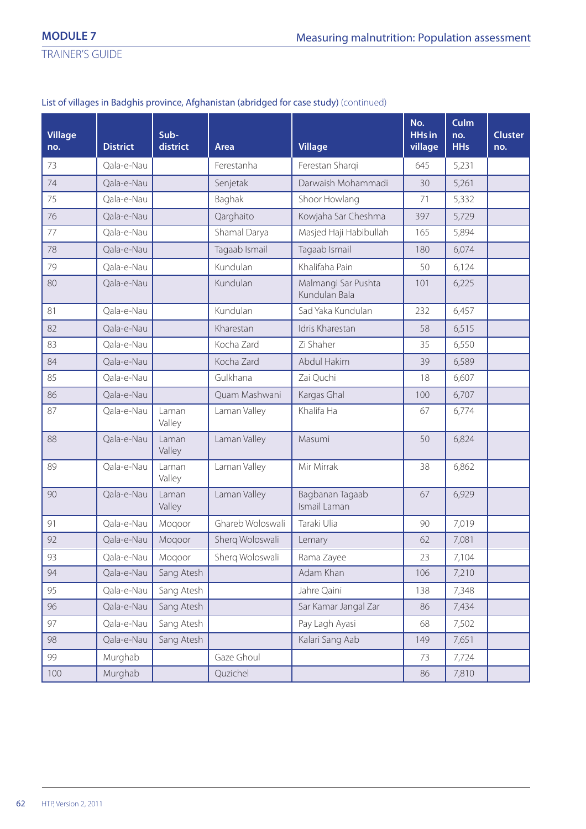TRAINER'S GUIDE

# List of villages in Badghis province, Afghanistan (abridged for case study) (continued)

| <b>Village</b><br>no. | <b>District</b> | Sub-<br>district | Area             | <b>Village</b>                       | No.<br><b>HHs in</b><br>village | Culm<br>no.<br><b>HHs</b> | <b>Cluster</b><br>no. |
|-----------------------|-----------------|------------------|------------------|--------------------------------------|---------------------------------|---------------------------|-----------------------|
| 73                    | Qala-e-Nau      |                  | Ferestanha       | Ferestan Sharqi                      | 645                             | 5,231                     |                       |
| 74                    | Qala-e-Nau      |                  | Senjetak         | Darwaish Mohammadi                   | 30                              | 5,261                     |                       |
| 75                    | Qala-e-Nau      |                  | Baghak           | Shoor Howlang                        | 71                              | 5,332                     |                       |
| 76                    | Qala-e-Nau      |                  | Qarghaito        | Kowjaha Sar Cheshma                  | 397                             | 5,729                     |                       |
| $77\,$                | Qala-e-Nau      |                  | Shamal Darya     | Masjed Haji Habibullah               | 165                             | 5,894                     |                       |
| 78                    | Qala-e-Nau      |                  | Tagaab Ismail    | Tagaab Ismail                        | 180                             | 6,074                     |                       |
| 79                    | Qala-e-Nau      |                  | Kundulan         | Khalifaha Pain                       | 50                              | 6,124                     |                       |
| 80                    | Qala-e-Nau      |                  | Kundulan         | Malmangi Sar Pushta<br>Kundulan Bala | 101                             | 6,225                     |                       |
| 81                    | Qala-e-Nau      |                  | Kundulan         | Sad Yaka Kundulan                    | 232                             | 6,457                     |                       |
| 82                    | Qala-e-Nau      |                  | Kharestan        | Idris Kharestan                      | 58                              | 6,515                     |                       |
| 83                    | Qala-e-Nau      |                  | Kocha Zard       | Zi Shaher                            | 35                              | 6,550                     |                       |
| 84                    | Qala-e-Nau      |                  | Kocha Zard       | Abdul Hakim                          | 39                              | 6,589                     |                       |
| 85                    | Qala-e-Nau      |                  | Gulkhana         | Zai Quchi                            | 18                              | 6,607                     |                       |
| 86                    | Qala-e-Nau      |                  | Quam Mashwani    | Kargas Ghal                          | 100                             | 6,707                     |                       |
| 87                    | Qala-e-Nau      | Laman<br>Valley  | Laman Valley     | Khalifa Ha                           | 67                              | 6,774                     |                       |
| 88                    | Qala-e-Nau      | Laman<br>Valley  | Laman Valley     | Masumi                               | 50                              | 6,824                     |                       |
| 89                    | Qala-e-Nau      | Laman<br>Valley  | Laman Valley     | Mir Mirrak                           | 38                              | 6,862                     |                       |
| 90                    | Qala-e-Nau      | Laman<br>Valley  | Laman Valley     | Bagbanan Tagaab<br>Ismail Laman      | 67                              | 6,929                     |                       |
| 91                    | Qala-e-Nau      | Moqoor           | Ghareb Woloswali | Taraki Ulia                          | 90                              | 7,019                     |                       |
| 92                    | Qala-e-Nau      | Moqoor           | Sherq Woloswali  | Lemary                               | 62                              | 7,081                     |                       |
| 93                    | Qala-e-Nau      | Mogoor           | Sherq Woloswali  | Rama Zayee                           | 23                              | 7,104                     |                       |
| 94                    | Qala-e-Nau      | Sang Atesh       |                  | Adam Khan                            | 106                             | 7,210                     |                       |
| 95                    | Qala-e-Nau      | Sang Atesh       |                  | Jahre Qaini                          | 138                             | 7,348                     |                       |
| 96                    | Qala-e-Nau      | Sang Atesh       |                  | Sar Kamar Jangal Zar                 | 86                              | 7,434                     |                       |
| 97                    | Qala-e-Nau      | Sang Atesh       |                  | Pay Lagh Ayasi                       | 68                              | 7,502                     |                       |
| 98                    | Qala-e-Nau      | Sang Atesh       |                  | Kalari Sang Aab                      | 149                             | 7,651                     |                       |
| 99                    | Murghab         |                  | Gaze Ghoul       |                                      | 73                              | 7,724                     |                       |
| 100                   | Murghab         |                  | Quzichel         |                                      | 86                              | 7,810                     |                       |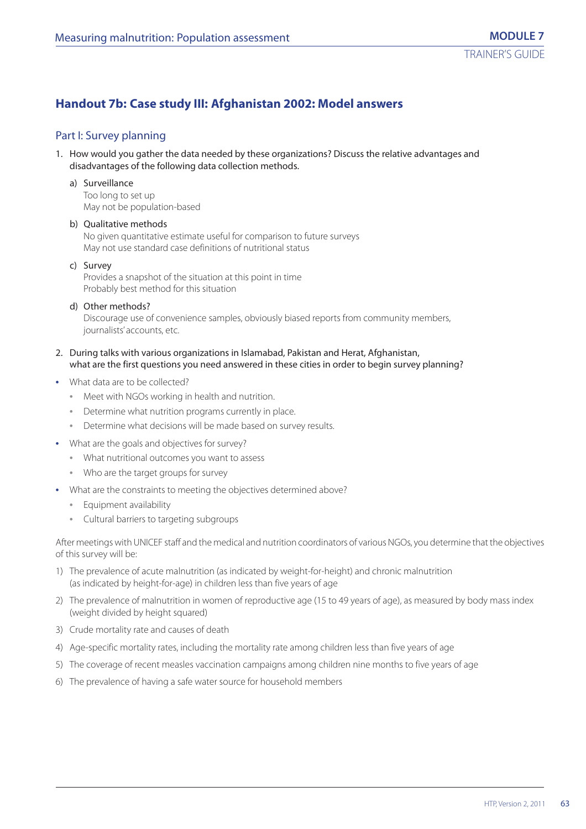# **Handout 7b: Case study III: Afghanistan 2002: Model answers**

### Part I: Survey planning

1. How would you gather the data needed by these organizations? Discuss the relative advantages and disadvantages of the following data collection methods.

#### a) Surveillance

Too long to set up May not be population-based

#### b) Qualitative methods

No given quantitative estimate useful for comparison to future surveys May not use standard case definitions of nutritional status

#### c) Survey

Provides a snapshot of the situation at this point in time Probably best method for this situation

#### d) Other methods?

Discourage use of convenience samples, obviously biased reports from community members, journalists' accounts, etc.

#### 2. During talks with various organizations in Islamabad, Pakistan and Herat, Afghanistan, what are the first questions you need answered in these cities in order to begin survey planning?

- **•** What data are to be collected?
	- **•** Meet with NGOs working in health and nutrition.
	- **•** Determine what nutrition programs currently in place.
	- **•** Determine what decisions will be made based on survey results.
- **•** What are the goals and objectives for survey?
	- **•** What nutritional outcomes you want to assess
	- **•** Who are the target groups for survey
- **•** What are the constraints to meeting the objectives determined above?
	- **•** Equipment availability
	- **•** Cultural barriers to targeting subgroups

After meetings with UNICEF staff and the medical and nutrition coordinators of various NGOs, you determine that the objectives of this survey will be:

- 1) The prevalence of acute malnutrition (as indicated by weight-for-height) and chronic malnutrition (as indicated by height-for-age) in children less than five years of age
- 2) The prevalence of malnutrition in women of reproductive age (15 to 49 years of age), as measured by body mass index (weight divided by height squared)
- 3) Crude mortality rate and causes of death
- 4) Age-specific mortality rates, including the mortality rate among children less than five years of age
- 5) The coverage of recent measles vaccination campaigns among children nine months to five years of age
- 6) The prevalence of having a safe water source for household members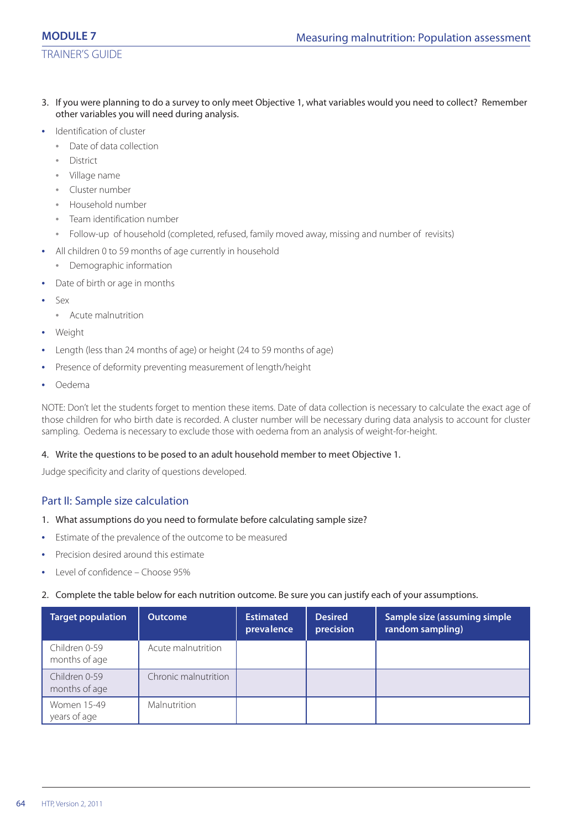# TRAINER'S GUIDE

- 3. If you were planning to do a survey to only meet Objective 1, what variables would you need to collect? Remember other variables you will need during analysis.
- **•** Identification of cluster
	- **•** Date of data collection
	- **•** District
	- **•** Village name
	- **•** Cluster number
	- **•** Household number
	- **•** Team identification number
	- **•** Follow-up of household (completed, refused, family moved away, missing and number of revisits)
- **•** All children 0 to 59 months of age currently in household
	- **•** Demographic information
- **•** Date of birth or age in months
- **•** Sex
	- **•** Acute malnutrition
- **•** Weight
- **•** Length (less than 24 months of age) or height (24 to 59 months of age)
- **•** Presence of deformity preventing measurement of length/height
- **•** Oedema

NOTE: Don't let the students forget to mention these items. Date of data collection is necessary to calculate the exact age of those children for who birth date is recorded. A cluster number will be necessary during data analysis to account for cluster sampling. Oedema is necessary to exclude those with oedema from an analysis of weight-for-height.

#### 4. Write the questions to be posed to an adult household member to meet Objective 1.

Judge specificity and clarity of questions developed.

# Part II: Sample size calculation

#### 1. What assumptions do you need to formulate before calculating sample size?

- **•** Estimate of the prevalence of the outcome to be measured
- **•** Precision desired around this estimate
- **•** Level of confidence Choose 95%

#### 2. Complete the table below for each nutrition outcome. Be sure you can justify each of your assumptions.

| <b>Target population</b>       | <b>Outcome</b>       | <b>Estimated</b><br>prevalence | <b>Desired</b><br>precision | Sample size (assuming simple<br>random sampling) |
|--------------------------------|----------------------|--------------------------------|-----------------------------|--------------------------------------------------|
| Children 0-59<br>months of age | Acute malnutrition   |                                |                             |                                                  |
| Children 0-59<br>months of age | Chronic malnutrition |                                |                             |                                                  |
| Women 15-49<br>years of age    | <b>Malnutrition</b>  |                                |                             |                                                  |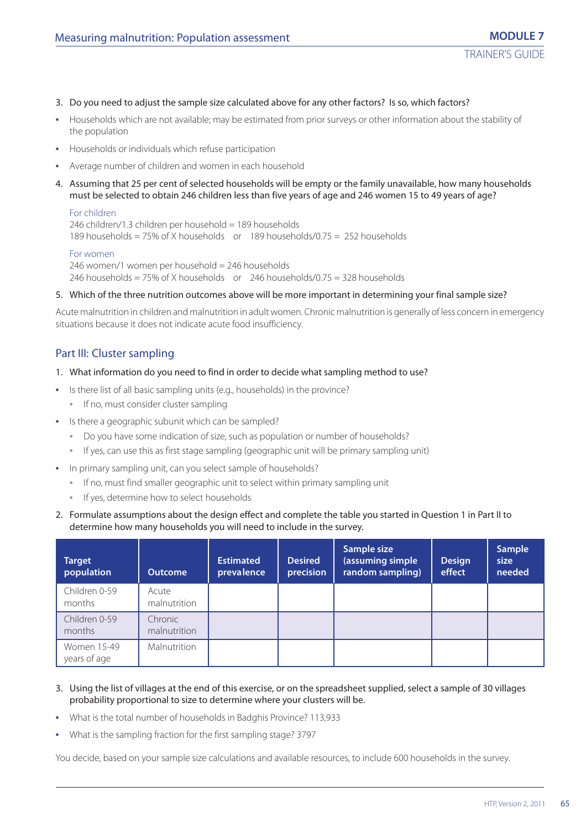- 3. Do you need to adjust the sample size calculated above for any other factors? Is so, which factors?
- **•** Households which are not available; may be estimated from prior surveys or other information about the stability of the population
- **•** Households or individuals which refuse participation
- **•** Average number of children and women in each household
- 4. Assuming that 25 per cent of selected households will be empty or the family unavailable, how many households must be selected to obtain 246 children less than five years of age and 246 women 15 to 49 years of age?

#### For children

246 children/1.3 children per household = 189 households 189 households = 75% of X households or 189 households/0.75 = 252 households

#### For women

246 women/1 women per household = 246 households 246 households = 75% of X households or  $246$  households/0.75 = 328 households

5. Which of the three nutrition outcomes above will be more important in determining your final sample size?

Acute malnutrition in children and malnutrition in adult women. Chronic malnutrition is generally of less concern in emergency situations because it does not indicate acute food insufficiency.

#### Part III: Cluster sampling

- 1. What information do you need to find in order to decide what sampling method to use?
- **•** Is there list of all basic sampling units (e.g., households) in the province?
	- **•** If no, must consider cluster sampling
- **•** Is there a geographic subunit which can be sampled?
	- **•** Do you have some indication of size, such as population or number of households?
	- **•** If yes, can use this as first stage sampling (geographic unit will be primary sampling unit)
- **•** In primary sampling unit, can you select sample of households?
	- **•** If no, must find smaller geographic unit to select within primary sampling unit
	- **•** If yes, determine how to select households
- 2. Formulate assumptions about the design effect and complete the table you started in Question 1 in Part II to determine how many households you will need to include in the survey.

| Target<br>population        | <b>Outcome</b>          | <b>Estimated</b><br>prevalence | <b>Desired</b><br>precision | Sample size<br>(assuming simple<br>random sampling) | <b>Design</b><br>effect | <b>Sample</b><br>size<br>needed |
|-----------------------------|-------------------------|--------------------------------|-----------------------------|-----------------------------------------------------|-------------------------|---------------------------------|
| Children 0-59<br>months     | Acute<br>malnutrition   |                                |                             |                                                     |                         |                                 |
| Children 0-59<br>months     | Chronic<br>malnutrition |                                |                             |                                                     |                         |                                 |
| Women 15-49<br>years of age | Malnutrition            |                                |                             |                                                     |                         |                                 |

- 3. Using the list of villages at the end of this exercise, or on the spreadsheet supplied, select a sample of 30 villages probability proportional to size to determine where your clusters will be.
- **•** What is the total number of households in Badghis Province? 113,933
- **•** What is the sampling fraction for the first sampling stage? 3797

You decide, based on your sample size calculations and available resources, to include 600 households in the survey.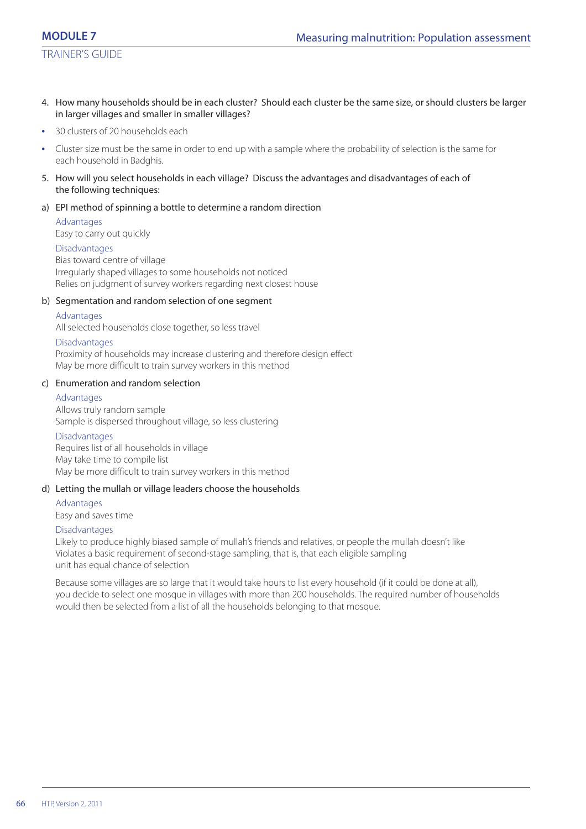- 4. How many households should be in each cluster? Should each cluster be the same size, or should clusters be larger in larger villages and smaller in smaller villages?
- **•** 30 clusters of 20 households each
- **•** Cluster size must be the same in order to end up with a sample where the probability of selection is the same for each household in Badghis.
- 5. How will you select households in each village? Discuss the advantages and disadvantages of each of the following techniques:

#### a) EPI method of spinning a bottle to determine a random direction

Advantages Easy to carry out quickly

#### Disadvantages

Bias toward centre of village Irregularly shaped villages to some households not noticed Relies on judgment of survey workers regarding next closest house

#### b) Segmentation and random selection of one segment

#### Advantages

All selected households close together, so less travel

#### Disadvantages

Proximity of households may increase clustering and therefore design effect May be more difficult to train survey workers in this method

#### c) Enumeration and random selection

#### Advantages

Allows truly random sample Sample is dispersed throughout village, so less clustering

#### Disadvantages

Requires list of all households in village May take time to compile list May be more difficult to train survey workers in this method

#### d) Letting the mullah or village leaders choose the households

**Advantages** 

Easy and saves time

#### Disadvantages

Likely to produce highly biased sample of mullah's friends and relatives, or people the mullah doesn't like Violates a basic requirement of second-stage sampling, that is, that each eligible sampling unit has equal chance of selection

Because some villages are so large that it would take hours to list every household (if it could be done at all), you decide to select one mosque in villages with more than 200 households. The required number of households would then be selected from a list of all the households belonging to that mosque.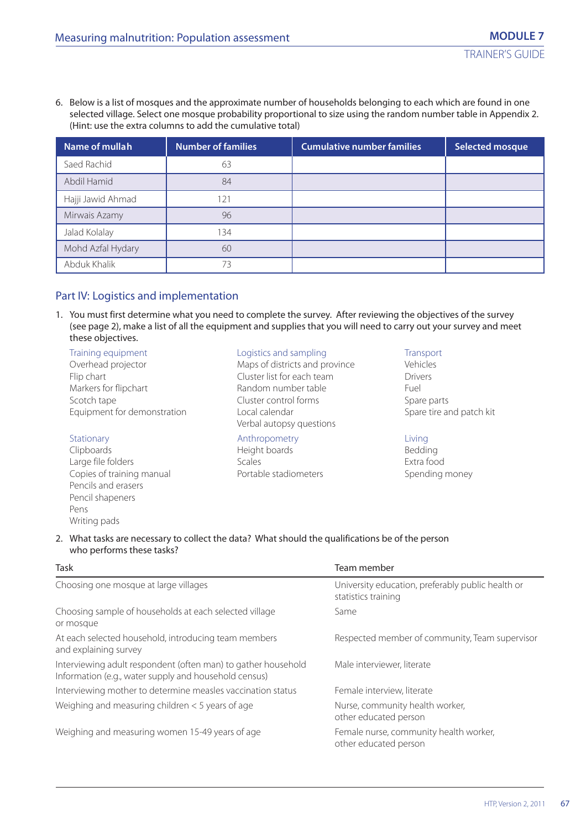6. Below is a list of mosques and the approximate number of households belonging to each which are found in one selected village. Select one mosque probability proportional to size using the random number table in Appendix 2. (Hint: use the extra columns to add the cumulative total)

| Name of mullah    | <b>Number of families</b> | <b>Cumulative number families</b> | <b>Selected mosque</b> |
|-------------------|---------------------------|-----------------------------------|------------------------|
| Saed Rachid       | 63                        |                                   |                        |
| Abdil Hamid       | 84                        |                                   |                        |
| Hajji Jawid Ahmad | 121                       |                                   |                        |
| Mirwais Azamy     | 96                        |                                   |                        |
| Jalad Kolalay     | 134                       |                                   |                        |
| Mohd Azfal Hydary | 60                        |                                   |                        |
| Abduk Khalik      | 73                        |                                   |                        |

# Part IV: Logistics and implementation

1. You must first determine what you need to complete the survey. After reviewing the objectives of the survey (see page 2), make a list of all the equipment and supplies that you will need to carry out your survey and meet these objectives.

Training equipment Logistics and sampling Transport Overhead projector Maps of districts and province Vehicles Flip chart Cluster list for each team Drivers Markers for flipchart **Example 2018** Random number table Fuel Scotch tape Cluster control forms Spare parts Equipment for demonstration Local calendar Theorem Conservation Spare tire and patch kit

Large file folders entitled and the Scales Scales Extra food Extra food<br>
Copies of training manual entitled and Portable stadiometers Spending Spending Copies of training manual **Portable stadiometers** Spending money Pencils and erasers Pencil shapeners Pens Writing pads

Verbal autopsy questions

#### Stationary **Anthropometry Contact Exercise 2** Anthropometry **Contact Anthropometry**

Clipboards Height boards Bedding

#### 2. What tasks are necessary to collect the data? What should the qualifications be of the person who performs these tasks?

| Task                                                                                                                   | Team member                                                              |
|------------------------------------------------------------------------------------------------------------------------|--------------------------------------------------------------------------|
| Choosing one mosque at large villages                                                                                  | University education, preferably public health or<br>statistics training |
| Choosing sample of households at each selected village<br>or mosque                                                    | Same                                                                     |
| At each selected household, introducing team members<br>and explaining survey                                          | Respected member of community, Team supervisor                           |
| Interviewing adult respondent (often man) to gather household<br>Information (e.g., water supply and household census) | Male interviewer, literate                                               |
| Interviewing mother to determine measles vaccination status                                                            | Female interview, literate                                               |
| Weighing and measuring children $<$ 5 years of age                                                                     | Nurse, community health worker,<br>other educated person                 |
| Weighing and measuring women 15-49 years of age                                                                        | Female nurse, community health worker,<br>other educated person          |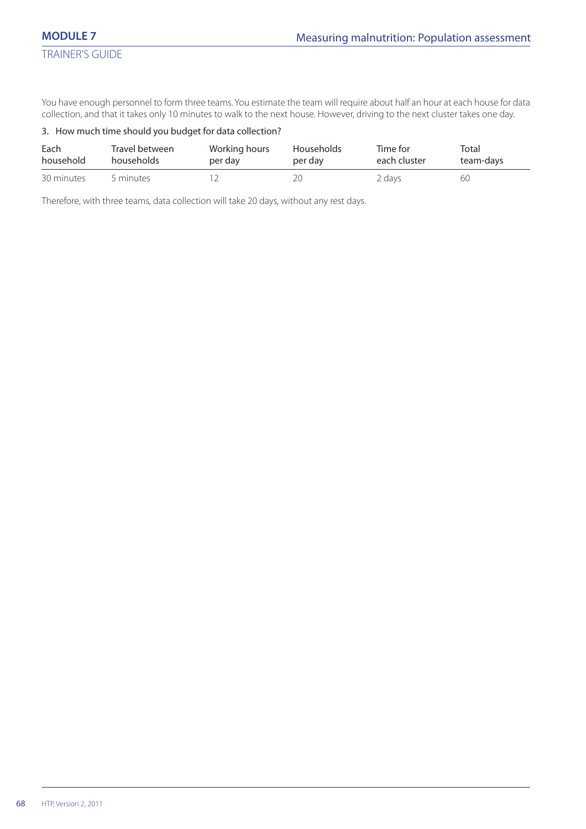You have enough personnel to form three teams. You estimate the team will require about half an hour at each house for data collection, and that it takes only 10 minutes to walk to the next house. However, driving to the next cluster takes one day.

#### 3. How much time should you budget for data collection?

| Each       | Travel between | Working hours | <b>Households</b> | Time for     | Total     |
|------------|----------------|---------------|-------------------|--------------|-----------|
| household  | households     | per day       | per day           | each cluster | team-days |
| 30 minutes | 5 minutes      |               |                   | 2 days       | 60        |

Therefore, with three teams, data collection will take 20 days, without any rest days.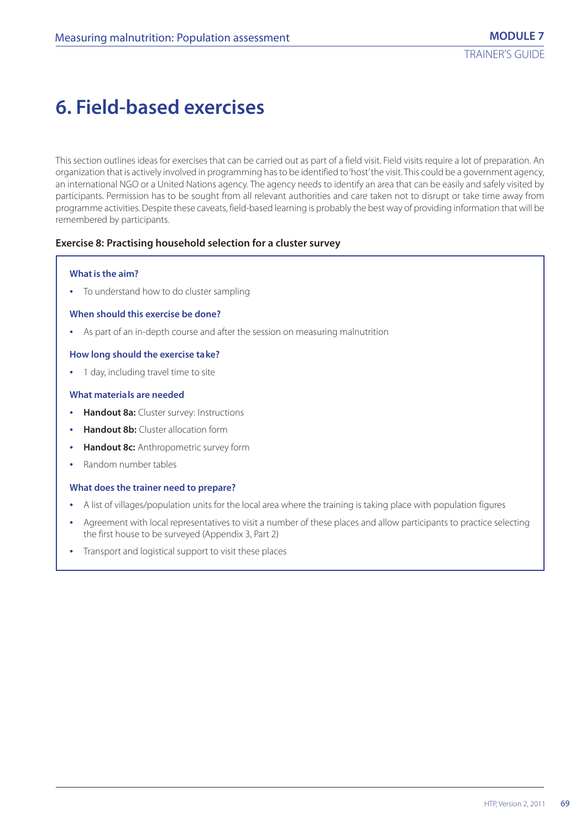# **6. Field-based exercises**

This section outlines ideas for exercises that can be carried out as part of a field visit. Field visits require a lot of preparation. An organization that is actively involved in programming has to be identified to 'host' the visit. This could be a government agency, an international NGO or a United Nations agency. The agency needs to identify an area that can be easily and safely visited by participants. Permission has to be sought from all relevant authorities and care taken not to disrupt or take time away from programme activities. Despite these caveats, field-based learning is probably the best way of providing information that will be remembered by participants.

#### **Exercise 8: Practising household selection for a cluster survey**

#### **What is the aim?**

**•** To understand how to do cluster sampling

#### **When should this exercise be done?**

**•** As part of an in-depth course and after the session on measuring malnutrition

#### **How long should the exercise take?**

**•** 1 day, including travel time to site

#### **What materials are needed**

- **• Handout 8a:** Cluster survey: Instructions
- **• Handout 8b:** Cluster allocation form
- **• Handout 8c:** Anthropometric survey form
- **•** Random number tables

#### **What does the trainer need to prepare?**

- **•** A list of villages/population units for the local area where the training is taking place with population figures
- **•** Agreement with local representatives to visit a number of these places and allow participants to practice selecting the first house to be surveyed (Appendix 3, Part 2)
- **•** Transport and logistical support to visit these places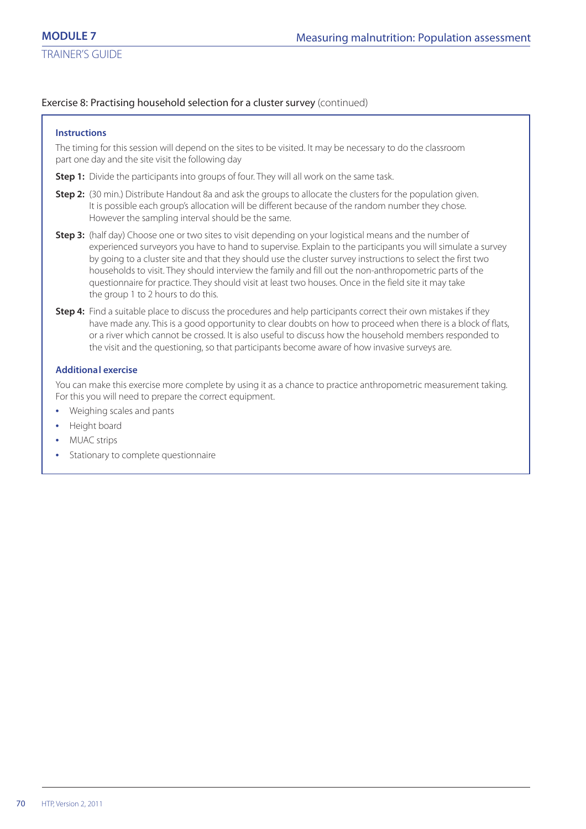### Exercise 8: Practising household selection for a cluster survey (continued)

#### **Instructions**

The timing for this session will depend on the sites to be visited. It may be necessary to do the classroom part one day and the site visit the following day

**Step 1:** Divide the participants into groups of four. They will all work on the same task.

- **Step 2:** (30 min.) Distribute Handout 8a and ask the groups to allocate the clusters for the population given. It is possible each group's allocation will be different because of the random number they chose. However the sampling interval should be the same.
- **Step 3:** (half day) Choose one or two sites to visit depending on your logistical means and the number of experienced surveyors you have to hand to supervise. Explain to the participants you will simulate a survey by going to a cluster site and that they should use the cluster survey instructions to select the first two households to visit. They should interview the family and fill out the non-anthropometric parts of the questionnaire for practice. They should visit at least two houses. Once in the field site it may take the group 1 to 2 hours to do this.
- **Step 4:** Find a suitable place to discuss the procedures and help participants correct their own mistakes if they have made any. This is a good opportunity to clear doubts on how to proceed when there is a block of flats, or a river which cannot be crossed. It is also useful to discuss how the household members responded to the visit and the questioning, so that participants become aware of how invasive surveys are.

#### **Additional exercise**

You can make this exercise more complete by using it as a chance to practice anthropometric measurement taking. For this you will need to prepare the correct equipment.

- **•** Weighing scales and pants
- **•** Height board
- **•** MUAC strips
- **•** Stationary to complete questionnaire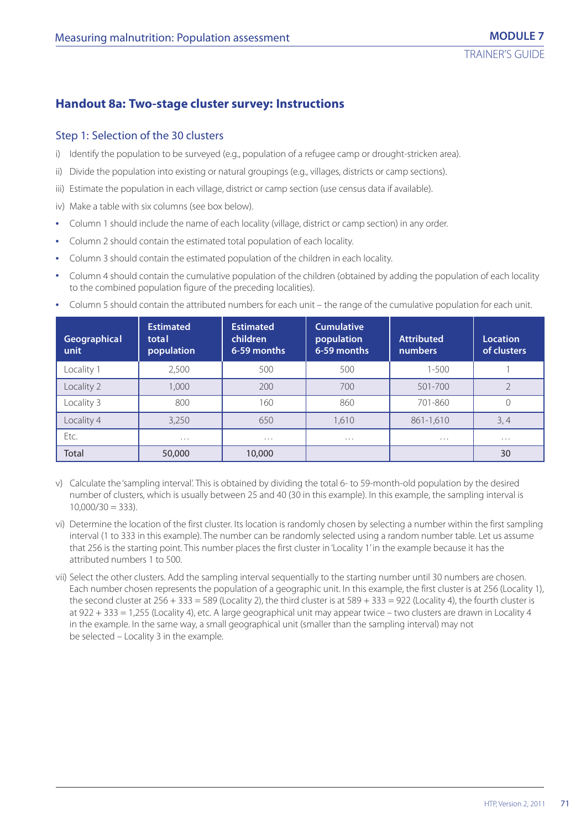# **Handout 8a: Two-stage cluster survey: Instructions**

# Step 1: Selection of the 30 clusters

- i) Identify the population to be surveyed (e.g., population of a refugee camp or drought-stricken area).
- ii) Divide the population into existing or natural groupings (e.g., villages, districts or camp sections).
- iii) Estimate the population in each village, district or camp section (use census data if available).
- iv) Make a table with six columns (see box below).
- **•** Column 1 should include the name of each locality (village, district or camp section) in any order.
- **•** Column 2 should contain the estimated total population of each locality.
- **•** Column 3 should contain the estimated population of the children in each locality.
- **•** Column 4 should contain the cumulative population of the children (obtained by adding the population of each locality to the combined population figure of the preceding localities).

| Geographical<br>unit | <b>Estimated</b><br>total<br>population | <b>Estimated</b><br>children<br>6-59 months | <b>Cumulative</b><br>population<br>6-59 months | <b>Attributed</b><br><b>numbers</b> | <b>Location</b><br>of clusters |
|----------------------|-----------------------------------------|---------------------------------------------|------------------------------------------------|-------------------------------------|--------------------------------|
| Locality 1           | 2,500                                   | 500                                         | 500                                            | $1 - 500$                           |                                |
| Locality 2           | 1,000                                   | 200                                         | 700                                            | $501 - 700$                         |                                |
| Locality 3           | 800                                     | 160                                         | 860                                            | 701-860                             |                                |
| Locality 4           | 3,250                                   | 650                                         | 1.610                                          | 861-1,610                           | 3, 4                           |
| Etc.                 | $\cdots$                                | $\cdots$                                    | $\cdots$                                       | $\cdots$                            | $\cdots$                       |
| Total                | 50,000                                  | 10,000                                      |                                                |                                     | 30                             |

**•** Column 5 should contain the attributed numbers for each unit – the range of the cumulative population for each unit.

- v) Calculate the 'sampling interval'. This is obtained by dividing the total 6- to 59-month-old population by the desired number of clusters, which is usually between 25 and 40 (30 in this example). In this example, the sampling interval is  $10,000/30 = 333$ ).
- vi) Determine the location of the first cluster. Its location is randomly chosen by selecting a number within the first sampling interval (1 to 333 in this example). The number can be randomly selected using a random number table. Let us assume that 256 is the starting point. This number places the first cluster in 'Locality 1' in the example because it has the attributed numbers 1 to 500.
- vii) Select the other clusters. Add the sampling interval sequentially to the starting number until 30 numbers are chosen. Each number chosen represents the population of a geographic unit. In this example, the first cluster is at 256 (Locality 1), the second cluster at  $256 + 333 = 589$  (Locality 2), the third cluster is at  $589 + 333 = 922$  (Locality 4), the fourth cluster is at 922 + 333 = 1,255 (Locality 4), etc. A large geographical unit may appear twice – two clusters are drawn in Locality 4 in the example. In the same way, a small geographical unit (smaller than the sampling interval) may not be selected – Locality 3 in the example.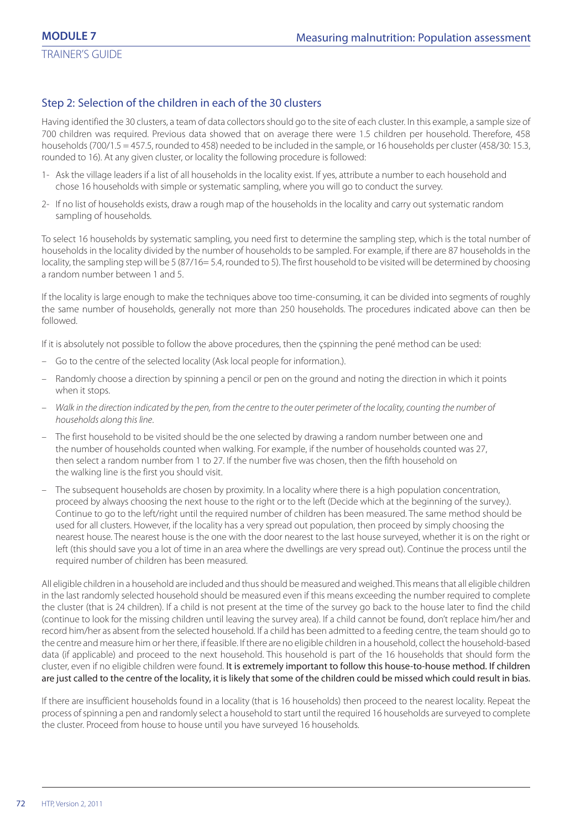# Step 2: Selection of the children in each of the 30 clusters

Having identified the 30 clusters, a team of data collectors should go to the site of each cluster. In this example, a sample size of 700 children was required. Previous data showed that on average there were 1.5 children per household. Therefore, 458 households (700/1.5 = 457.5, rounded to 458) needed to be included in the sample, or 16 households per cluster (458/30: 15.3, rounded to 16). At any given cluster, or locality the following procedure is followed:

- 1- Ask the village leaders if a list of all households in the locality exist. If yes, attribute a number to each household and chose 16 households with simple or systematic sampling, where you will go to conduct the survey.
- 2- If no list of households exists, draw a rough map of the households in the locality and carry out systematic random sampling of households.

To select 16 households by systematic sampling, you need first to determine the sampling step, which is the total number of households in the locality divided by the number of households to be sampled. For example, if there are 87 households in the locality, the sampling step will be 5 (87/16= 5.4, rounded to 5). The first household to be visited will be determined by choosing a random number between 1 and 5.

If the locality is large enough to make the techniques above too time-consuming, it can be divided into segments of roughly the same number of households, generally not more than 250 households. The procedures indicated above can then be followed.

If it is absolutely not possible to follow the above procedures, then the çspinning the pené method can be used:

- Go to the centre of the selected locality (Ask local people for information.).
- Randomly choose a direction by spinning a pencil or pen on the ground and noting the direction in which it points when it stops.
- Walk in the direction indicated by the pen, from the centre to the outer perimeter of the locality, counting the number of households along this line.
- The first household to be visited should be the one selected by drawing a random number between one and the number of households counted when walking. For example, if the number of households counted was 27, then select a random number from 1 to 27. If the number five was chosen, then the fifth household on the walking line is the first you should visit.
- The subsequent households are chosen by proximity. In a locality where there is a high population concentration, proceed by always choosing the next house to the right or to the left (Decide which at the beginning of the survey.). Continue to go to the left/right until the required number of children has been measured. The same method should be used for all clusters. However, if the locality has a very spread out population, then proceed by simply choosing the nearest house. The nearest house is the one with the door nearest to the last house surveyed, whether it is on the right or left (this should save you a lot of time in an area where the dwellings are very spread out). Continue the process until the required number of children has been measured.

All eligible children in a household are included and thus should be measured and weighed. This means that all eligible children in the last randomly selected household should be measured even if this means exceeding the number required to complete the cluster (that is 24 children). If a child is not present at the time of the survey go back to the house later to find the child (continue to look for the missing children until leaving the survey area). If a child cannot be found, don't replace him/her and record him/her as absent from the selected household. If a child has been admitted to a feeding centre, the team should go to the centre and measure him or her there, if feasible. If there are no eligible children in a household, collect the household-based data (if applicable) and proceed to the next household. This household is part of the 16 households that should form the cluster, even if no eligible children were found. It is extremely important to follow this house-to-house method. If children are just called to the centre of the locality, it is likely that some of the children could be missed which could result in bias.

If there are insufficient households found in a locality (that is 16 households) then proceed to the nearest locality. Repeat the process of spinning a pen and randomly select a household to start until the required 16 households are surveyed to complete the cluster. Proceed from house to house until you have surveyed 16 households.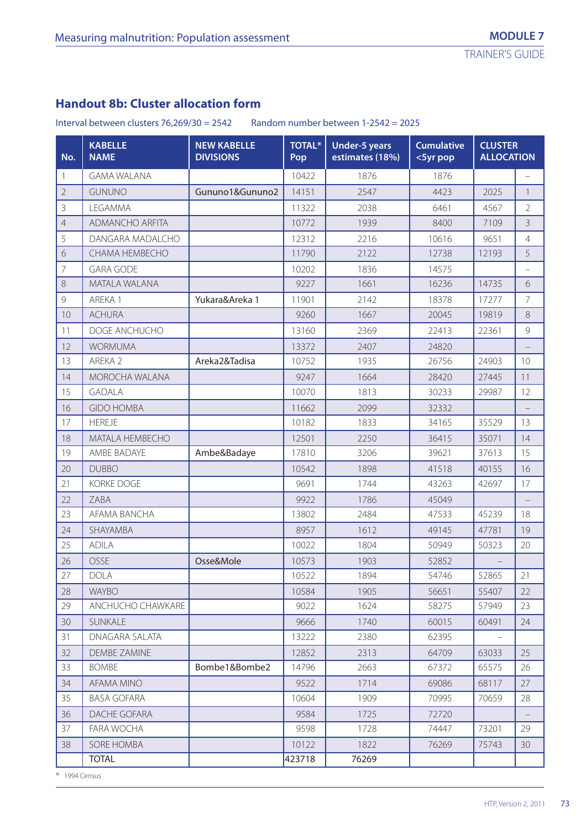## **Handout 8b: Cluster allocation form**

Interval between clusters  $76,269/30 = 2542$  Random number between  $1-2542 = 2025$ 

| No.            | <b>KABELLE</b><br><b>NAME</b> | <b>NEW KABELLE</b><br><b>DIVISIONS</b> | <b>TOTAL*</b><br>Pop | <b>Under-5 years</b><br>estimates (18%) | <b>Cumulative</b><br><5yr pop |       | <b>CLUSTER</b><br><b>ALLOCATION</b> |  |  |
|----------------|-------------------------------|----------------------------------------|----------------------|-----------------------------------------|-------------------------------|-------|-------------------------------------|--|--|
|                | <b>GAMA WALANA</b>            |                                        | 10422                | 1876                                    | 1876                          |       |                                     |  |  |
| $\overline{2}$ | <b>GUNUNO</b>                 | Gununo1&Gununo2                        | 14151                | 2547                                    | 4423                          | 2025  | $\mathbf{1}$                        |  |  |
| 3              | LEGAMMA                       |                                        | 11322                | 2038                                    | 6461                          | 4567  | $\overline{2}$                      |  |  |
| 4              | <b>ADMANCHO ARFITA</b>        |                                        | 10772                | 1939                                    | 8400                          | 7109  | 3                                   |  |  |
| 5              | DANGARA MADALCHO              |                                        | 12312                | 2216                                    | 10616                         | 9651  | $\overline{4}$                      |  |  |
| 6              | CHAMA HEMBECHO                |                                        | 11790                | 2122                                    | 12738                         | 12193 | 5                                   |  |  |
| 7              | <b>GARA GODE</b>              |                                        | 10202                | 1836                                    | 14575                         |       | $\overline{\phantom{0}}$            |  |  |
| 8              | MATALA WALANA                 |                                        | 9227                 | 1661                                    | 16236                         | 14735 | 6                                   |  |  |
| 9              | AREKA 1                       | Yukara&Areka 1                         | 11901                | 2142                                    | 18378                         | 17277 | $\overline{7}$                      |  |  |
| 10             | <b>ACHURA</b>                 |                                        | 9260                 | 1667                                    | 20045                         | 19819 | 8                                   |  |  |
| 11             | DOGE ANCHUCHO                 |                                        | 13160                | 2369                                    | 22413                         | 22361 | 9                                   |  |  |
| 12             | <b>WORMUMA</b>                |                                        | 13372                | 2407                                    | 24820                         |       |                                     |  |  |
| 13             | AREKA 2                       | Areka2&Tadisa                          | 10752                | 1935                                    | 26756                         | 24903 | 10                                  |  |  |
| 14             | MOROCHA WALANA                |                                        | 9247                 | 1664                                    | 28420                         | 27445 | 11                                  |  |  |
| 15             | <b>GADALA</b>                 |                                        | 10070                | 1813                                    | 30233                         | 29987 | 12                                  |  |  |
| 16             | <b>GIDO HOMBA</b>             |                                        | 11662                | 2099                                    | 32332                         |       |                                     |  |  |
| 17             | <b>HEREJE</b>                 |                                        | 10182                | 1833                                    | 34165                         | 35529 | 13                                  |  |  |
| 18             | MATALA HEMBECHO               |                                        | 12501                | 2250                                    | 36415                         | 35071 | 14                                  |  |  |
| 19             | AMBE BADAYE                   | Ambe&Badaye                            | 17810                | 3206                                    | 39621                         | 37613 | 15                                  |  |  |
| 20             | <b>DUBBO</b>                  |                                        | 10542                | 1898                                    | 41518                         | 40155 | 16                                  |  |  |
| 21             | <b>KORKE DOGE</b>             |                                        | 9691                 | 1744                                    | 43263                         | 42697 | 17                                  |  |  |
| 22             | ZABA                          |                                        | 9922                 | 1786                                    | 45049                         |       | $\overline{\phantom{0}}$            |  |  |
| 23             | AFAMA BANCHA                  |                                        | 13802                | 2484                                    | 47533                         | 45239 | 18                                  |  |  |
| 24             | SHAYAMBA                      |                                        | 8957                 | 1612                                    | 49145                         | 47781 | 19                                  |  |  |
| 25             | <b>ADILA</b>                  |                                        | 10022                | 1804                                    | 50949                         | 50323 | 20                                  |  |  |
| 26             | OSSE                          | Osse&Mole                              | 10573                | 1903                                    | 52852                         |       |                                     |  |  |
| 27             | <b>DOLA</b>                   |                                        | 10522                | 1894                                    | 54746                         | 52865 | 21                                  |  |  |
| 28             | <b>WAYBO</b>                  |                                        | 10584                | 1905                                    | 56651                         | 55407 | 22                                  |  |  |
| 29             | ANCHUCHO CHAWKARE             |                                        | 9022                 | 1624                                    | 58275                         | 57949 | 23                                  |  |  |
| 30             | SUNKALE                       |                                        | 9666                 | 1740                                    | 60015                         | 60491 | 24                                  |  |  |
| 31             | DNAGARA SALATA                |                                        | 13222                | 2380                                    | 62395                         |       |                                     |  |  |
| 32             | <b>DEMBE ZAMINE</b>           |                                        | 12852                | 2313                                    | 64709                         | 63033 | 25                                  |  |  |
| 33             | <b>BOMBE</b>                  | Bombe1&Bombe2                          | 14796                | 2663                                    | 67372                         | 65575 | 26                                  |  |  |
| 34             | <b>AFAMA MINO</b>             |                                        | 9522                 | 1714                                    | 69086                         | 68117 | 27                                  |  |  |
| 35             | <b>BASA GOFARA</b>            |                                        | 10604                | 1909                                    | 70995                         | 70659 | 28                                  |  |  |
| 36             | DACHE GOFARA                  |                                        | 9584                 | 1725                                    | 72720                         |       |                                     |  |  |
| 37             | FARA WOCHA                    |                                        | 9598                 | 1728                                    | 74447                         | 73201 | 29                                  |  |  |
| 38             | SORE HOMBA                    |                                        | 10122                | 1822                                    | 76269                         | 75743 | 30                                  |  |  |
|                | <b>TOTAL</b>                  |                                        | 423718               | 76269                                   |                               |       |                                     |  |  |

\* 1994 Census